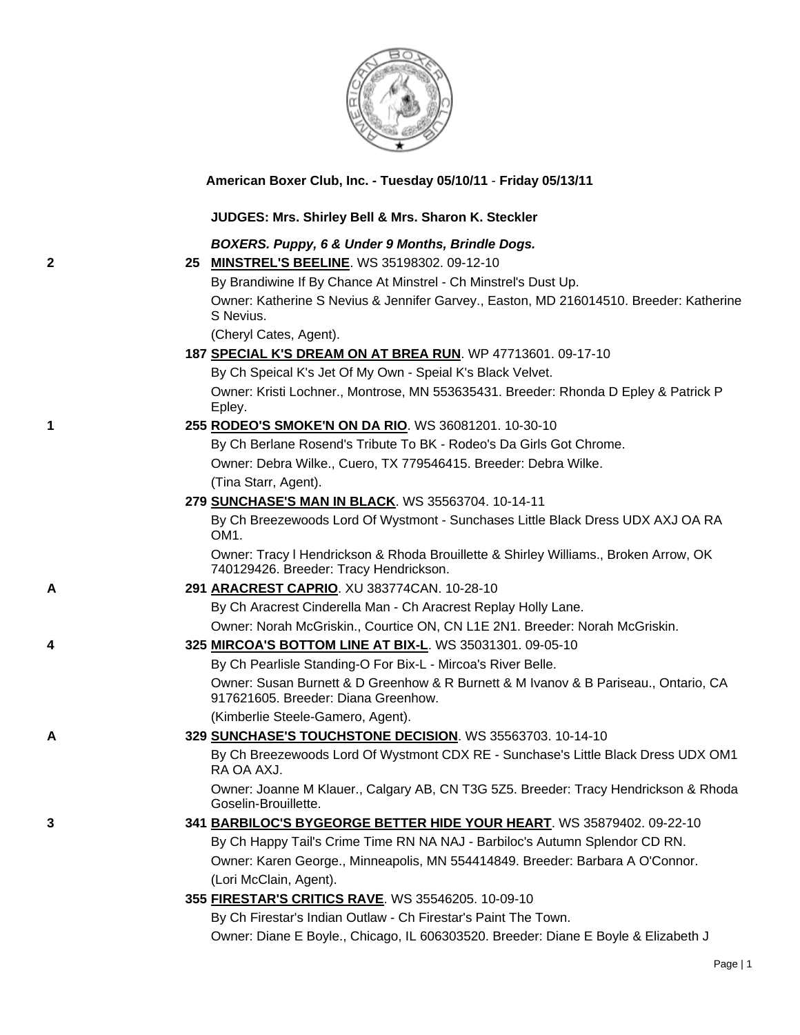

**American Boxer Club, Inc. - Tuesday 05/10/11** - **Friday 05/13/11**

#### **JUDGES: Mrs. Shirley Bell & Mrs. Sharon K. Steckler**

### *BOXERS. Puppy, 6 & Under 9 Months, Brindle Dogs.*

**2 25 [MINSTREL'S BEELINE](http://canis.infodog.com/files/bdogrsl1.prg;makc=WS_35198302;mdog=Minstrel_s_Beeline;wins=all)**. WS 35198302. 09-12-10

By Brandiwine If By Chance At Minstrel - Ch Minstrel's Dust Up.

Owner: Katherine S Nevius & Jennifer Garvey., Easton, MD 216014510. Breeder: Katherine S Nevius.

(Cheryl Cates, Agent).

**187 [SPECIAL K'S DREAM ON AT BREA RUN](http://canis.infodog.com/files/bdogrsl1.prg;makc=WP_47713601;mdog=Special_K_s_Dream_On_At_Brea_Run;wins=all)**. WP 47713601. 09-17-10

By Ch Speical K's Jet Of My Own - Speial K's Black Velvet. Owner: Kristi Lochner., Montrose, MN 553635431. Breeder: Rhonda D Epley & Patrick P Epley.

**1 255 [RODEO'S SMOKE'N ON DA RIO](http://canis.infodog.com/files/bdogrsl1.prg;makc=WS_36081201;mdog=Rodeo_s_Smoke_N_On_Da_Rio;wins=all)**. WS 36081201. 10-30-10

By Ch Berlane Rosend's Tribute To BK - Rodeo's Da Girls Got Chrome. Owner: Debra Wilke., Cuero, TX 779546415. Breeder: Debra Wilke. (Tina Starr, Agent).

**279 [SUNCHASE'S MAN IN BLACK](http://canis.infodog.com/files/bdogrsl1.prg;makc=WS_35563704;mdog=Sunchase_s_Man_In_Black;wins=all)**. WS 35563704. 10-14-11

By Ch Breezewoods Lord Of Wystmont - Sunchases Little Black Dress UDX AXJ OA RA OM1.

Owner: Tracy l Hendrickson & Rhoda Brouillette & Shirley Williams., Broken Arrow, OK 740129426. Breeder: Tracy Hendrickson.

**A 291 [ARACREST CAPRIO](http://canis.infodog.com/files/bdogrsl1.prg;makc=XU_383774CAN;mdog=Aracrest_Caprio;wins=all)**. XU 383774CAN. 10-28-10

By Ch Aracrest Cinderella Man - Ch Aracrest Replay Holly Lane.

Owner: Norah McGriskin., Courtice ON, CN L1E 2N1. Breeder: Norah McGriskin.

**4 325 [MIRCOA'S BOTTOM LINE AT BIX-L](http://canis.infodog.com/files/bdogrsl1.prg;makc=WS_35031301;mdog=Mircoa_s_Bottom_Line_At_Bix-L;wins=all)**. WS 35031301. 09-05-10

By Ch Pearlisle Standing-O For Bix-L - Mircoa's River Belle. Owner: Susan Burnett & D Greenhow & R Burnett & M Ivanov & B Pariseau., Ontario, CA 917621605. Breeder: Diana Greenhow.

(Kimberlie Steele-Gamero, Agent).

**A 329 [SUNCHASE'S TOUCHSTONE DECISION](http://canis.infodog.com/files/bdogrsl1.prg;makc=WS_35563703;mdog=Sunchase_s_Touchstone_Decision;wins=all)**. WS 35563703. 10-14-10

By Ch Breezewoods Lord Of Wystmont CDX RE - Sunchase's Little Black Dress UDX OM1 RA OA AXJ.

Owner: Joanne M Klauer., Calgary AB, CN T3G 5Z5. Breeder: Tracy Hendrickson & Rhoda Goselin-Brouillette.

- **3 341 [BARBILOC'S BYGEORGE BETTER HIDE YOUR HEART](http://canis.infodog.com/files/bdogrsl1.prg;makc=WS_35879402;mdog=Barbiloc_s_ByGeorge_Better_Hide_Your_Heart;wins=all)**. WS 35879402. 09-22-10 By Ch Happy Tail's Crime Time RN NA NAJ - Barbiloc's Autumn Splendor CD RN. Owner: Karen George., Minneapolis, MN 554414849. Breeder: Barbara A O'Connor. (Lori McClain, Agent).
	- **355 [FIRESTAR'S CRITICS RAVE](http://canis.infodog.com/files/bdogrsl1.prg;makc=WS_35546205;mdog=Firestar_s_Critics_Rave;wins=all)**. WS 35546205. 10-09-10

By Ch Firestar's Indian Outlaw - Ch Firestar's Paint The Town.

Owner: Diane E Boyle., Chicago, IL 606303520. Breeder: Diane E Boyle & Elizabeth J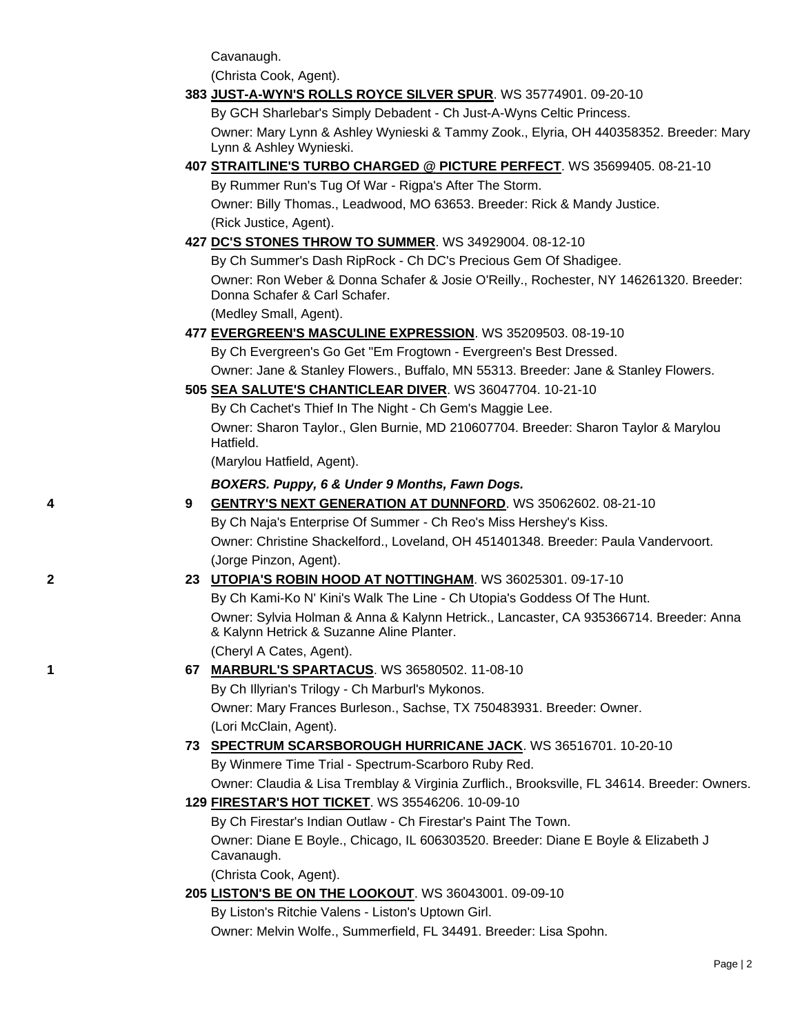Cavanaugh.

(Christa Cook, Agent).

## **383 [JUST-A-WYN'S ROLLS ROYCE SILVER SPUR](http://canis.infodog.com/files/bdogrsl1.prg;makc=WS_35774901;mdog=Just-A-Wyn_s_Rolls_Royce_Silver_Spur;wins=all)**. WS 35774901. 09-20-10

By GCH Sharlebar's Simply Debadent - Ch Just-A-Wyns Celtic Princess.

Owner: Mary Lynn & Ashley Wynieski & Tammy Zook., Elyria, OH 440358352. Breeder: Mary Lynn & Ashley Wynieski.

### **407 [STRAITLINE'S TURBO CHARGED @ PICTURE PERFECT](http://canis.infodog.com/files/bdogrsl1.prg;makc=WS_35699405;mdog=Straitline_s_Turbo_Charged_@_Picture_Perfect;wins=all)**. WS 35699405. 08-21-10

By Rummer Run's Tug Of War - Rigpa's After The Storm. Owner: Billy Thomas., Leadwood, MO 63653. Breeder: Rick & Mandy Justice. (Rick Justice, Agent).

**427 [DC'S STONES THROW TO SUMMER](http://canis.infodog.com/files/bdogrsl1.prg;makc=WS_34929004;mdog=DC_s_Stones_Throw_To_Summer;wins=all)**. WS 34929004. 08-12-10

By Ch Summer's Dash RipRock - Ch DC's Precious Gem Of Shadigee.

Owner: Ron Weber & Donna Schafer & Josie O'Reilly., Rochester, NY 146261320. Breeder: Donna Schafer & Carl Schafer.

(Medley Small, Agent).

### **477 [EVERGREEN'S MASCULINE EXPRESSION](http://canis.infodog.com/files/bdogrsl1.prg;makc=WS_35209503;mdog=Evergreen_s_Masculine_Expression;wins=all)**. WS 35209503. 08-19-10

By Ch Evergreen's Go Get "Em Frogtown - Evergreen's Best Dressed. Owner: Jane & Stanley Flowers., Buffalo, MN 55313. Breeder: Jane & Stanley Flowers.

## **505 [SEA SALUTE'S CHANTICLEAR DIVER](http://canis.infodog.com/files/bdogrsl1.prg;makc=WS_36047704;mdog=Sea_Salute_s_Chanticlear_Diver;wins=all)**. WS 36047704. 10-21-10

By Ch Cachet's Thief In The Night - Ch Gem's Maggie Lee. Owner: Sharon Taylor., Glen Burnie, MD 210607704. Breeder: Sharon Taylor & Marylou Hatfield.

(Marylou Hatfield, Agent).

### *BOXERS. Puppy, 6 & Under 9 Months, Fawn Dogs.*

**4 9 [GENTRY'S NEXT GENERATION AT DUNNFORD](http://canis.infodog.com/files/bdogrsl1.prg;makc=WS_35062602;mdog=Gentry_s_Next_Generation_At_Dunnford;wins=all)**. WS 35062602. 08-21-10 By Ch Naja's Enterprise Of Summer - Ch Reo's Miss Hershey's Kiss. Owner: Christine Shackelford., Loveland, OH 451401348. Breeder: Paula Vandervoort. (Jorge Pinzon, Agent). **2 23 [UTOPIA'S ROBIN HOOD AT NOTTINGHAM](http://canis.infodog.com/files/bdogrsl1.prg;makc=WS_36025301;mdog=Utopia_s_Robin_Hood_At_Nottingham;wins=all)**. WS 36025301. 09-17-10 By Ch Kami-Ko N' Kini's Walk The Line - Ch Utopia's Goddess Of The Hunt. Owner: Sylvia Holman & Anna & Kalynn Hetrick., Lancaster, CA 935366714. Breeder: Anna & Kalynn Hetrick & Suzanne Aline Planter. (Cheryl A Cates, Agent). **1 67 [MARBURL'S SPARTACUS](http://canis.infodog.com/files/bdogrsl1.prg;makc=WS_36580502;mdog=Marburl_s_Spartacus;wins=all)**. WS 36580502. 11-08-10 By Ch Illyrian's Trilogy - Ch Marburl's Mykonos. Owner: Mary Frances Burleson., Sachse, TX 750483931. Breeder: Owner.

(Lori McClain, Agent).

## **73 [SPECTRUM SCARSBOROUGH HURRICANE JACK](http://canis.infodog.com/files/bdogrsl1.prg;makc=WS_36516701;mdog=Spectrum_Scarsborough_Hurricane_Jack;wins=all)**. WS 36516701. 10-20-10 By Winmere Time Trial - Spectrum-Scarboro Ruby Red. Owner: Claudia & Lisa Tremblay & Virginia Zurflich., Brooksville, FL 34614. Breeder: Owners.

**129 [FIRESTAR'S HOT TICKET](http://canis.infodog.com/files/bdogrsl1.prg;makc=WS_35546206;mdog=Firestar_s_Hot_Ticket;wins=all)**. WS 35546206. 10-09-10

By Ch Firestar's Indian Outlaw - Ch Firestar's Paint The Town. Owner: Diane E Boyle., Chicago, IL 606303520. Breeder: Diane E Boyle & Elizabeth J Cavanaugh.

(Christa Cook, Agent).

**205 [LISTON'S BE ON THE LOOKOUT](http://canis.infodog.com/files/bdogrsl1.prg;makc=WS_36043001;mdog=Liston_s_Be_On_The_Lookout;wins=all)**. WS 36043001. 09-09-10

By Liston's Ritchie Valens - Liston's Uptown Girl.

Owner: Melvin Wolfe., Summerfield, FL 34491. Breeder: Lisa Spohn.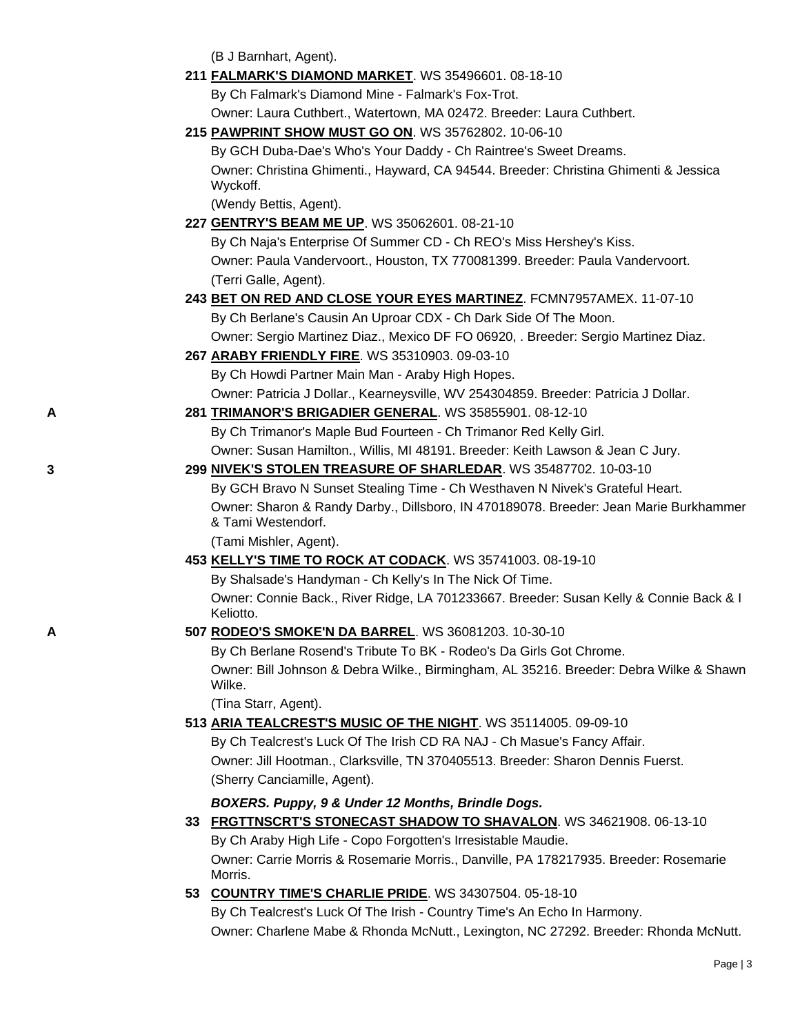(B J Barnhart, Agent).

| 211 FALMARK'S DIAMOND MARKET. WS 35496601. 08-18-10 |  |
|-----------------------------------------------------|--|
|-----------------------------------------------------|--|

By Ch Falmark's Diamond Mine - Falmark's Fox-Trot.

Owner: Laura Cuthbert., Watertown, MA 02472. Breeder: Laura Cuthbert.

**215 [PAWPRINT SHOW MUST GO ON](http://canis.infodog.com/files/bdogrsl1.prg;makc=WS_35762802;mdog=PawPrint_Show_Must_Go_On;wins=all)**. WS 35762802. 10-06-10

By GCH Duba-Dae's Who's Your Daddy - Ch Raintree's Sweet Dreams. Owner: Christina Ghimenti., Hayward, CA 94544. Breeder: Christina Ghimenti & Jessica Wyckoff.

(Wendy Bettis, Agent).

**227 [GENTRY'S BEAM ME UP](http://canis.infodog.com/files/bdogrsl1.prg;makc=WS_35062601;mdog=Gentry_s_Beam_Me_Up;wins=all)**. WS 35062601. 08-21-10

By Ch Naja's Enterprise Of Summer CD - Ch REO's Miss Hershey's Kiss. Owner: Paula Vandervoort., Houston, TX 770081399. Breeder: Paula Vandervoort. (Terri Galle, Agent).

## **243 [BET ON RED AND CLOSE YOUR EYES MARTINEZ](http://canis.infodog.com/files/bdogrsl1.prg;makc=FCMN7957AMEX;mdog=Bet_On_Red_And_Close_Your_Eyes_Martinez;wins=all)**. FCMN7957AMEX. 11-07-10

By Ch Berlane's Causin An Uproar CDX - Ch Dark Side Of The Moon. Owner: Sergio Martinez Diaz., Mexico DF FO 06920, . Breeder: Sergio Martinez Diaz.

- **267 [ARABY FRIENDLY FIRE](http://canis.infodog.com/files/bdogrsl1.prg;makc=WS_35310903;mdog=Araby_Friendly_Fire;wins=all)**. WS 35310903. 09-03-10 By Ch Howdi Partner Main Man - Araby High Hopes. Owner: Patricia J Dollar., Kearneysville, WV 254304859. Breeder: Patricia J Dollar.
- **A 281 [TRIMANOR'S BRIGADIER GENERAL](http://canis.infodog.com/files/bdogrsl1.prg;makc=WS_35855901;mdog=Trimanor_s_Brigadier_General;wins=all)**. WS 35855901. 08-12-10 By Ch Trimanor's Maple Bud Fourteen - Ch Trimanor Red Kelly Girl. Owner: Susan Hamilton., Willis, MI 48191. Breeder: Keith Lawson & Jean C Jury.
- **3 299 [NIVEK'S STOLEN TREASURE OF SHARLEDAR](http://canis.infodog.com/files/bdogrsl1.prg;makc=WS_35487702;mdog=Nivek_s_Stolen_Treasure_Of_Sharledar;wins=all)**. WS 35487702. 10-03-10 By GCH Bravo N Sunset Stealing Time - Ch Westhaven N Nivek's Grateful Heart. Owner: Sharon & Randy Darby., Dillsboro, IN 470189078. Breeder: Jean Marie Burkhammer & Tami Westendorf.

(Tami Mishler, Agent).

**453 [KELLY'S TIME TO ROCK AT CODACK](http://canis.infodog.com/files/bdogrsl1.prg;makc=WS_35741003;mdog=Kelly_s_Time_To_Rock_At_Codack;wins=all)**. WS 35741003. 08-19-10

By Shalsade's Handyman - Ch Kelly's In The Nick Of Time. Owner: Connie Back., River Ridge, LA 701233667. Breeder: Susan Kelly & Connie Back & I Keliotto.

**A 507 [RODEO'S SMOKE'N DA BARREL](http://canis.infodog.com/files/bdogrsl1.prg;makc=WS_36081203;mdog=Rodeo_s_Smoke_n_Da_Barrel;wins=all)**. WS 36081203. 10-30-10

By Ch Berlane Rosend's Tribute To BK - Rodeo's Da Girls Got Chrome. Owner: Bill Johnson & Debra Wilke., Birmingham, AL 35216. Breeder: Debra Wilke & Shawn Wilke.

(Tina Starr, Agent).

**513 [ARIA TEALCREST'S MUSIC OF THE NIGHT](http://canis.infodog.com/files/bdogrsl1.prg;makc=WS_35114005;mdog=Aria_TealCrest_s_Music_Of_The_Night;wins=all)**. WS 35114005. 09-09-10

By Ch Tealcrest's Luck Of The Irish CD RA NAJ - Ch Masue's Fancy Affair. Owner: Jill Hootman., Clarksville, TN 370405513. Breeder: Sharon Dennis Fuerst. (Sherry Canciamille, Agent).

*BOXERS. Puppy, 9 & Under 12 Months, Brindle Dogs.*

- **33 [FRGTTNSCRT'S STONECAST SHADOW TO SHAVALON](http://canis.infodog.com/files/bdogrsl1.prg;makc=WS_34621908;mdog=FrgttnScrt_s_Stonecast_Shadow_To_Shavalon;wins=all)**. WS 34621908. 06-13-10 By Ch Araby High Life - Copo Forgotten's Irresistable Maudie. Owner: Carrie Morris & Rosemarie Morris., Danville, PA 178217935. Breeder: Rosemarie Morris.
- **53 [COUNTRY TIME'S CHARLIE PRIDE](http://canis.infodog.com/files/bdogrsl1.prg;makc=WS_34307504;mdog=Country_Time_s_Charlie_Pride;wins=all)**. WS 34307504. 05-18-10

By Ch Tealcrest's Luck Of The Irish - Country Time's An Echo In Harmony. Owner: Charlene Mabe & Rhonda McNutt., Lexington, NC 27292. Breeder: Rhonda McNutt.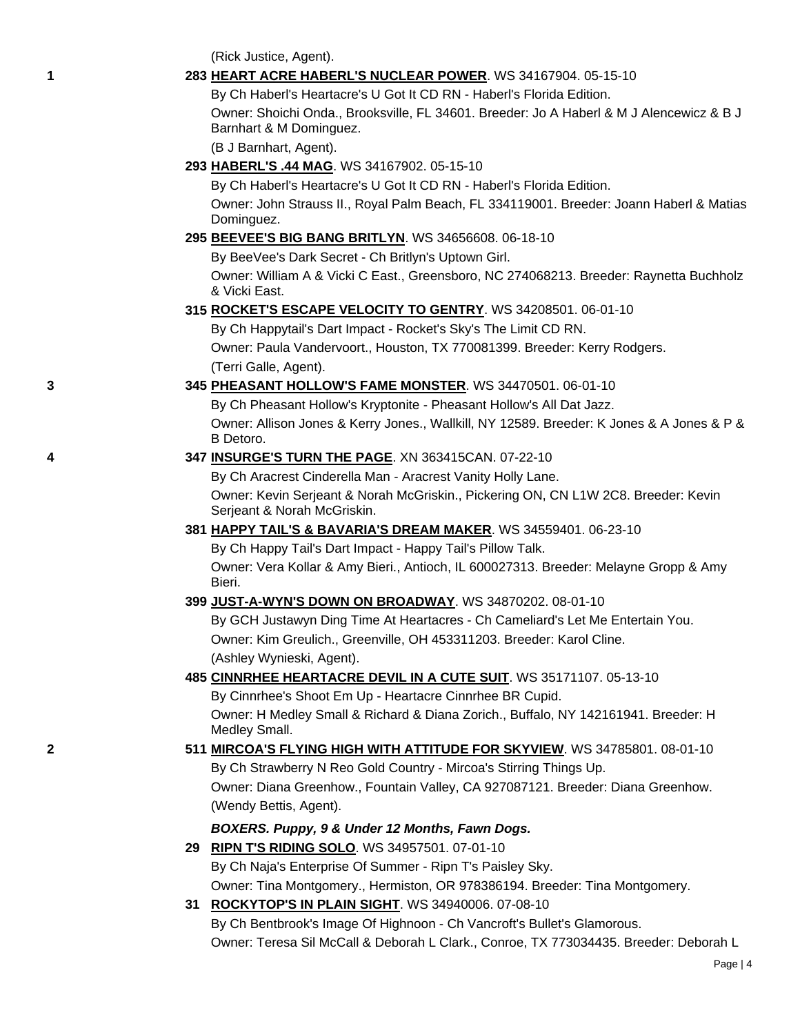(Rick Justice, Agent).

## **1 283 [HEART ACRE HABERL'S NUCLEAR POWER](http://canis.infodog.com/files/bdogrsl1.prg;makc=WS_34167904;mdog=Heart_Acre_Haberl_s_Nuclear_Power;wins=all)**. WS 34167904. 05-15-10

By Ch Haberl's Heartacre's U Got It CD RN - Haberl's Florida Edition. Owner: Shoichi Onda., Brooksville, FL 34601. Breeder: Jo A Haberl & M J Alencewicz & B J Barnhart & M Dominguez.

(B J Barnhart, Agent).

### **293 [HABERL'S .44 MAG](http://canis.infodog.com/files/bdogrsl1.prg;makc=WS_34167902;mdog=Haberl_s_.44_Mag;wins=all)**. WS 34167902. 05-15-10

By Ch Haberl's Heartacre's U Got It CD RN - Haberl's Florida Edition. Owner: John Strauss II., Royal Palm Beach, FL 334119001. Breeder: Joann Haberl & Matias Dominguez.

### **295 [BEEVEE'S BIG BANG BRITLYN](http://canis.infodog.com/files/bdogrsl1.prg;makc=WS_34656608;mdog=BeeVee_s_Big_Bang_Britlyn;wins=all)**. WS 34656608. 06-18-10

By BeeVee's Dark Secret - Ch Britlyn's Uptown Girl.

Owner: William A & Vicki C East., Greensboro, NC 274068213. Breeder: Raynetta Buchholz & Vicki East.

## **315 [ROCKET'S ESCAPE VELOCITY TO GENTRY](http://canis.infodog.com/files/bdogrsl1.prg;makc=WS_34208501;mdog=Rocket_s_Escape_Velocity_To_Gentry;wins=all)**. WS 34208501. 06-01-10

By Ch Happytail's Dart Impact - Rocket's Sky's The Limit CD RN. Owner: Paula Vandervoort., Houston, TX 770081399. Breeder: Kerry Rodgers. (Terri Galle, Agent).

## **3 345 [PHEASANT HOLLOW'S FAME MONSTER](http://canis.infodog.com/files/bdogrsl1.prg;makc=WS_34470501;mdog=Pheasant_Hollow_s_Fame_Monster;wins=all)**. WS 34470501. 06-01-10

By Ch Pheasant Hollow's Kryptonite - Pheasant Hollow's All Dat Jazz. Owner: Allison Jones & Kerry Jones., Wallkill, NY 12589. Breeder: K Jones & A Jones & P & B Detoro.

## **4 347 [INSURGE'S TURN THE PAGE](http://canis.infodog.com/files/bdogrsl1.prg;makc=XN_363415CAN;mdog=Insurge_s_Turn_The_Page;wins=all)**. XN 363415CAN. 07-22-10

By Ch Aracrest Cinderella Man - Aracrest Vanity Holly Lane. Owner: Kevin Serjeant & Norah McGriskin., Pickering ON, CN L1W 2C8. Breeder: Kevin Serjeant & Norah McGriskin.

## **381 [HAPPY TAIL'S & BAVARIA'S DREAM MAKER](http://canis.infodog.com/files/bdogrsl1.prg;makc=WS_34559401;mdog=Happy_Tail_s_&_Bavaria_s_Dream_Maker;wins=all)**. WS 34559401. 06-23-10

By Ch Happy Tail's Dart Impact - Happy Tail's Pillow Talk. Owner: Vera Kollar & Amy Bieri., Antioch, IL 600027313. Breeder: Melayne Gropp & Amy Bieri.

## **399 [JUST-A-WYN'S DOWN ON BROADWAY](http://canis.infodog.com/files/bdogrsl1.prg;makc=WS_34870202;mdog=Just-A-Wyn_s_Down_On_Broadway;wins=all)**. WS 34870202. 08-01-10

By GCH Justawyn Ding Time At Heartacres - Ch Cameliard's Let Me Entertain You. Owner: Kim Greulich., Greenville, OH 453311203. Breeder: Karol Cline. (Ashley Wynieski, Agent).

### **485 [CINNRHEE HEARTACRE DEVIL IN A CUTE SUIT](http://canis.infodog.com/files/bdogrsl1.prg;makc=WS_35171107;mdog=Cinnrhee_Heartacre_Devil_In_A_Cute_Suit;wins=all)**. WS 35171107. 05-13-10 By Cinnrhee's Shoot Em Up - Heartacre Cinnrhee BR Cupid.

Owner: H Medley Small & Richard & Diana Zorich., Buffalo, NY 142161941. Breeder: H Medley Small.

## **2 511 [MIRCOA'S FLYING HIGH WITH ATTITUDE FOR SKYVIEW](http://canis.infodog.com/files/bdogrsl1.prg;makc=WS_34785801;mdog=Mircoa_s_Flying_High_With_Attitude_For_Skyview;wins=all)**. WS 34785801. 08-01-10 By Ch Strawberry N Reo Gold Country - Mircoa's Stirring Things Up. Owner: Diana Greenhow., Fountain Valley, CA 927087121. Breeder: Diana Greenhow. (Wendy Bettis, Agent).

## *BOXERS. Puppy, 9 & Under 12 Months, Fawn Dogs.*

- **29 [RIPN T'S RIDING SOLO](http://canis.infodog.com/files/bdogrsl1.prg;makc=WS_34957501;mdog=Ripn_T_s_Riding_Solo;wins=all)**. WS 34957501. 07-01-10 By Ch Naja's Enterprise Of Summer - Ripn T's Paisley Sky. Owner: Tina Montgomery., Hermiston, OR 978386194. Breeder: Tina Montgomery.
- **31 [ROCKYTOP'S IN PLAIN SIGHT](http://canis.infodog.com/files/bdogrsl1.prg;makc=WS_34940006;mdog=Rockytop_s_In_Plain_Sight;wins=all)**. WS 34940006. 07-08-10 By Ch Bentbrook's Image Of Highnoon - Ch Vancroft's Bullet's Glamorous. Owner: Teresa Sil McCall & Deborah L Clark., Conroe, TX 773034435. Breeder: Deborah L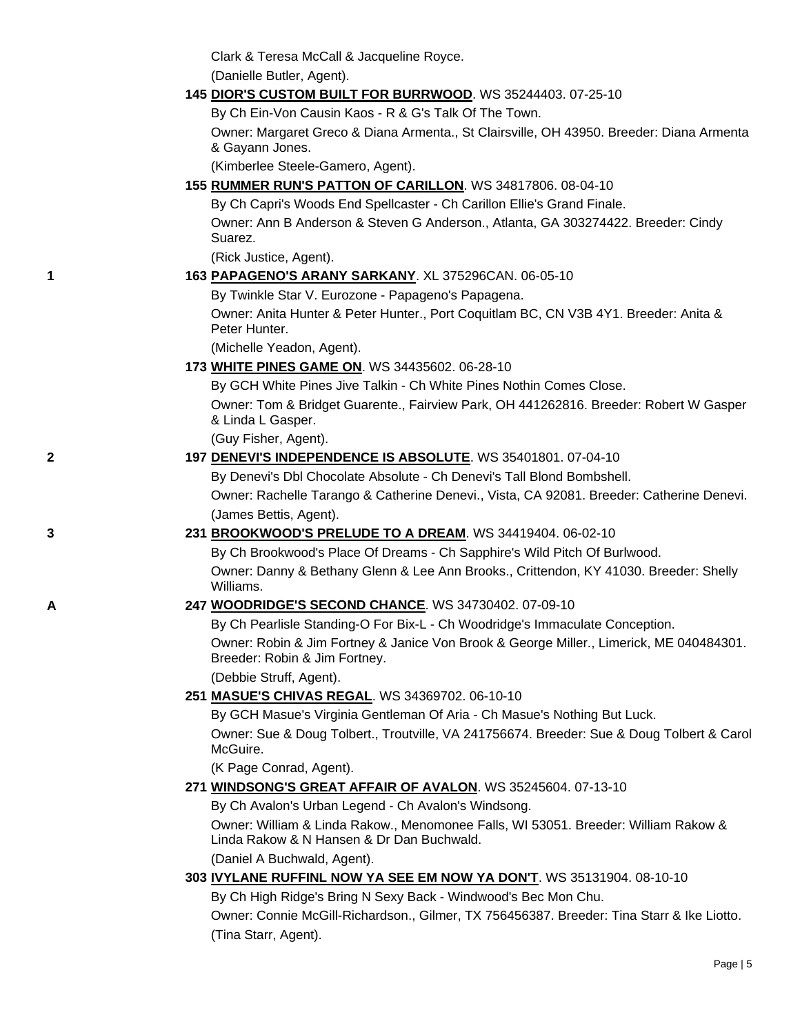Clark & Teresa McCall & Jacqueline Royce.

(Danielle Butler, Agent).

## **145 [DIOR'S CUSTOM BUILT FOR BURRWOOD](http://canis.infodog.com/files/bdogrsl1.prg;makc=WS_35244403;mdog=Dior_s_Custom_Built_For_Burrwood;wins=all)**. WS 35244403. 07-25-10

By Ch Ein-Von Causin Kaos - R & G's Talk Of The Town.

Owner: Margaret Greco & Diana Armenta., St Clairsville, OH 43950. Breeder: Diana Armenta & Gayann Jones.

(Kimberlee Steele-Gamero, Agent).

**155 [RUMMER RUN'S PATTON OF CARILLON](http://canis.infodog.com/files/bdogrsl1.prg;makc=WS_34817806;mdog=Rummer_Run_s_Patton_Of_Carillon;wins=all)**. WS 34817806. 08-04-10

By Ch Capri's Woods End Spellcaster - Ch Carillon Ellie's Grand Finale. Owner: Ann B Anderson & Steven G Anderson., Atlanta, GA 303274422. Breeder: Cindy Suarez.

(Rick Justice, Agent).

## **1 163 [PAPAGENO'S ARANY SARKANY](http://canis.infodog.com/files/bdogrsl1.prg;makc=XL_375296CAN;mdog=Papageno_s_Arany_Sarkany;wins=all)**. XL 375296CAN. 06-05-10

By Twinkle Star V. Eurozone - Papageno's Papagena.

Owner: Anita Hunter & Peter Hunter., Port Coquitlam BC, CN V3B 4Y1. Breeder: Anita & Peter Hunter.

(Michelle Yeadon, Agent).

## **173 [WHITE PINES GAME ON](http://canis.infodog.com/files/bdogrsl1.prg;makc=WS_34435602;mdog=White_Pines_Game_On;wins=all)**. WS 34435602. 06-28-10

By GCH White Pines Jive Talkin - Ch White Pines Nothin Comes Close.

Owner: Tom & Bridget Guarente., Fairview Park, OH 441262816. Breeder: Robert W Gasper & Linda L Gasper.

(Guy Fisher, Agent).

## **2 197 [DENEVI'S INDEPENDENCE IS ABSOLUTE](http://canis.infodog.com/files/bdogrsl1.prg;makc=WS_35401801;mdog=Denevi_s_Independence_Is_Absolute;wins=all)**. WS 35401801. 07-04-10

By Denevi's Dbl Chocolate Absolute - Ch Denevi's Tall Blond Bombshell.

Owner: Rachelle Tarango & Catherine Denevi., Vista, CA 92081. Breeder: Catherine Denevi. (James Bettis, Agent).

## **3 231 [BROOKWOOD'S PRELUDE TO A DREAM](http://canis.infodog.com/files/bdogrsl1.prg;makc=WS_34419404;mdog=Brookwood_s_Prelude_To_A_Dream;wins=all)**. WS 34419404. 06-02-10

By Ch Brookwood's Place Of Dreams - Ch Sapphire's Wild Pitch Of Burlwood. Owner: Danny & Bethany Glenn & Lee Ann Brooks., Crittendon, KY 41030. Breeder: Shelly Williams.

## **A 247 [WOODRIDGE'S SECOND CHANCE](http://canis.infodog.com/files/bdogrsl1.prg;makc=WS_34730402;mdog=Woodridge_s_Second_Chance;wins=all)**. WS 34730402. 07-09-10

By Ch Pearlisle Standing-O For Bix-L - Ch Woodridge's Immaculate Conception. Owner: Robin & Jim Fortney & Janice Von Brook & George Miller., Limerick, ME 040484301. Breeder: Robin & Jim Fortney.

(Debbie Struff, Agent).

## **251 [MASUE'S CHIVAS REGAL](http://canis.infodog.com/files/bdogrsl1.prg;makc=WS_34369702;mdog=Masue_s_Chivas_Regal;wins=all)**. WS 34369702. 06-10-10

By GCH Masue's Virginia Gentleman Of Aria - Ch Masue's Nothing But Luck.

Owner: Sue & Doug Tolbert., Troutville, VA 241756674. Breeder: Sue & Doug Tolbert & Carol McGuire.

(K Page Conrad, Agent).

## **271 [WINDSONG'S GREAT AFFAIR OF AVALON](http://canis.infodog.com/files/bdogrsl1.prg;makc=WS_35245604;mdog=Windsong_s_Great_Affair_Of_Avalon;wins=all)**. WS 35245604. 07-13-10

By Ch Avalon's Urban Legend - Ch Avalon's Windsong.

Owner: William & Linda Rakow., Menomonee Falls, WI 53051. Breeder: William Rakow & Linda Rakow & N Hansen & Dr Dan Buchwald.

(Daniel A Buchwald, Agent).

## **303 [IVYLANE RUFFINL NOW YA SEE EM NOW YA DON'T](http://canis.infodog.com/files/bdogrsl1.prg;makc=WS_35131904;mdog=Ivylane_RuffinL_Now_Ya_See_Em_Now_Ya_Don_t;wins=all)**. WS 35131904. 08-10-10

By Ch High Ridge's Bring N Sexy Back - Windwood's Bec Mon Chu.

Owner: Connie McGill-Richardson., Gilmer, TX 756456387. Breeder: Tina Starr & Ike Liotto. (Tina Starr, Agent).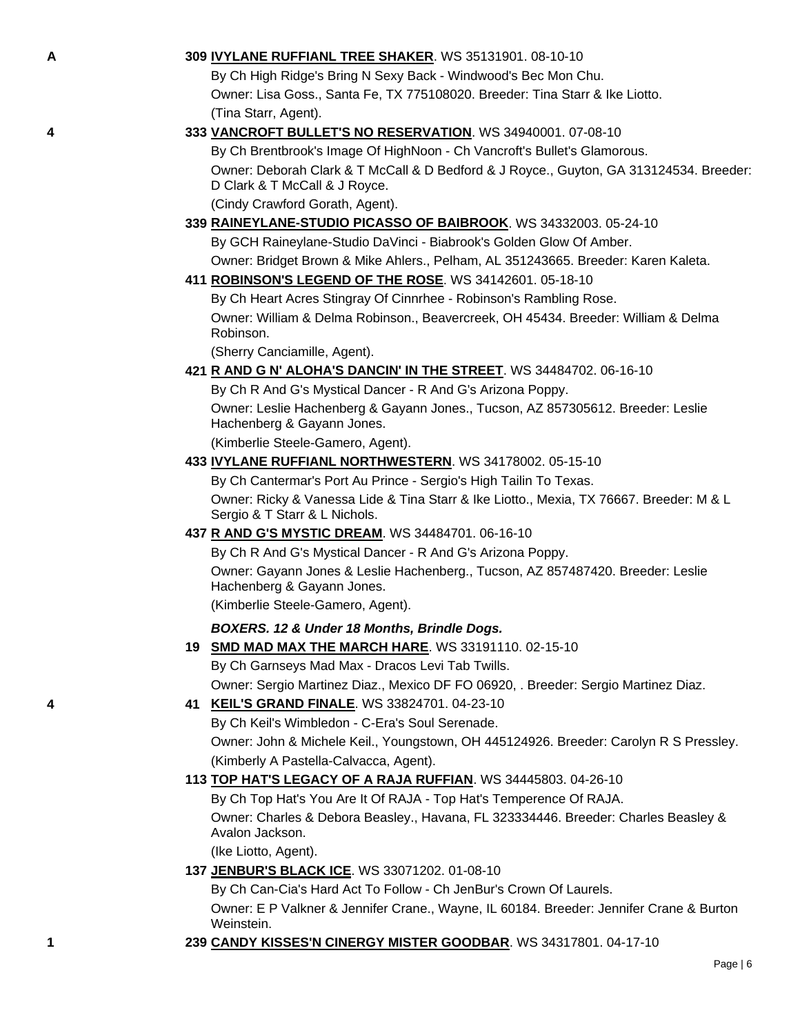| ٠ |
|---|
|   |
|   |

#### **A 309 [IVYLANE RUFFIANL TREE SHAKER](http://canis.infodog.com/files/bdogrsl1.prg;makc=WS_35131901;mdog=Ivylane_Ruffianl_Tree_Shaker;wins=all)**. WS 35131901. 08-10-10

By Ch High Ridge's Bring N Sexy Back - Windwood's Bec Mon Chu. Owner: Lisa Goss., Santa Fe, TX 775108020. Breeder: Tina Starr & Ike Liotto. (Tina Starr, Agent).

#### **4 333 [VANCROFT BULLET'S NO RESERVATION](http://canis.infodog.com/files/bdogrsl1.prg;makc=WS_34940001;mdog=Vancroft_Bullet_s_No_Reservation;wins=all)**. WS 34940001. 07-08-10

By Ch Brentbrook's Image Of HighNoon - Ch Vancroft's Bullet's Glamorous. Owner: Deborah Clark & T McCall & D Bedford & J Royce., Guyton, GA 313124534. Breeder: D Clark & T McCall & J Royce.

(Cindy Crawford Gorath, Agent).

## **339 [RAINEYLANE-STUDIO PICASSO OF BAIBROOK](http://canis.infodog.com/files/bdogrsl1.prg;makc=WS_34332003;mdog=Raineylane-Studio_Picasso_Of_Baibrook;wins=all)**. WS 34332003. 05-24-10 By GCH Raineylane-Studio DaVinci - Biabrook's Golden Glow Of Amber. Owner: Bridget Brown & Mike Ahlers., Pelham, AL 351243665. Breeder: Karen Kaleta.

**411 [ROBINSON'S LEGEND OF THE ROSE](http://canis.infodog.com/files/bdogrsl1.prg;makc=WS_34142601;mdog=Robinson_s_Legend_Of_The_Rose;wins=all)**. WS 34142601. 05-18-10

By Ch Heart Acres Stingray Of Cinnrhee - Robinson's Rambling Rose. Owner: William & Delma Robinson., Beavercreek, OH 45434. Breeder: William & Delma Robinson.

(Sherry Canciamille, Agent).

## **421 [R AND G N' ALOHA'S DANCIN' IN THE STREET](http://canis.infodog.com/files/bdogrsl1.prg;makc=WS_34484702;mdog=R_And_G_N__Aloha_s_Dancin__In_The_Street;wins=all)**. WS 34484702. 06-16-10

By Ch R And G's Mystical Dancer - R And G's Arizona Poppy.

Owner: Leslie Hachenberg & Gayann Jones., Tucson, AZ 857305612. Breeder: Leslie Hachenberg & Gayann Jones.

(Kimberlie Steele-Gamero, Agent).

#### **433 [IVYLANE RUFFIANL NORTHWESTERN](http://canis.infodog.com/files/bdogrsl1.prg;makc=WS_34178002;mdog=Ivylane_Ruffianl_Northwestern;wins=all)**. WS 34178002. 05-15-10

By Ch Cantermar's Port Au Prince - Sergio's High Tailin To Texas. Owner: Ricky & Vanessa Lide & Tina Starr & Ike Liotto., Mexia, TX 76667. Breeder: M & L Sergio & T Starr & L Nichols.

#### **437 [R AND G'S MYSTIC DREAM](http://canis.infodog.com/files/bdogrsl1.prg;makc=WS_34484701;mdog=R_And_G_s_Mystic_Dream;wins=all)**. WS 34484701. 06-16-10

By Ch R And G's Mystical Dancer - R And G's Arizona Poppy.

Owner: Gayann Jones & Leslie Hachenberg., Tucson, AZ 857487420. Breeder: Leslie Hachenberg & Gayann Jones.

(Kimberlie Steele-Gamero, Agent).

#### *BOXERS. 12 & Under 18 Months, Brindle Dogs.*

**19 [SMD MAD MAX THE MARCH HARE](http://canis.infodog.com/files/bdogrsl1.prg;makc=WS_33191110;mdog=SMD_Mad_Max_The_March_Hare;wins=all)**. WS 33191110. 02-15-10

By Ch Garnseys Mad Max - Dracos Levi Tab Twills.

Owner: Sergio Martinez Diaz., Mexico DF FO 06920, . Breeder: Sergio Martinez Diaz.

#### **4 41 [KEIL'S GRAND FINALE](http://canis.infodog.com/files/bdogrsl1.prg;makc=WS_33824701;mdog=Keil_s_Grand_Finale;wins=all)**. WS 33824701. 04-23-10

By Ch Keil's Wimbledon - C-Era's Soul Serenade. Owner: John & Michele Keil., Youngstown, OH 445124926. Breeder: Carolyn R S Pressley. (Kimberly A Pastella-Calvacca, Agent).

#### **113 [TOP HAT'S LEGACY OF A RAJA RUFFIAN](http://canis.infodog.com/files/bdogrsl1.prg;makc=WS_34445803;mdog=Top_Hat_s_Legacy_Of_A_Raja_Ruffian;wins=all)**. WS 34445803. 04-26-10

By Ch Top Hat's You Are It Of RAJA - Top Hat's Temperence Of RAJA.

Owner: Charles & Debora Beasley., Havana, FL 323334446. Breeder: Charles Beasley & Avalon Jackson.

(Ike Liotto, Agent).

### **137 [JENBUR'S BLACK ICE](http://canis.infodog.com/files/bdogrsl1.prg;makc=WS_33071202;mdog=Jenbur_s_Black_Ice;wins=all)**. WS 33071202. 01-08-10

By Ch Can-Cia's Hard Act To Follow - Ch JenBur's Crown Of Laurels. Owner: E P Valkner & Jennifer Crane., Wayne, IL 60184. Breeder: Jennifer Crane & Burton Weinstein.

**1 239 [CANDY KISSES'N CINERGY MISTER GOODBAR](http://canis.infodog.com/files/bdogrsl1.prg;makc=WS_34317801;mdog=Candy_Kisses_N_Cinergy_Mister_Goodbar;wins=all)**. WS 34317801. 04-17-10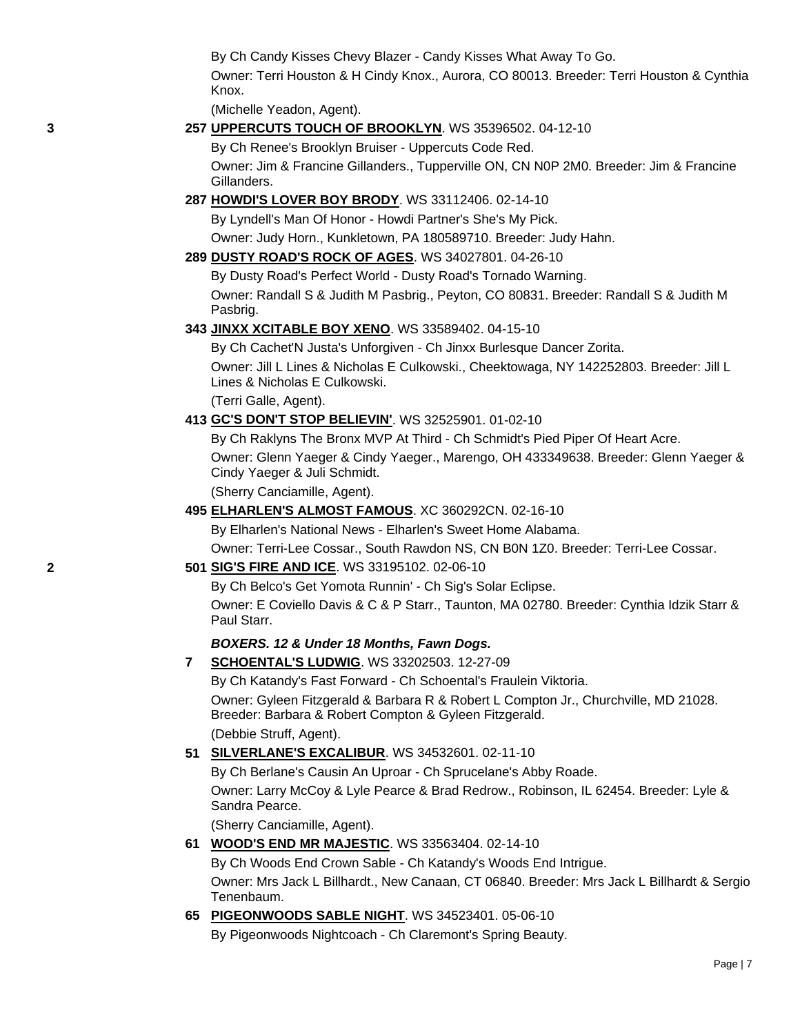By Ch Candy Kisses Chevy Blazer - Candy Kisses What Away To Go.

Owner: Terri Houston & H Cindy Knox., Aurora, CO 80013. Breeder: Terri Houston & Cynthia Knox.

(Michelle Yeadon, Agent).

## **3 257 [UPPERCUTS TOUCH OF BROOKLYN](http://canis.infodog.com/files/bdogrsl1.prg;makc=WS_35396502;mdog=Uppercuts_Touch_Of_Brooklyn;wins=all)**. WS 35396502. 04-12-10

By Ch Renee's Brooklyn Bruiser - Uppercuts Code Red. Owner: Jim & Francine Gillanders., Tupperville ON, CN N0P 2M0. Breeder: Jim & Francine Gillanders.

### **287 [HOWDI'S LOVER BOY BRODY](http://canis.infodog.com/files/bdogrsl1.prg;makc=WS_33112406;mdog=Howdi_s_Lover_Boy_Brody;wins=all)**. WS 33112406. 02-14-10

By Lyndell's Man Of Honor - Howdi Partner's She's My Pick.

Owner: Judy Horn., Kunkletown, PA 180589710. Breeder: Judy Hahn.

### **289 [DUSTY ROAD'S ROCK OF AGES](http://canis.infodog.com/files/bdogrsl1.prg;makc=WS_34027801;mdog=Dusty_Road_s_Rock_Of_Ages;wins=all)**. WS 34027801. 04-26-10

By Dusty Road's Perfect World - Dusty Road's Tornado Warning.

Owner: Randall S & Judith M Pasbrig., Peyton, CO 80831. Breeder: Randall S & Judith M Pasbrig.

## **343 [JINXX XCITABLE BOY XENO](http://canis.infodog.com/files/bdogrsl1.prg;makc=WS_33589402;mdog=Jinxx_Xcitable_Boy_Xeno;wins=all)**. WS 33589402. 04-15-10

By Ch Cachet'N Justa's Unforgiven - Ch Jinxx Burlesque Dancer Zorita.

Owner: Jill L Lines & Nicholas E Culkowski., Cheektowaga, NY 142252803. Breeder: Jill L Lines & Nicholas E Culkowski.

(Terri Galle, Agent).

### **413 [GC'S DON'T STOP BELIEVIN'](http://canis.infodog.com/files/bdogrsl1.prg;makc=WS_32525901;mdog=GC_s_Don_t_Stop_Believin_;wins=all)**. WS 32525901. 01-02-10

By Ch Raklyns The Bronx MVP At Third - Ch Schmidt's Pied Piper Of Heart Acre.

Owner: Glenn Yaeger & Cindy Yaeger., Marengo, OH 433349638. Breeder: Glenn Yaeger & Cindy Yaeger & Juli Schmidt.

(Sherry Canciamille, Agent).

#### **495 [ELHARLEN'S ALMOST FAMOUS](http://canis.infodog.com/files/bdogrsl1.prg;makc=XC_360292CN;mdog=Elharlen_s_Almost_Famous;wins=all)**. XC 360292CN. 02-16-10

By Elharlen's National News - Elharlen's Sweet Home Alabama.

Owner: Terri-Lee Cossar., South Rawdon NS, CN B0N 1Z0. Breeder: Terri-Lee Cossar.

### **2 501 [SIG'S FIRE AND ICE](http://canis.infodog.com/files/bdogrsl1.prg;makc=WS_33195102;mdog=Sig_s_Fire_And_Ice;wins=all)**. WS 33195102. 02-06-10

By Ch Belco's Get Yomota Runnin' - Ch Sig's Solar Eclipse.

Owner: E Coviello Davis & C & P Starr., Taunton, MA 02780. Breeder: Cynthia Idzik Starr & Paul Starr.

### *BOXERS. 12 & Under 18 Months, Fawn Dogs.*

**7 [SCHOENTAL'S LUDWIG](http://canis.infodog.com/files/bdogrsl1.prg;makc=WS_33202503;mdog=Schoental_s_Ludwig;wins=all)**. WS 33202503. 12-27-09

By Ch Katandy's Fast Forward - Ch Schoental's Fraulein Viktoria. Owner: Gyleen Fitzgerald & Barbara R & Robert L Compton Jr., Churchville, MD 21028. Breeder: Barbara & Robert Compton & Gyleen Fitzgerald.

(Debbie Struff, Agent).

## **51 [SILVERLANE'S EXCALIBUR](http://canis.infodog.com/files/bdogrsl1.prg;makc=WS_34532601;mdog=Silverlane_s_Excalibur;wins=all)**. WS 34532601. 02-11-10

By Ch Berlane's Causin An Uproar - Ch Sprucelane's Abby Roade.

Owner: Larry McCoy & Lyle Pearce & Brad Redrow., Robinson, IL 62454. Breeder: Lyle & Sandra Pearce.

(Sherry Canciamille, Agent).

## **61 [WOOD'S END MR MAJESTIC](http://canis.infodog.com/files/bdogrsl1.prg;makc=WS_33563404;mdog=Wood_s_End_Mr_Majestic;wins=all)**. WS 33563404. 02-14-10

By Ch Woods End Crown Sable - Ch Katandy's Woods End Intrigue.

Owner: Mrs Jack L Billhardt., New Canaan, CT 06840. Breeder: Mrs Jack L Billhardt & Sergio Tenenbaum.

## **65 [PIGEONWOODS SABLE NIGHT](http://canis.infodog.com/files/bdogrsl1.prg;makc=WS_34523401;mdog=Pigeonwoods_Sable_Night;wins=all)**. WS 34523401. 05-06-10

By Pigeonwoods Nightcoach - Ch Claremont's Spring Beauty.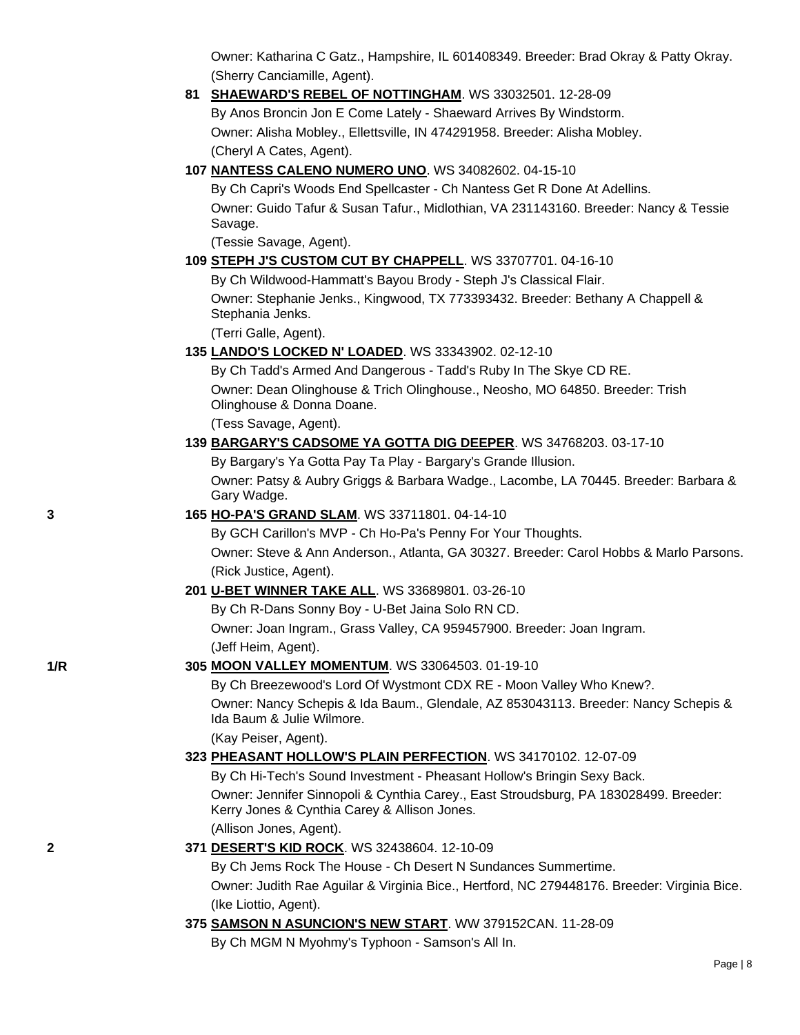Owner: Katharina C Gatz., Hampshire, IL 601408349. Breeder: Brad Okray & Patty Okray. (Sherry Canciamille, Agent).

**81 [SHAEWARD'S REBEL OF NOTTINGHAM](http://canis.infodog.com/files/bdogrsl1.prg;makc=WS_33032501;mdog=Shaeward_s_Rebel_Of_Nottingham;wins=all)**. WS 33032501. 12-28-09 By Anos Broncin Jon E Come Lately - Shaeward Arrives By Windstorm. Owner: Alisha Mobley., Ellettsville, IN 474291958. Breeder: Alisha Mobley. (Cheryl A Cates, Agent).

## **107 [NANTESS CALENO NUMERO UNO](http://canis.infodog.com/files/bdogrsl1.prg;makc=WS_34082602;mdog=Nantess_Caleno_Numero_Uno;wins=all)**. WS 34082602. 04-15-10

By Ch Capri's Woods End Spellcaster - Ch Nantess Get R Done At Adellins. Owner: Guido Tafur & Susan Tafur., Midlothian, VA 231143160. Breeder: Nancy & Tessie Savage.

(Tessie Savage, Agent).

## **109 [STEPH J'S CUSTOM CUT BY CHAPPELL](http://canis.infodog.com/files/bdogrsl1.prg;makc=WS_33707701;mdog=Steph_J_s_Custom_Cut_By_Chappell;wins=all)**. WS 33707701. 04-16-10

By Ch Wildwood-Hammatt's Bayou Brody - Steph J's Classical Flair.

Owner: Stephanie Jenks., Kingwood, TX 773393432. Breeder: Bethany A Chappell & Stephania Jenks.

(Terri Galle, Agent).

## **135 [LANDO'S LOCKED N' LOADED](http://canis.infodog.com/files/bdogrsl1.prg;makc=WS_33343902;mdog=Lando_s_Locked_N__Loaded;wins=all)**. WS 33343902. 02-12-10

By Ch Tadd's Armed And Dangerous - Tadd's Ruby In The Skye CD RE. Owner: Dean Olinghouse & Trich Olinghouse., Neosho, MO 64850. Breeder: Trish Olinghouse & Donna Doane.

(Tess Savage, Agent).

## **139 [BARGARY'S CADSOME YA GOTTA DIG DEEPER](http://canis.infodog.com/files/bdogrsl1.prg;makc=WS_34768203;mdog=Bargary_s_Cadsome_Ya_Gotta_Dig_Deeper;wins=all)**. WS 34768203. 03-17-10

By Bargary's Ya Gotta Pay Ta Play - Bargary's Grande Illusion. Owner: Patsy & Aubry Griggs & Barbara Wadge., Lacombe, LA 70445. Breeder: Barbara & Gary Wadge.

## **3 165 [HO-PA'S GRAND SLAM](http://canis.infodog.com/files/bdogrsl1.prg;makc=WS_33711801;mdog=Ho-Pa_s_Grand_Slam;wins=all)**. WS 33711801. 04-14-10

By GCH Carillon's MVP - Ch Ho-Pa's Penny For Your Thoughts. Owner: Steve & Ann Anderson., Atlanta, GA 30327. Breeder: Carol Hobbs & Marlo Parsons. (Rick Justice, Agent).

## **201 [U-BET WINNER TAKE ALL](http://canis.infodog.com/files/bdogrsl1.prg;makc=WS_33689801;mdog=U-Bet_Winner_Take_All;wins=all)**. WS 33689801. 03-26-10

By Ch R-Dans Sonny Boy - U-Bet Jaina Solo RN CD.

Owner: Joan Ingram., Grass Valley, CA 959457900. Breeder: Joan Ingram. (Jeff Heim, Agent).

## **1/R 305 [MOON VALLEY MOMENTUM](http://canis.infodog.com/files/bdogrsl1.prg;makc=WS_33064503;mdog=Moon_Valley_Momentum;wins=all)**. WS 33064503. 01-19-10

By Ch Breezewood's Lord Of Wystmont CDX RE - Moon Valley Who Knew?. Owner: Nancy Schepis & Ida Baum., Glendale, AZ 853043113. Breeder: Nancy Schepis & Ida Baum & Julie Wilmore.

(Kay Peiser, Agent).

## **323 [PHEASANT HOLLOW'S PLAIN PERFECTION](http://canis.infodog.com/files/bdogrsl1.prg;makc=WS_34170102;mdog=Pheasant_Hollow_s_Plain_Perfection;wins=all)**. WS 34170102. 12-07-09

By Ch Hi-Tech's Sound Investment - Pheasant Hollow's Bringin Sexy Back.

Owner: Jennifer Sinnopoli & Cynthia Carey., East Stroudsburg, PA 183028499. Breeder: Kerry Jones & Cynthia Carey & Allison Jones. (Allison Jones, Agent).

## **2 371 [DESERT'S KID ROCK](http://canis.infodog.com/files/bdogrsl1.prg;makc=WS_32438604;mdog=Desert_s_Kid_Rock;wins=all)**. WS 32438604. 12-10-09

By Ch Jems Rock The House - Ch Desert N Sundances Summertime. Owner: Judith Rae Aguilar & Virginia Bice., Hertford, NC 279448176. Breeder: Virginia Bice. (Ike Liottio, Agent).

## **375 [SAMSON N ASUNCION'S NEW START](http://canis.infodog.com/files/bdogrsl1.prg;makc=WW_379152CAN;mdog=Samson_N_Asuncion_s_New_Start;wins=all)**. WW 379152CAN. 11-28-09

By Ch MGM N Myohmy's Typhoon - Samson's All In.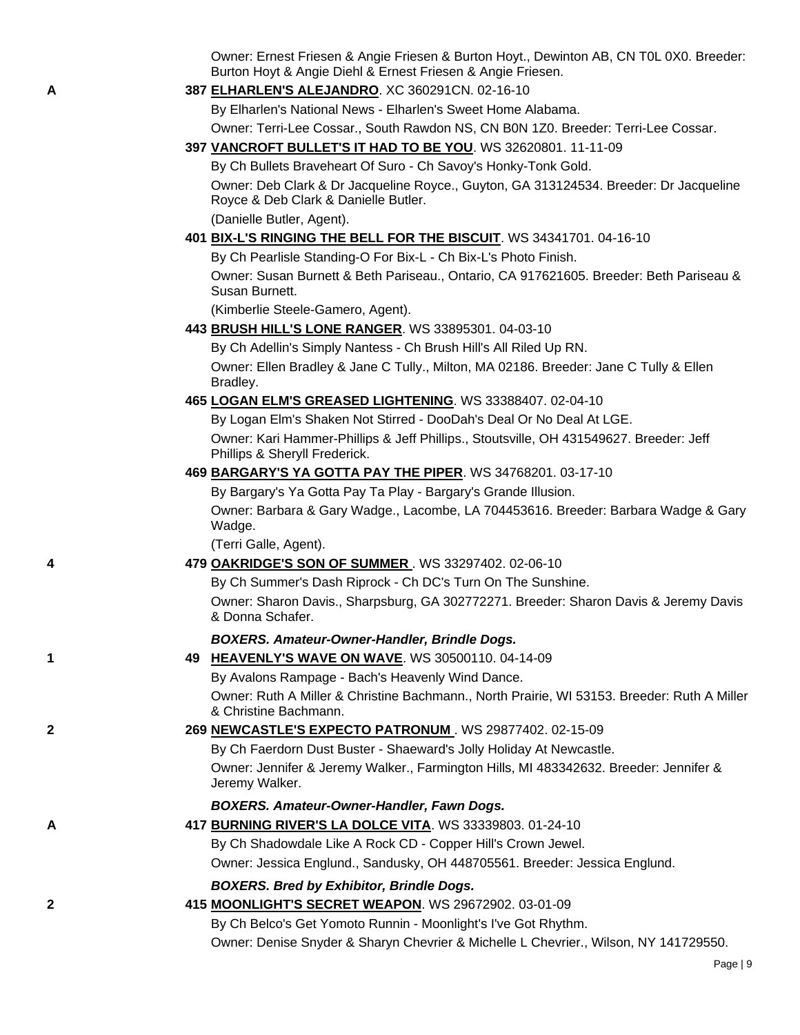Owner: Ernest Friesen & Angie Friesen & Burton Hoyt., Dewinton AB, CN T0L 0X0. Breeder: Burton Hoyt & Angie Diehl & Ernest Friesen & Angie Friesen.

**A 387 [ELHARLEN'S ALEJANDRO](http://canis.infodog.com/files/bdogrsl1.prg;makc=XC_360291CN;mdog=Elharlen_s_Alejandro;wins=all)**. XC 360291CN. 02-16-10

By Elharlen's National News - Elharlen's Sweet Home Alabama.

Owner: Terri-Lee Cossar., South Rawdon NS, CN B0N 1Z0. Breeder: Terri-Lee Cossar.

**397 [VANCROFT BULLET'S IT HAD TO BE YOU](http://canis.infodog.com/files/bdogrsl1.prg;makc=WS_32620801;mdog=Vancroft_Bullet_s_It_Had_To_Be_You;wins=all)**. WS 32620801. 11-11-09

By Ch Bullets Braveheart Of Suro - Ch Savoy's Honky-Tonk Gold.

Owner: Deb Clark & Dr Jacqueline Royce., Guyton, GA 313124534. Breeder: Dr Jacqueline Royce & Deb Clark & Danielle Butler.

(Danielle Butler, Agent).

### **401 [BIX-L'S RINGING THE BELL FOR THE BISCUIT](http://canis.infodog.com/files/bdogrsl1.prg;makc=WS_34341701;mdog=Bix-L_s_Ringing_The_Bell_For_The_Biscuit;wins=all)**. WS 34341701. 04-16-10

By Ch Pearlisle Standing-O For Bix-L - Ch Bix-L's Photo Finish.

Owner: Susan Burnett & Beth Pariseau., Ontario, CA 917621605. Breeder: Beth Pariseau & Susan Burnett.

(Kimberlie Steele-Gamero, Agent).

**443 [BRUSH HILL'S LONE RANGER](http://canis.infodog.com/files/bdogrsl1.prg;makc=WS_33895301;mdog=Brush_Hill_s_Lone_Ranger;wins=all)**. WS 33895301. 04-03-10

By Ch Adellin's Simply Nantess - Ch Brush Hill's All Riled Up RN.

Owner: Ellen Bradley & Jane C Tully., Milton, MA 02186. Breeder: Jane C Tully & Ellen Bradley.

**465 [LOGAN ELM'S GREASED LIGHTENING](http://canis.infodog.com/files/bdogrsl1.prg;makc=WS_33388407;mdog=Logan_Elm_s_Greased_Lightening;wins=all)**. WS 33388407. 02-04-10

By Logan Elm's Shaken Not Stirred - DooDah's Deal Or No Deal At LGE. Owner: Kari Hammer-Phillips & Jeff Phillips., Stoutsville, OH 431549627. Breeder: Jeff Phillips & Sheryll Frederick.

### **469 [BARGARY'S YA GOTTA PAY THE PIPER](http://canis.infodog.com/files/bdogrsl1.prg;makc=WS_34768201;mdog=Bargary_s_Ya_Gotta_Pay_The_Piper;wins=all)**. WS 34768201. 03-17-10

By Bargary's Ya Gotta Pay Ta Play - Bargary's Grande Illusion. Owner: Barbara & Gary Wadge., Lacombe, LA 704453616. Breeder: Barbara Wadge & Gary Wadge.

(Terri Galle, Agent).

**4 479 [OAKRIDGE'S SON OF SUMMER](http://canis.infodog.com/files/bdogrsl1.prg;makc=WS_33297402;mdog=Oakridge_s_Son_Of_Summer;wins=all)** [.](http://www.infodog.com/my/dogpage.htm?akc=WS%2033297402) WS 33297402. 02-06-10

By Ch Summer's Dash Riprock - Ch DC's Turn On The Sunshine.

Owner: Sharon Davis., Sharpsburg, GA 302772271. Breeder: Sharon Davis & Jeremy Davis & Donna Schafer.

#### *BOXERS. Amateur-Owner-Handler, Brindle Dogs.*

**1 49 [HEAVENLY'S WAVE ON WAVE](http://canis.infodog.com/files/bdogrsl1.prg;makc=WS_30500110;mdog=Heavenly_s_Wave_On_Wave;wins=all)**. WS 30500110. 04-14-09

By Avalons Rampage - Bach's Heavenly Wind Dance. Owner: Ruth A Miller & Christine Bachmann., North Prairie, WI 53153. Breeder: Ruth A Miller & Christine Bachmann.

#### **2 269 [NEWCASTLE'S EXPECTO PATRONUM](http://canis.infodog.com/files/bdogrsl1.prg;makc=WS_29877402;mdog=Newcastle_s_Expecto_Patronum;wins=all)** [.](http://www.infodog.com/my/dogpage.htm?akc=WS%2029877402) WS 29877402. 02-15-09

By Ch Faerdorn Dust Buster - Shaeward's Jolly Holiday At Newcastle. Owner: Jennifer & Jeremy Walker., Farmington Hills, MI 483342632. Breeder: Jennifer & Jeremy Walker.

## *BOXERS. Amateur-Owner-Handler, Fawn Dogs.*

**A 417 [BURNING RIVER'S LA DOLCE VITA](http://canis.infodog.com/files/bdogrsl1.prg;makc=WS_33339803;mdog=Burning_River_s_La_Dolce_Vita;wins=all)**. WS 33339803. 01-24-10 By Ch Shadowdale Like A Rock CD - Copper Hill's Crown Jewel. Owner: Jessica Englund., Sandusky, OH 448705561. Breeder: Jessica Englund.

## *BOXERS. Bred by Exhibitor, Brindle Dogs.*

**2 415 [MOONLIGHT'S SECRET WEAPON](http://canis.infodog.com/files/bdogrsl1.prg;makc=WS_29672902;mdog=Moonlight_s_Secret_Weapon;wins=all)**. WS 29672902. 03-01-09 By Ch Belco's Get Yomoto Runnin - Moonlight's I've Got Rhythm. Owner: Denise Snyder & Sharyn Chevrier & Michelle L Chevrier., Wilson, NY 141729550.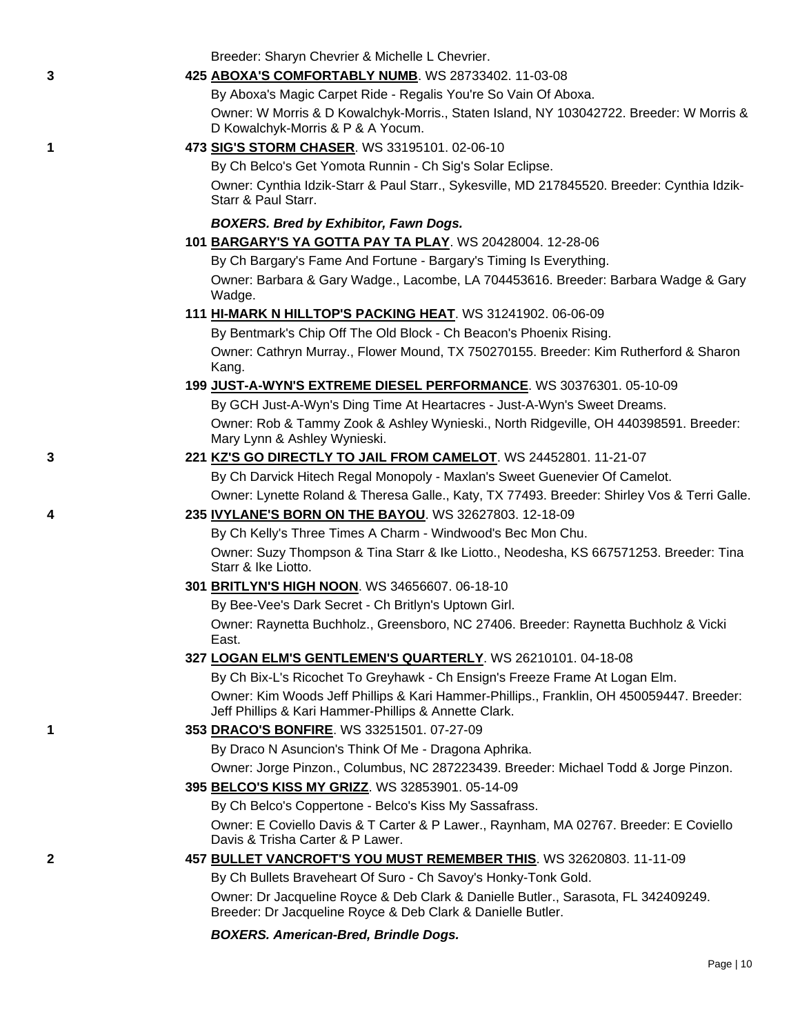Breeder: Sharyn Chevrier & Michelle L Chevrier.

## **3 425 [ABOXA'S COMFORTABLY NUMB](http://canis.infodog.com/files/bdogrsl1.prg;makc=WS_28733402;mdog=Aboxa_s_Comfortably_Numb;wins=all)**. WS 28733402. 11-03-08

By Aboxa's Magic Carpet Ride - Regalis You're So Vain Of Aboxa. Owner: W Morris & D Kowalchyk-Morris., Staten Island, NY 103042722. Breeder: W Morris & D Kowalchyk-Morris & P & A Yocum.

## **1 473 [SIG'S STORM CHASER](http://canis.infodog.com/files/bdogrsl1.prg;makc=WS_33195101;mdog=Sig_s_Storm_Chaser;wins=all)**. WS 33195101. 02-06-10

By Ch Belco's Get Yomota Runnin - Ch Sig's Solar Eclipse.

Owner: Cynthia Idzik-Starr & Paul Starr., Sykesville, MD 217845520. Breeder: Cynthia Idzik-Starr & Paul Starr.

## *BOXERS. Bred by Exhibitor, Fawn Dogs.*

**101 [BARGARY'S YA GOTTA PAY TA PLAY](http://canis.infodog.com/files/bdogrsl1.prg;makc=WS_20428004;mdog=Bargary_s_Ya_Gotta_Pay_Ta_Play;wins=all)**. WS 20428004. 12-28-06

By Ch Bargary's Fame And Fortune - Bargary's Timing Is Everything. Owner: Barbara & Gary Wadge., Lacombe, LA 704453616. Breeder: Barbara Wadge & Gary Wadge.

### **111 [HI-MARK N HILLTOP'S PACKING HEAT](http://canis.infodog.com/files/bdogrsl1.prg;makc=WS_31241902;mdog=Hi-Mark_N_Hilltop_s_Packing_Heat;wins=all)**. WS 31241902. 06-06-09

By Bentmark's Chip Off The Old Block - Ch Beacon's Phoenix Rising. Owner: Cathryn Murray., Flower Mound, TX 750270155. Breeder: Kim Rutherford & Sharon Kang.

## **199 [JUST-A-WYN'S EXTREME DIESEL PERFORMANCE](http://canis.infodog.com/files/bdogrsl1.prg;makc=WS_30376301;mdog=Just-A-Wyn_s_Extreme_Diesel_Performance;wins=all)**. WS 30376301. 05-10-09

By GCH Just-A-Wyn's Ding Time At Heartacres - Just-A-Wyn's Sweet Dreams. Owner: Rob & Tammy Zook & Ashley Wynieski., North Ridgeville, OH 440398591. Breeder: Mary Lynn & Ashley Wynieski.

# **3 221 [KZ'S GO DIRECTLY TO JAIL FROM CAMELOT](http://canis.infodog.com/files/bdogrsl1.prg;makc=WS_24452801;mdog=KZ_s_Go_Directly_To_Jail_From_Camelot;wins=all)**. WS 24452801. 11-21-07 By Ch Darvick Hitech Regal Monopoly - Maxlan's Sweet Guenevier Of Camelot.

Owner: Lynette Roland & Theresa Galle., Katy, TX 77493. Breeder: Shirley Vos & Terri Galle.

## **4 235 [IVYLANE'S BORN ON THE BAYOU](http://canis.infodog.com/files/bdogrsl1.prg;makc=WS_32627803;mdog=Ivylane_s_Born_On_The_Bayou;wins=all)**. WS 32627803. 12-18-09

By Ch Kelly's Three Times A Charm - Windwood's Bec Mon Chu. Owner: Suzy Thompson & Tina Starr & Ike Liotto., Neodesha, KS 667571253. Breeder: Tina Starr & Ike Liotto.

## **301 [BRITLYN'S HIGH NOON](http://canis.infodog.com/files/bdogrsl1.prg;makc=WS_34656607;mdog=Britlyn_s_High_Noon;wins=all)**. WS 34656607. 06-18-10

By Bee-Vee's Dark Secret - Ch Britlyn's Uptown Girl.

Owner: Raynetta Buchholz., Greensboro, NC 27406. Breeder: Raynetta Buchholz & Vicki East.

## **327 [LOGAN ELM'S GENTLEMEN'S QUARTERLY](http://canis.infodog.com/files/bdogrsl1.prg;makc=WS_26210101;mdog=Logan_Elm_s_Gentlemen_s_Quarterly;wins=all)**. WS 26210101. 04-18-08

By Ch Bix-L's Ricochet To Greyhawk - Ch Ensign's Freeze Frame At Logan Elm. Owner: Kim Woods Jeff Phillips & Kari Hammer-Phillips., Franklin, OH 450059447. Breeder: Jeff Phillips & Kari Hammer-Phillips & Annette Clark.

#### **1 353 [DRACO'S BONFIRE](http://canis.infodog.com/files/bdogrsl1.prg;makc=WS_33251501;mdog=Draco_s_Bonfire;wins=all)**. WS 33251501. 07-27-09

By Draco N Asuncion's Think Of Me - Dragona Aphrika.

Owner: Jorge Pinzon., Columbus, NC 287223439. Breeder: Michael Todd & Jorge Pinzon.

#### **395 [BELCO'S KISS MY GRIZZ](http://canis.infodog.com/files/bdogrsl1.prg;makc=WS_32853901;mdog=Belco_s_Kiss_My_Grizz;wins=all)**. WS 32853901. 05-14-09

By Ch Belco's Coppertone - Belco's Kiss My Sassafrass.

Owner: E Coviello Davis & T Carter & P Lawer., Raynham, MA 02767. Breeder: E Coviello Davis & Trisha Carter & P Lawer.

## **2 457 [BULLET VANCROFT'S YOU MUST REMEMBER THIS](http://canis.infodog.com/files/bdogrsl1.prg;makc=WS_32620803;mdog=Bullet_Vancroft_s_You_Must_Remember_This;wins=all)**. WS 32620803. 11-11-09

By Ch Bullets Braveheart Of Suro - Ch Savoy's Honky-Tonk Gold.

Owner: Dr Jacqueline Royce & Deb Clark & Danielle Butler., Sarasota, FL 342409249. Breeder: Dr Jacqueline Royce & Deb Clark & Danielle Butler.

## *BOXERS. American-Bred, Brindle Dogs.*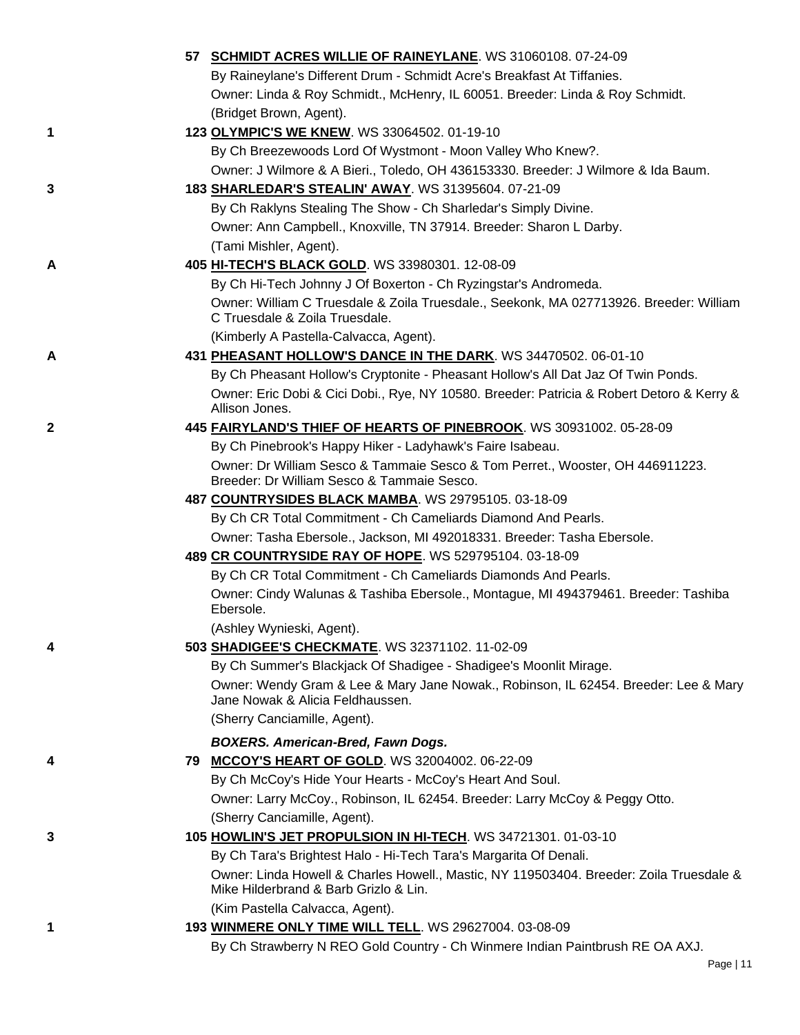|   | 57 SCHMIDT ACRES WILLIE OF RAINEYLANE. WS 31060108. 07-24-09                                                                     |
|---|----------------------------------------------------------------------------------------------------------------------------------|
|   | By Raineylane's Different Drum - Schmidt Acre's Breakfast At Tiffanies.                                                          |
|   | Owner: Linda & Roy Schmidt., McHenry, IL 60051. Breeder: Linda & Roy Schmidt.                                                    |
|   | (Bridget Brown, Agent).                                                                                                          |
| 1 | 123 OLYMPIC'S WE KNEW. WS 33064502. 01-19-10                                                                                     |
|   | By Ch Breezewoods Lord Of Wystmont - Moon Valley Who Knew?.                                                                      |
|   | Owner: J Wilmore & A Bieri., Toledo, OH 436153330. Breeder: J Wilmore & Ida Baum.                                                |
| 3 | 183 SHARLEDAR'S STEALIN' AWAY. WS 31395604. 07-21-09                                                                             |
|   | By Ch Raklyns Stealing The Show - Ch Sharledar's Simply Divine.                                                                  |
|   | Owner: Ann Campbell., Knoxville, TN 37914. Breeder: Sharon L Darby.                                                              |
|   | (Tami Mishler, Agent).                                                                                                           |
| Α | 405 HI-TECH'S BLACK GOLD. WS 33980301. 12-08-09                                                                                  |
|   | By Ch Hi-Tech Johnny J Of Boxerton - Ch Ryzingstar's Andromeda.                                                                  |
|   | Owner: William C Truesdale & Zoila Truesdale., Seekonk, MA 027713926. Breeder: William<br>C Truesdale & Zoila Truesdale.         |
|   | (Kimberly A Pastella-Calvacca, Agent).                                                                                           |
| Α | 431 PHEASANT HOLLOW'S DANCE IN THE DARK. WS 34470502. 06-01-10                                                                   |
|   | By Ch Pheasant Hollow's Cryptonite - Pheasant Hollow's All Dat Jaz Of Twin Ponds.                                                |
|   | Owner: Eric Dobi & Cici Dobi., Rye, NY 10580. Breeder: Patricia & Robert Detoro & Kerry &<br>Allison Jones.                      |
| 2 | 445 FAIRYLAND'S THIEF OF HEARTS OF PINEBROOK. WS 30931002. 05-28-09                                                              |
|   | By Ch Pinebrook's Happy Hiker - Ladyhawk's Faire Isabeau.                                                                        |
|   | Owner: Dr William Sesco & Tammaie Sesco & Tom Perret., Wooster, OH 446911223.<br>Breeder: Dr William Sesco & Tammaie Sesco.      |
|   | 487 COUNTRYSIDES BLACK MAMBA. WS 29795105. 03-18-09                                                                              |
|   | By Ch CR Total Commitment - Ch Cameliards Diamond And Pearls.                                                                    |
|   | Owner: Tasha Ebersole., Jackson, MI 492018331. Breeder: Tasha Ebersole.                                                          |
|   | 489 CR COUNTRYSIDE RAY OF HOPE. WS 529795104. 03-18-09                                                                           |
|   | By Ch CR Total Commitment - Ch Cameliards Diamonds And Pearls.                                                                   |
|   | Owner: Cindy Walunas & Tashiba Ebersole., Montague, MI 494379461. Breeder: Tashiba<br>Ebersole.                                  |
|   | (Ashlev Wynieski, Agent).                                                                                                        |
| 4 | 503 SHADIGEE'S CHECKMATE. WS 32371102. 11-02-09                                                                                  |
|   | By Ch Summer's Blackjack Of Shadigee - Shadigee's Moonlit Mirage.                                                                |
|   | Owner: Wendy Gram & Lee & Mary Jane Nowak., Robinson, IL 62454. Breeder: Lee & Mary<br>Jane Nowak & Alicia Feldhaussen.          |
|   | (Sherry Canciamille, Agent).                                                                                                     |
|   | <b>BOXERS. American-Bred, Fawn Dogs.</b>                                                                                         |
| 4 | 79 MCCOY'S HEART OF GOLD. WS 32004002. 06-22-09                                                                                  |
|   | By Ch McCoy's Hide Your Hearts - McCoy's Heart And Soul.                                                                         |
|   | Owner: Larry McCoy., Robinson, IL 62454. Breeder: Larry McCoy & Peggy Otto.                                                      |
|   | (Sherry Canciamille, Agent).                                                                                                     |
| 3 | 105 HOWLIN'S JET PROPULSION IN HI-TECH. WS 34721301. 01-03-10                                                                    |
|   | By Ch Tara's Brightest Halo - Hi-Tech Tara's Margarita Of Denali.                                                                |
|   | Owner: Linda Howell & Charles Howell., Mastic, NY 119503404. Breeder: Zoila Truesdale &<br>Mike Hilderbrand & Barb Grizlo & Lin. |
|   | (Kim Pastella Calvacca, Agent).                                                                                                  |
| 1 | 193 WINMERE ONLY TIME WILL TELL. WS 29627004. 03-08-09                                                                           |
|   | By Ch Strawberry N REO Gold Country - Ch Winmere Indian Paintbrush RE OA AXJ.                                                    |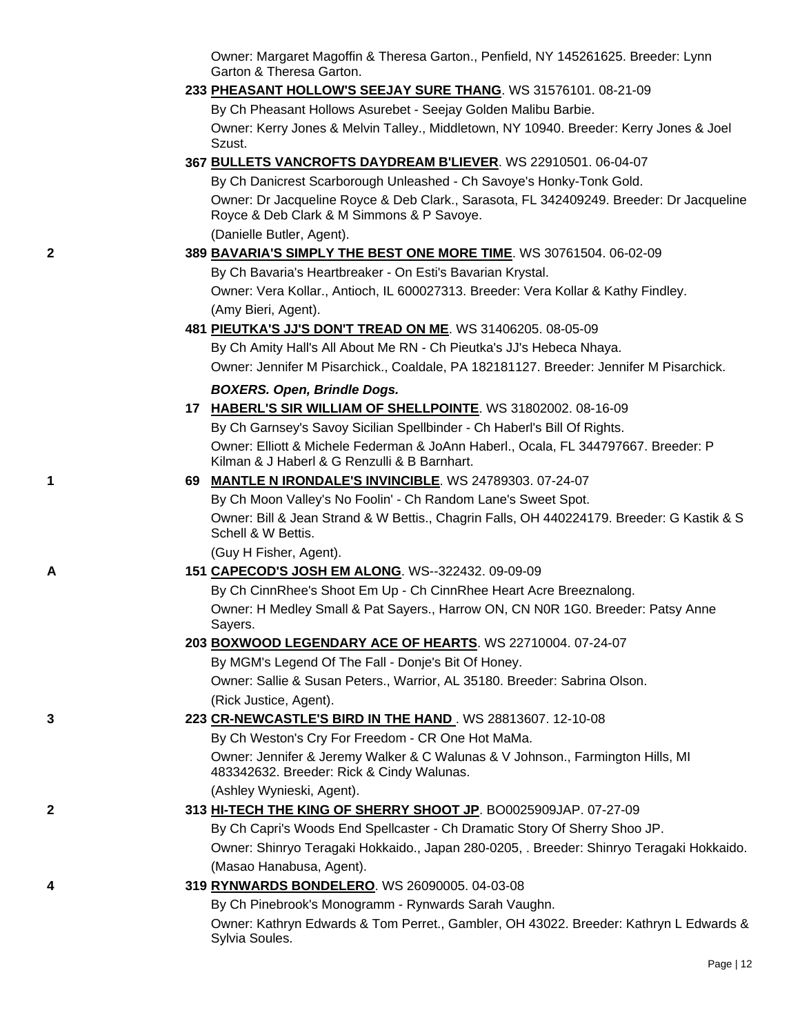Owner: Margaret Magoffin & Theresa Garton., Penfield, NY 145261625. Breeder: Lynn Garton & Theresa Garton.

#### **233 [PHEASANT HOLLOW'S SEEJAY SURE THANG](http://canis.infodog.com/files/bdogrsl1.prg;makc=WS_31576101;mdog=Pheasant_Hollow_s_Seejay_Sure_Thang;wins=all)**. WS 31576101. 08-21-09

By Ch Pheasant Hollows Asurebet - Seejay Golden Malibu Barbie.

Owner: Kerry Jones & Melvin Talley., Middletown, NY 10940. Breeder: Kerry Jones & Joel Szust.

## **367 [BULLETS VANCROFTS DAYDREAM B'LIEVER](http://canis.infodog.com/files/bdogrsl1.prg;makc=WS_22910501;mdog=Bullets_Vancrofts_Daydream_B_liever;wins=all)**. WS 22910501. 06-04-07

By Ch Danicrest Scarborough Unleashed - Ch Savoye's Honky-Tonk Gold. Owner: Dr Jacqueline Royce & Deb Clark., Sarasota, FL 342409249. Breeder: Dr Jacqueline Royce & Deb Clark & M Simmons & P Savoye. (Danielle Butler, Agent).

### **2 389 [BAVARIA'S SIMPLY THE BEST ONE MORE TIME](http://canis.infodog.com/files/bdogrsl1.prg;makc=WS_30761504;mdog=Bavaria_s_Simply_The_Best_One_More_Time;wins=all)**. WS 30761504. 06-02-09

By Ch Bavaria's Heartbreaker - On Esti's Bavarian Krystal. Owner: Vera Kollar., Antioch, IL 600027313. Breeder: Vera Kollar & Kathy Findley. (Amy Bieri, Agent).

## **481 [PIEUTKA'S JJ'S DON'T TREAD ON ME](http://canis.infodog.com/files/bdogrsl1.prg;makc=WS_31406205;mdog=Pieutka_s_JJ_s_Don_t_Tread_On_Me;wins=all)**. WS 31406205. 08-05-09

By Ch Amity Hall's All About Me RN - Ch Pieutka's JJ's Hebeca Nhaya. Owner: Jennifer M Pisarchick., Coaldale, PA 182181127. Breeder: Jennifer M Pisarchick.

#### *BOXERS. Open, Brindle Dogs.*

**17 [HABERL'S SIR WILLIAM OF SHELLPOINTE](http://canis.infodog.com/files/bdogrsl1.prg;makc=WS_31802002;mdog=Haberl_s_Sir_William_Of_Shellpointe;wins=all)**. WS 31802002. 08-16-09 By Ch Garnsey's Savoy Sicilian Spellbinder - Ch Haberl's Bill Of Rights. Owner: Elliott & Michele Federman & JoAnn Haberl., Ocala, FL 344797667. Breeder: P Kilman & J Haberl & G Renzulli & B Barnhart.

## **1 69 [MANTLE N IRONDALE'S INVINCIBLE](http://canis.infodog.com/files/bdogrsl1.prg;makc=WS_24789303;mdog=Mantle_N_Irondale_s_Invincible;wins=all)**. WS 24789303. 07-24-07 By Ch Moon Valley's No Foolin' - Ch Random Lane's Sweet Spot. Owner: Bill & Jean Strand & W Bettis., Chagrin Falls, OH 440224179. Breeder: G Kastik & S Schell & W Bettis.

(Guy H Fisher, Agent).

#### **A 151 [CAPECOD'S JOSH EM ALONG](http://canis.infodog.com/files/bdogrsl1.prg;makc=WS--322432;mdog=Capecod_s_Josh_Em_Along;wins=all)**. WS--322432. 09-09-09

By Ch CinnRhee's Shoot Em Up - Ch CinnRhee Heart Acre Breeznalong. Owner: H Medley Small & Pat Sayers., Harrow ON, CN N0R 1G0. Breeder: Patsy Anne Sayers.

#### **203 [BOXWOOD LEGENDARY ACE OF HEARTS](http://canis.infodog.com/files/bdogrsl1.prg;makc=WS_22710004;mdog=Boxwood_Legendary_Ace_Of_Hearts;wins=all)**. WS 22710004. 07-24-07

By MGM's Legend Of The Fall - Donje's Bit Of Honey. Owner: Sallie & Susan Peters., Warrior, AL 35180. Breeder: Sabrina Olson. (Rick Justice, Agent).

## **3 223 [CR-NEWCASTLE'S BIRD IN THE HAND](http://canis.infodog.com/files/bdogrsl1.prg;makc=WS_28813607;mdog=CR-Newcastle_s_Bird_In_The_Hand;wins=all)** . WS 28813607. 12-10-08

By Ch Weston's Cry For Freedom - CR One Hot MaMa. Owner: Jennifer & Jeremy Walker & C Walunas & V Johnson., Farmington Hills, MI 483342632. Breeder: Rick & Cindy Walunas. (Ashley Wynieski, Agent).

## **2 313 [HI-TECH THE KING OF SHERRY SHOOT JP](http://canis.infodog.com/files/bdogrsl1.prg;makc=BO0025909JAP;mdog=Hi-Tech_The_King_Of_Sherry_Shoot_JP;wins=all)**. BO0025909JAP. 07-27-09

By Ch Capri's Woods End Spellcaster - Ch Dramatic Story Of Sherry Shoo JP. Owner: Shinryo Teragaki Hokkaido., Japan 280-0205, . Breeder: Shinryo Teragaki Hokkaido. (Masao Hanabusa, Agent).

#### **4 319 [RYNWARDS BONDELERO](http://canis.infodog.com/files/bdogrsl1.prg;makc=WS_26090005;mdog=Rynwards_Bondelero;wins=all)**. WS 26090005. 04-03-08

By Ch Pinebrook's Monogramm - Rynwards Sarah Vaughn.

Owner: Kathryn Edwards & Tom Perret., Gambler, OH 43022. Breeder: Kathryn L Edwards & Sylvia Soules.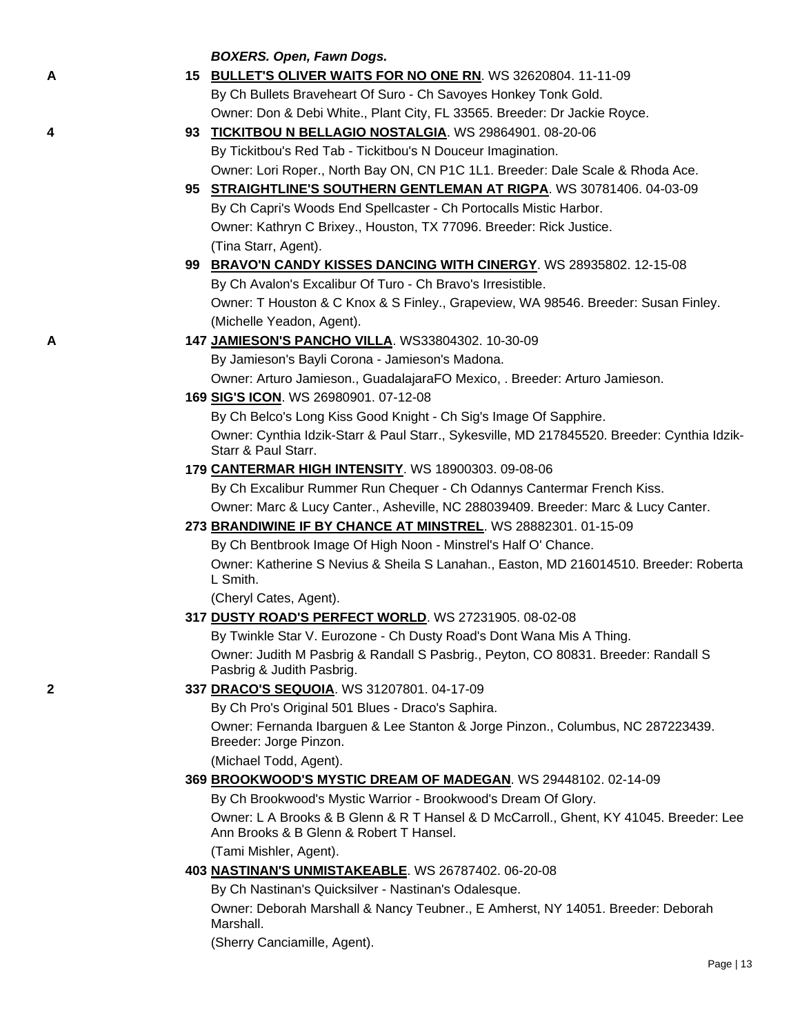### *BOXERS. Open, Fawn Dogs.*

- **A 15 [BULLET'S OLIVER WAITS FOR NO ONE RN](http://canis.infodog.com/files/bdogrsl1.prg;makc=WS_32620804;mdog=Bullet_s_Oliver_Waits_For_No_One_RN;wins=all)**. WS 32620804. 11-11-09 By Ch Bullets Braveheart Of Suro - Ch Savoyes Honkey Tonk Gold. Owner: Don & Debi White., Plant City, FL 33565. Breeder: Dr Jackie Royce.
- **4 93 [TICKITBOU N BELLAGIO NOSTALGIA](http://canis.infodog.com/files/bdogrsl1.prg;makc=WS_29864901;mdog=Tickitbou_N_Bellagio_Nostalgia;wins=all)**. WS 29864901. 08-20-06 By Tickitbou's Red Tab - Tickitbou's N Douceur Imagination. Owner: Lori Roper., North Bay ON, CN P1C 1L1. Breeder: Dale Scale & Rhoda Ace.
	- **95 [STRAIGHTLINE'S SOUTHERN GENTLEMAN AT RIGPA](http://canis.infodog.com/files/bdogrsl1.prg;makc=WS_30781406;mdog=Straightline_s_Southern_Gentleman_At_Rigpa;wins=all)**. WS 30781406. 04-03-09 By Ch Capri's Woods End Spellcaster - Ch Portocalls Mistic Harbor. Owner: Kathryn C Brixey., Houston, TX 77096. Breeder: Rick Justice. (Tina Starr, Agent).
	- **99 [BRAVO'N CANDY KISSES DANCING WITH CINERGY](http://canis.infodog.com/files/bdogrsl1.prg;makc=WS_28935802;mdog=Bravo_N_Candy_Kisses_Dancing_With_Cinergy;wins=all)**. WS 28935802. 12-15-08 By Ch Avalon's Excalibur Of Turo - Ch Bravo's Irresistible. Owner: T Houston & C Knox & S Finley., Grapeview, WA 98546. Breeder: Susan Finley. (Michelle Yeadon, Agent).
- **A 147 [JAMIESON'S PANCHO VILLA](http://canis.infodog.com/files/bdogrsl1.prg;makc=WS33804302;mdog=Jamieson_s_Pancho_Villa;wins=all)**. WS33804302. 10-30-09
	- By Jamieson's Bayli Corona Jamieson's Madona.

Owner: Arturo Jamieson., GuadalajaraFO Mexico, . Breeder: Arturo Jamieson.

**169 [SIG'S ICON](http://canis.infodog.com/files/bdogrsl1.prg;makc=WS_26980901;mdog=Sig_s_Icon;wins=all)**. WS 26980901. 07-12-08

By Ch Belco's Long Kiss Good Knight - Ch Sig's Image Of Sapphire. Owner: Cynthia Idzik-Starr & Paul Starr., Sykesville, MD 217845520. Breeder: Cynthia Idzik-Starr & Paul Starr.

**179 [CANTERMAR HIGH INTENSITY](http://canis.infodog.com/files/bdogrsl1.prg;makc=WS_18900303;mdog=Cantermar_High_Intensity;wins=all)**. WS 18900303. 09-08-06

By Ch Excalibur Rummer Run Chequer - Ch Odannys Cantermar French Kiss. Owner: Marc & Lucy Canter., Asheville, NC 288039409. Breeder: Marc & Lucy Canter.

**273 [BRANDIWINE IF BY CHANCE AT MINSTREL](http://canis.infodog.com/files/bdogrsl1.prg;makc=WS_28882301;mdog=Brandiwine_If_By_Chance_At_Minstrel;wins=all)**. WS 28882301. 01-15-09

By Ch Bentbrook Image Of High Noon - Minstrel's Half O' Chance. Owner: Katherine S Nevius & Sheila S Lanahan., Easton, MD 216014510. Breeder: Roberta L Smith.

(Cheryl Cates, Agent).

**317 [DUSTY ROAD'S PERFECT WORLD](http://canis.infodog.com/files/bdogrsl1.prg;makc=WS_27231905;mdog=Dusty_Road_s_Perfect_World;wins=all)**. WS 27231905. 08-02-08

By Twinkle Star V. Eurozone - Ch Dusty Road's Dont Wana Mis A Thing. Owner: Judith M Pasbrig & Randall S Pasbrig., Peyton, CO 80831. Breeder: Randall S Pasbrig & Judith Pasbrig.

## **2 337 [DRACO'S SEQUOIA](http://canis.infodog.com/files/bdogrsl1.prg;makc=WS_31207801;mdog=Draco_s_Sequoia;wins=all)**. WS 31207801. 04-17-09

By Ch Pro's Original 501 Blues - Draco's Saphira.

Owner: Fernanda Ibarguen & Lee Stanton & Jorge Pinzon., Columbus, NC 287223439. Breeder: Jorge Pinzon.

(Michael Todd, Agent).

## **369 [BROOKWOOD'S MYSTIC DREAM OF MADEGAN](http://canis.infodog.com/files/bdogrsl1.prg;makc=WS_29448102;mdog=Brookwood_s_Mystic_Dream_Of_Madegan;wins=all)**. WS 29448102. 02-14-09

By Ch Brookwood's Mystic Warrior - Brookwood's Dream Of Glory.

Owner: L A Brooks & B Glenn & R T Hansel & D McCarroll., Ghent, KY 41045. Breeder: Lee Ann Brooks & B Glenn & Robert T Hansel.

(Tami Mishler, Agent).

**403 [NASTINAN'S UNMISTAKEABLE](http://canis.infodog.com/files/bdogrsl1.prg;makc=WS_26787402;mdog=Nastinan_s_Unmistakeable;wins=all)**. WS 26787402. 06-20-08

By Ch Nastinan's Quicksilver - Nastinan's Odalesque.

Owner: Deborah Marshall & Nancy Teubner., E Amherst, NY 14051. Breeder: Deborah Marshall.

(Sherry Canciamille, Agent).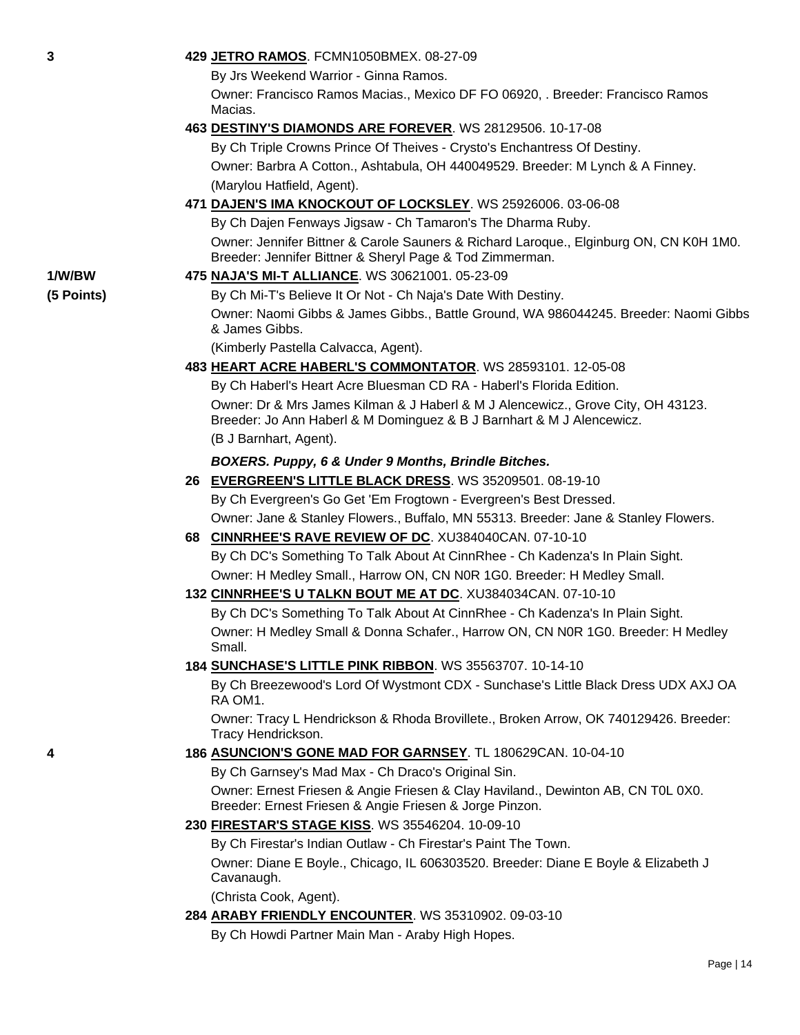| 3          | 429 JETRO RAMOS. FCMN1050BMEX. 08-27-09                                                                                                                   |
|------------|-----------------------------------------------------------------------------------------------------------------------------------------------------------|
|            | By Jrs Weekend Warrior - Ginna Ramos.                                                                                                                     |
|            | Owner: Francisco Ramos Macias., Mexico DF FO 06920, . Breeder: Francisco Ramos<br>Macias.                                                                 |
|            | 463 DESTINY'S DIAMONDS ARE FOREVER. WS 28129506. 10-17-08                                                                                                 |
|            | By Ch Triple Crowns Prince Of Theives - Crysto's Enchantress Of Destiny.                                                                                  |
|            | Owner: Barbra A Cotton., Ashtabula, OH 440049529. Breeder: M Lynch & A Finney.                                                                            |
|            | (Marylou Hatfield, Agent).                                                                                                                                |
|            | 471 DAJEN'S IMA KNOCKOUT OF LOCKSLEY. WS 25926006. 03-06-08                                                                                               |
|            | By Ch Dajen Fenways Jigsaw - Ch Tamaron's The Dharma Ruby.                                                                                                |
|            | Owner: Jennifer Bittner & Carole Sauners & Richard Laroque., Elginburg ON, CN K0H 1M0.<br>Breeder: Jennifer Bittner & Sheryl Page & Tod Zimmerman.        |
| 1/W/BW     | 475 NAJA'S MI-T ALLIANCE. WS 30621001. 05-23-09                                                                                                           |
| (5 Points) | By Ch Mi-T's Believe It Or Not - Ch Naja's Date With Destiny.                                                                                             |
|            | Owner: Naomi Gibbs & James Gibbs., Battle Ground, WA 986044245. Breeder: Naomi Gibbs<br>& James Gibbs.                                                    |
|            | (Kimberly Pastella Calvacca, Agent).                                                                                                                      |
|            | 483 HEART ACRE HABERL'S COMMONTATOR. WS 28593101. 12-05-08                                                                                                |
|            | By Ch Haberl's Heart Acre Bluesman CD RA - Haberl's Florida Edition.                                                                                      |
|            | Owner: Dr & Mrs James Kilman & J Haberl & M J Alencewicz., Grove City, OH 43123.<br>Breeder: Jo Ann Haberl & M Dominguez & B J Barnhart & M J Alencewicz. |
|            | (B J Barnhart, Agent).                                                                                                                                    |
|            | BOXERS. Puppy, 6 & Under 9 Months, Brindle Bitches.                                                                                                       |
|            | 26 EVERGREEN'S LITTLE BLACK DRESS. WS 35209501. 08-19-10                                                                                                  |
|            | By Ch Evergreen's Go Get 'Em Frogtown - Evergreen's Best Dressed.                                                                                         |
|            | Owner: Jane & Stanley Flowers., Buffalo, MN 55313. Breeder: Jane & Stanley Flowers.                                                                       |
|            | 68 CINNRHEE'S RAVE REVIEW OF DC. XU384040CAN. 07-10-10                                                                                                    |
|            | By Ch DC's Something To Talk About At CinnRhee - Ch Kadenza's In Plain Sight.                                                                             |
|            | Owner: H Medley Small., Harrow ON, CN N0R 1G0. Breeder: H Medley Small.                                                                                   |
|            | 132 CINNRHEE'S U TALKN BOUT ME AT DC. XU384034CAN. 07-10-10                                                                                               |
|            | By Ch DC's Something To Talk About At CinnRhee - Ch Kadenza's In Plain Sight.                                                                             |
|            | Owner: H Medley Small & Donna Schafer., Harrow ON, CN N0R 1G0. Breeder: H Medley<br>Small.                                                                |
|            | 184 SUNCHASE'S LITTLE PINK RIBBON. WS 35563707. 10-14-10                                                                                                  |
|            | By Ch Breezewood's Lord Of Wystmont CDX - Sunchase's Little Black Dress UDX AXJ OA<br>RA OM1.                                                             |
|            | Owner: Tracy L Hendrickson & Rhoda Brovillete., Broken Arrow, OK 740129426. Breeder:<br>Tracy Hendrickson.                                                |
|            | 186 ASUNCION'S GONE MAD FOR GARNSEY. TL 180629CAN. 10-04-10                                                                                               |
|            | By Ch Garnsey's Mad Max - Ch Draco's Original Sin.                                                                                                        |
|            | Owner: Ernest Friesen & Angie Friesen & Clay Haviland., Dewinton AB, CN T0L 0X0.<br>Breeder: Ernest Friesen & Angie Friesen & Jorge Pinzon.               |
|            | 230 FIRESTAR'S STAGE KISS. WS 35546204. 10-09-10                                                                                                          |
|            | By Ch Firestar's Indian Outlaw - Ch Firestar's Paint The Town.                                                                                            |
|            | Owner: Diane E Boyle., Chicago, IL 606303520. Breeder: Diane E Boyle & Elizabeth J<br>Cavanaugh.                                                          |
|            | (Christa Cook, Agent).                                                                                                                                    |
|            | 284 ARABY FRIENDLY ENCOUNTER. WS 35310902. 09-03-10                                                                                                       |
|            | By Ch Howdi Partner Main Man - Araby High Hopes.                                                                                                          |

**1/W/BW 475 [NAJA'S MI-T ALLIANCE](http://canis.infodog.com/files/bdogrsl1.prg;makc=WS_30621001;mdog=Naja_s_Mi-T_Alliance;wins=all)**. WS 30621001. 05-23-09 **(5 Points)**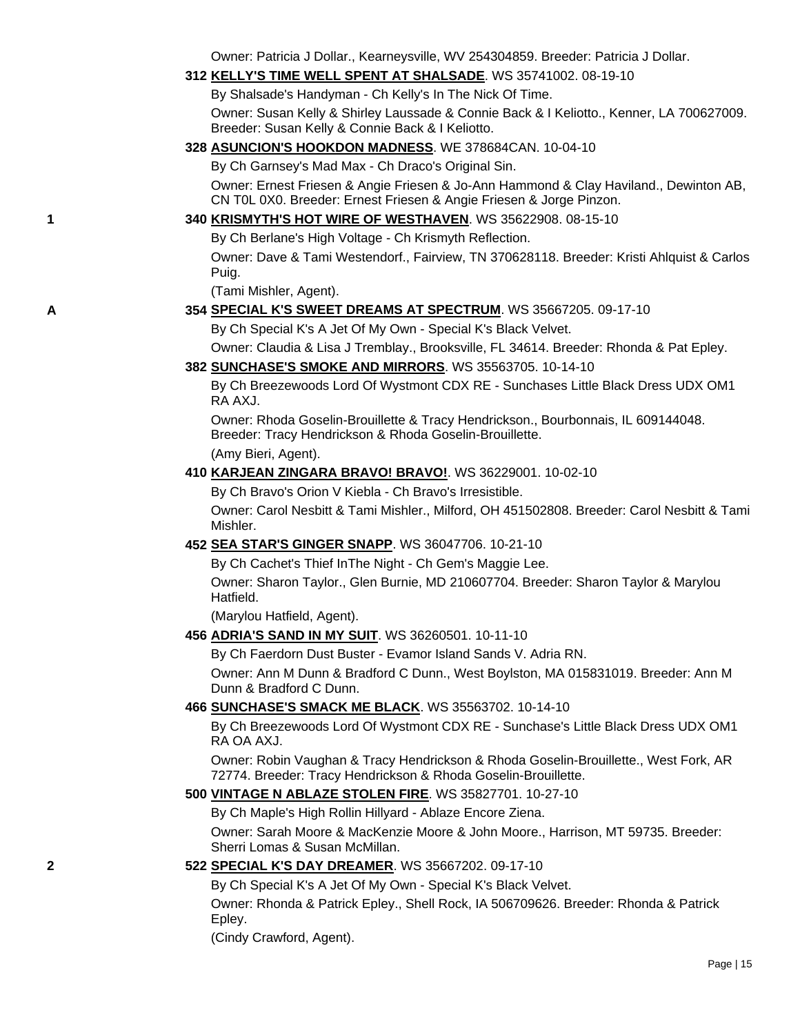Owner: Patricia J Dollar., Kearneysville, WV 254304859. Breeder: Patricia J Dollar.

#### **312 [KELLY'S TIME WELL SPENT AT SHALSADE](http://canis.infodog.com/files/bdogrsl1.prg;makc=WS_35741002;mdog=Kelly_s_Time_Well_Spent_At_Shalsade;wins=all)**. WS 35741002. 08-19-10

By Shalsade's Handyman - Ch Kelly's In The Nick Of Time.

Owner: Susan Kelly & Shirley Laussade & Connie Back & I Keliotto., Kenner, LA 700627009. Breeder: Susan Kelly & Connie Back & I Keliotto.

### **328 [ASUNCION'S HOOKDON MADNESS](http://canis.infodog.com/files/bdogrsl1.prg;makc=WE_378684CAN;mdog=Asuncion_s_Hookdon_Madness;wins=all)**. WE 378684CAN. 10-04-10

By Ch Garnsey's Mad Max - Ch Draco's Original Sin.

Owner: Ernest Friesen & Angie Friesen & Jo-Ann Hammond & Clay Haviland., Dewinton AB, CN T0L 0X0. Breeder: Ernest Friesen & Angie Friesen & Jorge Pinzon.

## **1 340 [KRISMYTH'S HOT WIRE OF WESTHAVEN](http://canis.infodog.com/files/bdogrsl1.prg;makc=WS_35622908;mdog=Krismyth_s_Hot_Wire_Of_Westhaven;wins=all)**. WS 35622908. 08-15-10

By Ch Berlane's High Voltage - Ch Krismyth Reflection.

Owner: Dave & Tami Westendorf., Fairview, TN 370628118. Breeder: Kristi Ahlquist & Carlos Puig.

(Tami Mishler, Agent).

#### **A 354 [SPECIAL K'S SWEET DREAMS AT SPECTRUM](http://canis.infodog.com/files/bdogrsl1.prg;makc=WS_35667205;mdog=Special_K_s_Sweet_Dreams_At_Spectrum;wins=all)**. WS 35667205. 09-17-10

By Ch Special K's A Jet Of My Own - Special K's Black Velvet.

Owner: Claudia & Lisa J Tremblay., Brooksville, FL 34614. Breeder: Rhonda & Pat Epley.

#### **382 [SUNCHASE'S SMOKE AND MIRRORS](http://canis.infodog.com/files/bdogrsl1.prg;makc=WS_35563705;mdog=Sunchase_s_Smoke_And_Mirrors;wins=all)**. WS 35563705. 10-14-10

By Ch Breezewoods Lord Of Wystmont CDX RE - Sunchases Little Black Dress UDX OM1 RA AXJ.

Owner: Rhoda Goselin-Brouillette & Tracy Hendrickson., Bourbonnais, IL 609144048. Breeder: Tracy Hendrickson & Rhoda Goselin-Brouillette.

(Amy Bieri, Agent).

#### **410 [KARJEAN ZINGARA BRAVO! BRAVO!](http://canis.infodog.com/files/bdogrsl1.prg;makc=WS_36229001;mdog=Karjean_Zingara_Bravo!_Bravo!;wins=all)**. WS 36229001. 10-02-10

By Ch Bravo's Orion V Kiebla - Ch Bravo's Irresistible.

Owner: Carol Nesbitt & Tami Mishler., Milford, OH 451502808. Breeder: Carol Nesbitt & Tami Mishler.

#### **452 [SEA STAR'S GINGER SNAPP](http://canis.infodog.com/files/bdogrsl1.prg;makc=WS_36047706;mdog=Sea_Star_s_Ginger_Snapp;wins=all)**. WS 36047706. 10-21-10

By Ch Cachet's Thief InThe Night - Ch Gem's Maggie Lee.

Owner: Sharon Taylor., Glen Burnie, MD 210607704. Breeder: Sharon Taylor & Marylou Hatfield.

(Marylou Hatfield, Agent).

#### **456 [ADRIA'S SAND IN MY SUIT](http://canis.infodog.com/files/bdogrsl1.prg;makc=WS_36260501;mdog=Adria_s_Sand_In_My_Suit;wins=all)**. WS 36260501. 10-11-10

By Ch Faerdorn Dust Buster - Evamor Island Sands V. Adria RN.

Owner: Ann M Dunn & Bradford C Dunn., West Boylston, MA 015831019. Breeder: Ann M Dunn & Bradford C Dunn.

### **466 [SUNCHASE'S SMACK ME BLACK](http://canis.infodog.com/files/bdogrsl1.prg;makc=WS_35563702;mdog=Sunchase_s_Smack_Me_Black;wins=all)**. WS 35563702. 10-14-10

By Ch Breezewoods Lord Of Wystmont CDX RE - Sunchase's Little Black Dress UDX OM1 RA OA AXJ.

Owner: Robin Vaughan & Tracy Hendrickson & Rhoda Goselin-Brouillette., West Fork, AR 72774. Breeder: Tracy Hendrickson & Rhoda Goselin-Brouillette.

#### **500 [VINTAGE N ABLAZE STOLEN FIRE](http://canis.infodog.com/files/bdogrsl1.prg;makc=WS_35827701;mdog=Vintage_N_Ablaze_Stolen_Fire;wins=all)**. WS 35827701. 10-27-10

By Ch Maple's High Rollin Hillyard - Ablaze Encore Ziena.

Owner: Sarah Moore & MacKenzie Moore & John Moore., Harrison, MT 59735. Breeder: Sherri Lomas & Susan McMillan.

## **2 522 [SPECIAL K'S DAY DREAMER](http://canis.infodog.com/files/bdogrsl1.prg;makc=WS_35667202;mdog=Special_K_s_Day_Dreamer;wins=all)**. WS 35667202. 09-17-10

By Ch Special K's A Jet Of My Own - Special K's Black Velvet.

Owner: Rhonda & Patrick Epley., Shell Rock, IA 506709626. Breeder: Rhonda & Patrick Epley.

(Cindy Crawford, Agent).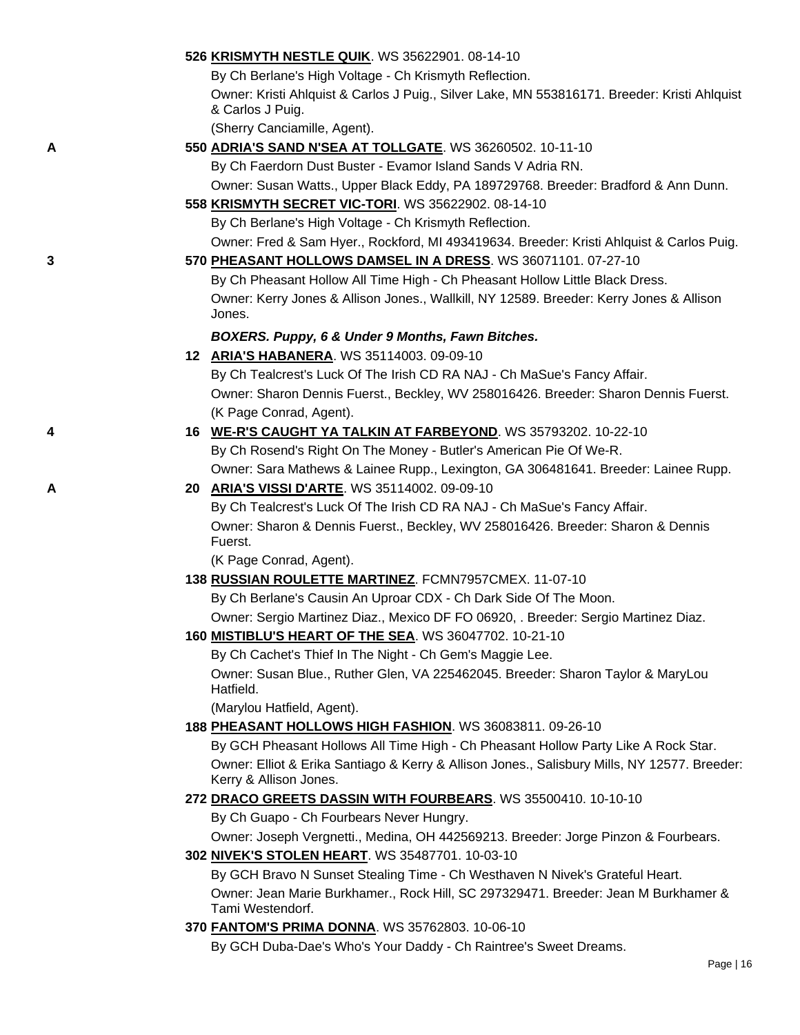|   | 526 KRISMYTH NESTLE QUIK. WS 35622901. 08-14-10                                                                        |
|---|------------------------------------------------------------------------------------------------------------------------|
|   | By Ch Berlane's High Voltage - Ch Krismyth Reflection.                                                                 |
|   | Owner: Kristi Ahlquist & Carlos J Puig., Silver Lake, MN 553816171. Breeder: Kristi Ahlquist<br>& Carlos J Puig.       |
|   | (Sherry Canciamille, Agent).                                                                                           |
| Α | 550 ADRIA'S SAND N'SEA AT TOLLGATE. WS 36260502. 10-11-10                                                              |
|   | By Ch Faerdorn Dust Buster - Evamor Island Sands V Adria RN.                                                           |
|   | Owner: Susan Watts., Upper Black Eddy, PA 189729768. Breeder: Bradford & Ann Dunn.                                     |
|   | 558 KRISMYTH SECRET VIC-TORI. WS 35622902. 08-14-10                                                                    |
|   | By Ch Berlane's High Voltage - Ch Krismyth Reflection.                                                                 |
|   | Owner: Fred & Sam Hyer., Rockford, MI 493419634. Breeder: Kristi Ahlquist & Carlos Puig.                               |
| 3 | 570 PHEASANT HOLLOWS DAMSEL IN A DRESS. WS 36071101. 07-27-10                                                          |
|   | By Ch Pheasant Hollow All Time High - Ch Pheasant Hollow Little Black Dress.                                           |
|   | Owner: Kerry Jones & Allison Jones., Wallkill, NY 12589. Breeder: Kerry Jones & Allison<br>Jones.                      |
|   | BOXERS. Puppy, 6 & Under 9 Months, Fawn Bitches.                                                                       |
|   | 12 ARIA'S HABANERA. WS 35114003. 09-09-10                                                                              |
|   | By Ch Tealcrest's Luck Of The Irish CD RA NAJ - Ch MaSue's Fancy Affair.                                               |
|   | Owner: Sharon Dennis Fuerst., Beckley, WV 258016426. Breeder: Sharon Dennis Fuerst.                                    |
|   | (K Page Conrad, Agent).                                                                                                |
| 4 | 16 WE-R'S CAUGHT YA TALKIN AT FARBEYOND. WS 35793202. 10-22-10                                                         |
|   | By Ch Rosend's Right On The Money - Butler's American Pie Of We-R.                                                     |
|   | Owner: Sara Mathews & Lainee Rupp., Lexington, GA 306481641. Breeder: Lainee Rupp.                                     |
| A | 20 ARIA'S VISSI D'ARTE. WS 35114002. 09-09-10                                                                          |
|   | By Ch Tealcrest's Luck Of The Irish CD RA NAJ - Ch MaSue's Fancy Affair.                                               |
|   | Owner: Sharon & Dennis Fuerst., Beckley, WV 258016426. Breeder: Sharon & Dennis<br>Fuerst.                             |
|   | (K Page Conrad, Agent).                                                                                                |
|   | 138 RUSSIAN ROULETTE MARTINEZ. FCMN7957CMEX. 11-07-10                                                                  |
|   | By Ch Berlane's Causin An Uproar CDX - Ch Dark Side Of The Moon.                                                       |
|   | Owner: Sergio Martinez Diaz., Mexico DF FO 06920, . Breeder: Sergio Martinez Diaz.                                     |
|   | 160 <b>MISTIBLU'S HEART OF THE SEA.</b> WS 36047702. 10-21-10                                                          |
|   | By Ch Cachet's Thief In The Night - Ch Gem's Maggie Lee.                                                               |
|   | Owner: Susan Blue., Ruther Glen, VA 225462045. Breeder: Sharon Taylor & MaryLou<br>Hatfield.                           |
|   | (Marylou Hatfield, Agent).                                                                                             |
|   | 188 PHEASANT HOLLOWS HIGH FASHION. WS 36083811. 09-26-10                                                               |
|   | By GCH Pheasant Hollows All Time High - Ch Pheasant Hollow Party Like A Rock Star.                                     |
|   | Owner: Elliot & Erika Santiago & Kerry & Allison Jones., Salisbury Mills, NY 12577. Breeder:<br>Kerry & Allison Jones. |
|   | 272 DRACO GREETS DASSIN WITH FOURBEARS. WS 35500410. 10-10-10                                                          |
|   | By Ch Guapo - Ch Fourbears Never Hungry.                                                                               |
|   | Owner: Joseph Vergnetti., Medina, OH 442569213. Breeder: Jorge Pinzon & Fourbears.                                     |
|   | 302 NIVEK'S STOLEN HEART. WS 35487701. 10-03-10                                                                        |
|   | By GCH Bravo N Sunset Stealing Time - Ch Westhaven N Nivek's Grateful Heart.                                           |
|   | Owner: Jean Marie Burkhamer., Rock Hill, SC 297329471. Breeder: Jean M Burkhamer &<br>Tami Westendorf.                 |
|   | 370 FANTOM'S PRIMA DONNA. WS 35762803. 10-06-10                                                                        |
|   | By GCH Duba-Dae's Who's Your Daddy - Ch Raintree's Sweet Dreams.                                                       |
|   | $D \sim \sim 140$                                                                                                      |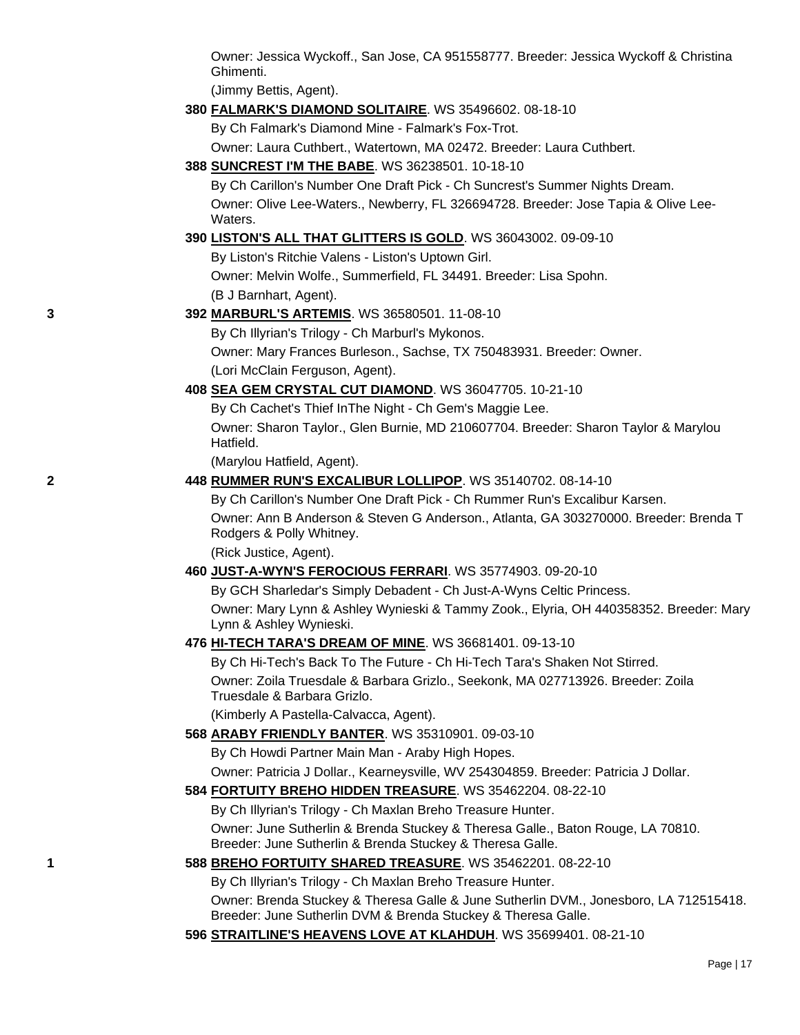Owner: Jessica Wyckoff., San Jose, CA 951558777. Breeder: Jessica Wyckoff & Christina Ghimenti.

(Jimmy Bettis, Agent).

### **380 [FALMARK'S DIAMOND SOLITAIRE](http://canis.infodog.com/files/bdogrsl1.prg;makc=WS_35496602;mdog=Falmark_s_Diamond_Solitaire;wins=all)**. WS 35496602. 08-18-10

By Ch Falmark's Diamond Mine - Falmark's Fox-Trot.

Owner: Laura Cuthbert., Watertown, MA 02472. Breeder: Laura Cuthbert.

### **388 [SUNCREST I'M THE BABE](http://canis.infodog.com/files/bdogrsl1.prg;makc=WS_36238501;mdog=Suncrest_I_m_The_Babe;wins=all)**. WS 36238501. 10-18-10

By Ch Carillon's Number One Draft Pick - Ch Suncrest's Summer Nights Dream. Owner: Olive Lee-Waters., Newberry, FL 326694728. Breeder: Jose Tapia & Olive Lee-**Waters** 

### **390 [LISTON'S ALL THAT GLITTERS IS GOLD](http://canis.infodog.com/files/bdogrsl1.prg;makc=WS_36043002;mdog=Liston_s_All_That_Glitters_Is_Gold;wins=all)**. WS 36043002. 09-09-10

By Liston's Ritchie Valens - Liston's Uptown Girl. Owner: Melvin Wolfe., Summerfield, FL 34491. Breeder: Lisa Spohn. (B J Barnhart, Agent).

### **3 392 [MARBURL'S ARTEMIS](http://canis.infodog.com/files/bdogrsl1.prg;makc=WS_36580501;mdog=Marburl_s_Artemis;wins=all)**. WS 36580501. 11-08-10

By Ch Illyrian's Trilogy - Ch Marburl's Mykonos.

Owner: Mary Frances Burleson., Sachse, TX 750483931. Breeder: Owner. (Lori McClain Ferguson, Agent).

### **408 [SEA GEM CRYSTAL CUT DIAMOND](http://canis.infodog.com/files/bdogrsl1.prg;makc=WS_36047705;mdog=Sea_Gem_Crystal_Cut_Diamond;wins=all)**. WS 36047705. 10-21-10

By Ch Cachet's Thief InThe Night - Ch Gem's Maggie Lee. Owner: Sharon Taylor., Glen Burnie, MD 210607704. Breeder: Sharon Taylor & Marylou Hatfield.

(Marylou Hatfield, Agent).

### **2 448 [RUMMER RUN'S EXCALIBUR LOLLIPOP](http://canis.infodog.com/files/bdogrsl1.prg;makc=WS_35140702;mdog=Rummer_Run_s_Excalibur_Lollipop;wins=all)**. WS 35140702. 08-14-10

By Ch Carillon's Number One Draft Pick - Ch Rummer Run's Excalibur Karsen.

Owner: Ann B Anderson & Steven G Anderson., Atlanta, GA 303270000. Breeder: Brenda T Rodgers & Polly Whitney.

(Rick Justice, Agent).

## **460 [JUST-A-WYN'S FEROCIOUS FERRARI](http://canis.infodog.com/files/bdogrsl1.prg;makc=WS_35774903;mdog=Just-A-Wyn_s_Ferocious_Ferrari;wins=all)**. WS 35774903. 09-20-10

By GCH Sharledar's Simply Debadent - Ch Just-A-Wyns Celtic Princess. Owner: Mary Lynn & Ashley Wynieski & Tammy Zook., Elyria, OH 440358352. Breeder: Mary Lynn & Ashley Wynieski.

## **476 [HI-TECH TARA'S DREAM OF MINE](http://canis.infodog.com/files/bdogrsl1.prg;makc=WS_36681401;mdog=Hi-Tech_Tara_s_Dream_Of_Mine;wins=all)**. WS 36681401. 09-13-10

By Ch Hi-Tech's Back To The Future - Ch Hi-Tech Tara's Shaken Not Stirred. Owner: Zoila Truesdale & Barbara Grizlo., Seekonk, MA 027713926. Breeder: Zoila Truesdale & Barbara Grizlo.

(Kimberly A Pastella-Calvacca, Agent).

## **568 [ARABY FRIENDLY BANTER](http://canis.infodog.com/files/bdogrsl1.prg;makc=WS_35310901;mdog=Araby_Friendly_Banter;wins=all)**. WS 35310901. 09-03-10

By Ch Howdi Partner Main Man - Araby High Hopes.

Owner: Patricia J Dollar., Kearneysville, WV 254304859. Breeder: Patricia J Dollar.

## **584 [FORTUITY BREHO HIDDEN TREASURE](http://canis.infodog.com/files/bdogrsl1.prg;makc=WS_35462204;mdog=Fortuity_Breho_Hidden_Treasure;wins=all)**. WS 35462204. 08-22-10

By Ch Illyrian's Trilogy - Ch Maxlan Breho Treasure Hunter. Owner: June Sutherlin & Brenda Stuckey & Theresa Galle., Baton Rouge, LA 70810. Breeder: June Sutherlin & Brenda Stuckey & Theresa Galle.

## **1 588 [BREHO FORTUITY SHARED TREASURE](http://canis.infodog.com/files/bdogrsl1.prg;makc=WS_35462201;mdog=Breho_Fortuity_Shared_Treasure;wins=all)**. WS 35462201. 08-22-10

By Ch Illyrian's Trilogy - Ch Maxlan Breho Treasure Hunter.

Owner: Brenda Stuckey & Theresa Galle & June Sutherlin DVM., Jonesboro, LA 712515418. Breeder: June Sutherlin DVM & Brenda Stuckey & Theresa Galle.

## **596 [STRAITLINE'S HEAVENS LOVE AT KLAHDUH](http://canis.infodog.com/files/bdogrsl1.prg;makc=WS_35699401;mdog=Straitline_s_Heavens_Love_At_Klahduh;wins=all)**. WS 35699401. 08-21-10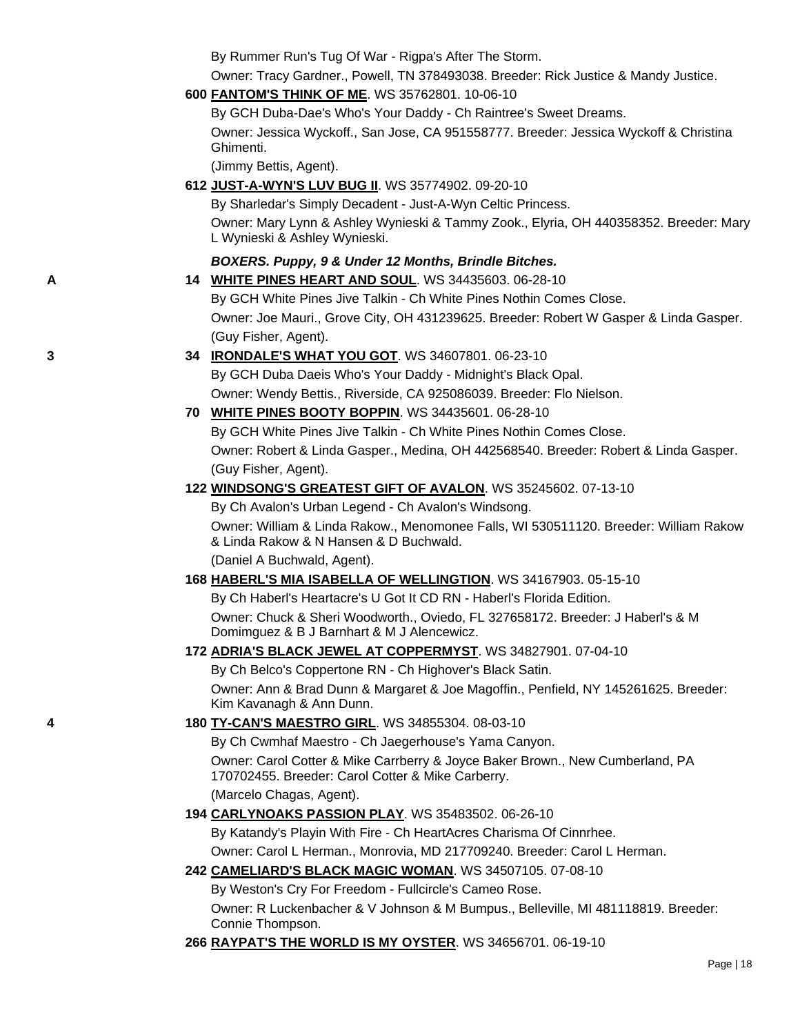By Rummer Run's Tug Of War - Rigpa's After The Storm.

Owner: Tracy Gardner., Powell, TN 378493038. Breeder: Rick Justice & Mandy Justice.

**600 [FANTOM'S THINK OF ME](http://canis.infodog.com/files/bdogrsl1.prg;makc=WS_35762801;mdog=Fantom_s_Think_Of_Me;wins=all)**. WS 35762801. 10-06-10

By GCH Duba-Dae's Who's Your Daddy - Ch Raintree's Sweet Dreams. Owner: Jessica Wyckoff., San Jose, CA 951558777. Breeder: Jessica Wyckoff & Christina Ghimenti.

(Jimmy Bettis, Agent).

**612 [JUST-A-WYN'S LUV BUG II](http://canis.infodog.com/files/bdogrsl1.prg;makc=WS_35774902;mdog=Just-A-Wyn_s_Luv_Bug_II;wins=all)**. WS 35774902. 09-20-10

By Sharledar's Simply Decadent - Just-A-Wyn Celtic Princess. Owner: Mary Lynn & Ashley Wynieski & Tammy Zook., Elyria, OH 440358352. Breeder: Mary L Wynieski & Ashley Wynieski.

## *BOXERS. Puppy, 9 & Under 12 Months, Brindle Bitches.*

**A 14 [WHITE PINES HEART AND SOUL](http://canis.infodog.com/files/bdogrsl1.prg;makc=WS_34435603;mdog=White_Pines_Heart_And_Soul;wins=all)**. WS 34435603. 06-28-10

By GCH White Pines Jive Talkin - Ch White Pines Nothin Comes Close. Owner: Joe Mauri., Grove City, OH 431239625. Breeder: Robert W Gasper & Linda Gasper. (Guy Fisher, Agent).

- **3 34 [IRONDALE'S WHAT YOU GOT](http://canis.infodog.com/files/bdogrsl1.prg;makc=WS_34607801;mdog=Irondale_s_What_You_Got;wins=all)**. WS 34607801. 06-23-10 By GCH Duba Daeis Who's Your Daddy - Midnight's Black Opal. Owner: Wendy Bettis., Riverside, CA 925086039. Breeder: Flo Nielson.
	- **70 [WHITE PINES BOOTY BOPPIN](http://canis.infodog.com/files/bdogrsl1.prg;makc=WS_34435601;mdog=White_Pines_Booty_Boppin;wins=all)**. WS 34435601. 06-28-10 By GCH White Pines Jive Talkin - Ch White Pines Nothin Comes Close. Owner: Robert & Linda Gasper., Medina, OH 442568540. Breeder: Robert & Linda Gasper. (Guy Fisher, Agent).

## **122 [WINDSONG'S GREATEST GIFT OF AVALON](http://canis.infodog.com/files/bdogrsl1.prg;makc=WS_35245602;mdog=Windsong_s_Greatest_Gift_Of_Avalon;wins=all)**. WS 35245602. 07-13-10

By Ch Avalon's Urban Legend - Ch Avalon's Windsong. Owner: William & Linda Rakow., Menomonee Falls, WI 530511120. Breeder: William Rakow & Linda Rakow & N Hansen & D Buchwald. (Daniel A Buchwald, Agent).

**168 [HABERL'S MIA ISABELLA OF WELLINGTION](http://canis.infodog.com/files/bdogrsl1.prg;makc=WS_34167903;mdog=Haberl_s_Mia_Isabella_Of_Wellingtion;wins=all)**. WS 34167903. 05-15-10

By Ch Haberl's Heartacre's U Got It CD RN - Haberl's Florida Edition. Owner: Chuck & Sheri Woodworth., Oviedo, FL 327658172. Breeder: J Haberl's & M Domimguez & B J Barnhart & M J Alencewicz.

### **172 [ADRIA'S BLACK JEWEL AT COPPERMYST](http://canis.infodog.com/files/bdogrsl1.prg;makc=WS_34827901;mdog=Adria_s_Black_Jewel_At_CopperMyst;wins=all)**. WS 34827901. 07-04-10

By Ch Belco's Coppertone RN - Ch Highover's Black Satin. Owner: Ann & Brad Dunn & Margaret & Joe Magoffin., Penfield, NY 145261625. Breeder: Kim Kavanagh & Ann Dunn.

## **4 180 [TY-CAN'S MAESTRO GIRL](http://canis.infodog.com/files/bdogrsl1.prg;makc=WS_34855304;mdog=Ty-Can_s_Maestro_Girl;wins=all)**. WS 34855304. 08-03-10

By Ch Cwmhaf Maestro - Ch Jaegerhouse's Yama Canyon. Owner: Carol Cotter & Mike Carrberry & Joyce Baker Brown., New Cumberland, PA 170702455. Breeder: Carol Cotter & Mike Carberry.

(Marcelo Chagas, Agent).

**194 [CARLYNOAKS PASSION PLAY](http://canis.infodog.com/files/bdogrsl1.prg;makc=WS_35483502;mdog=CarlynOaks_Passion_Play;wins=all)**. WS 35483502. 06-26-10

By Katandy's Playin With Fire - Ch HeartAcres Charisma Of Cinnrhee.

Owner: Carol L Herman., Monrovia, MD 217709240. Breeder: Carol L Herman.

**242 [CAMELIARD'S BLACK MAGIC WOMAN](http://canis.infodog.com/files/bdogrsl1.prg;makc=WS_34507105;mdog=Cameliard_s_Black_Magic_Woman;wins=all)**. WS 34507105. 07-08-10

By Weston's Cry For Freedom - Fullcircle's Cameo Rose.

Owner: R Luckenbacher & V Johnson & M Bumpus., Belleville, MI 481118819. Breeder: Connie Thompson.

**266 [RAYPAT'S THE WORLD IS MY OYSTER](http://canis.infodog.com/files/bdogrsl1.prg;makc=WS_34656701;mdog=Raypat_s_The_World_Is_My_Oyster;wins=all)**. WS 34656701. 06-19-10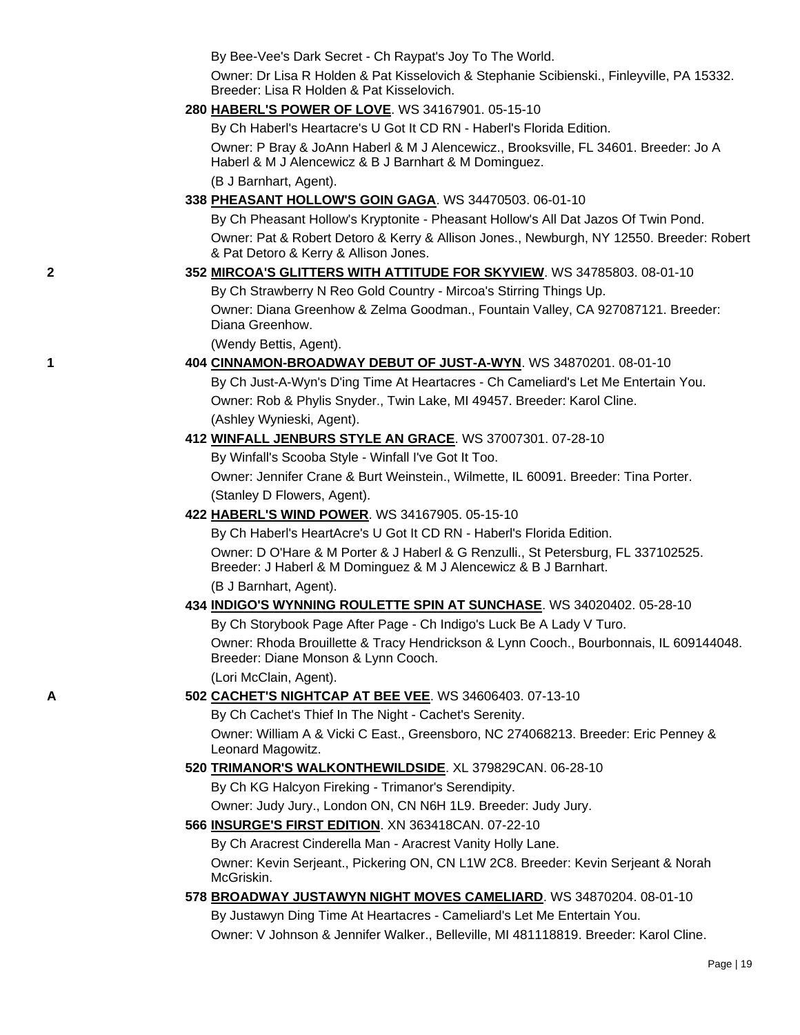By Bee-Vee's Dark Secret - Ch Raypat's Joy To The World.

Owner: Dr Lisa R Holden & Pat Kisselovich & Stephanie Scibienski., Finleyville, PA 15332. Breeder: Lisa R Holden & Pat Kisselovich.

#### **280 [HABERL'S POWER OF LOVE](http://canis.infodog.com/files/bdogrsl1.prg;makc=WS_34167901;mdog=Haberl_s_Power_Of_Love;wins=all)**. WS 34167901. 05-15-10

By Ch Haberl's Heartacre's U Got It CD RN - Haberl's Florida Edition.

Owner: P Bray & JoAnn Haberl & M J Alencewicz., Brooksville, FL 34601. Breeder: Jo A Haberl & M J Alencewicz & B J Barnhart & M Dominguez.

(B J Barnhart, Agent).

## **338 [PHEASANT HOLLOW'S GOIN GAGA](http://canis.infodog.com/files/bdogrsl1.prg;makc=WS_34470503;mdog=Pheasant_Hollow_s_Goin_GaGa;wins=all)**. WS 34470503. 06-01-10

By Ch Pheasant Hollow's Kryptonite - Pheasant Hollow's All Dat Jazos Of Twin Pond. Owner: Pat & Robert Detoro & Kerry & Allison Jones., Newburgh, NY 12550. Breeder: Robert

& Pat Detoro & Kerry & Allison Jones.

## **2 352 [MIRCOA'S GLITTERS WITH ATTITUDE FOR SKYVIEW](http://canis.infodog.com/files/bdogrsl1.prg;makc=WS_34785803;mdog=Mircoa_s_Glitters_With_Attitude_For_Skyview;wins=all)**. WS 34785803. 08-01-10

By Ch Strawberry N Reo Gold Country - Mircoa's Stirring Things Up. Owner: Diana Greenhow & Zelma Goodman., Fountain Valley, CA 927087121. Breeder: Diana Greenhow.

(Wendy Bettis, Agent).

## **1 404 [CINNAMON-BROADWAY DEBUT OF JUST-A-WYN](http://canis.infodog.com/files/bdogrsl1.prg;makc=WS_34870201;mdog=Cinnamon-Broadway_Debut_Of_Just-A-Wyn;wins=all)**. WS 34870201. 08-01-10

By Ch Just-A-Wyn's D'ing Time At Heartacres - Ch Cameliard's Let Me Entertain You. Owner: Rob & Phylis Snyder., Twin Lake, MI 49457. Breeder: Karol Cline. (Ashley Wynieski, Agent).

### **412 [WINFALL JENBURS STYLE AN GRACE](http://canis.infodog.com/files/bdogrsl1.prg;makc=WS_37007301;mdog=Winfall_JenBurs_Style_An_Grace;wins=all)**. WS 37007301. 07-28-10

By Winfall's Scooba Style - Winfall I've Got It Too.

Owner: Jennifer Crane & Burt Weinstein., Wilmette, IL 60091. Breeder: Tina Porter. (Stanley D Flowers, Agent).

### **422 [HABERL'S WIND POWER](http://canis.infodog.com/files/bdogrsl1.prg;makc=WS_34167905;mdog=Haberl_s_Wind_Power;wins=all)**. WS 34167905. 05-15-10

By Ch Haberl's HeartAcre's U Got It CD RN - Haberl's Florida Edition. Owner: D O'Hare & M Porter & J Haberl & G Renzulli., St Petersburg, FL 337102525. Breeder: J Haberl & M Dominguez & M J Alencewicz & B J Barnhart. (B J Barnhart, Agent).

#### **434 [INDIGO'S WYNNING ROULETTE SPIN AT SUNCHASE](http://canis.infodog.com/files/bdogrsl1.prg;makc=WS_34020402;mdog=Indigo_s_Wynning_Roulette_Spin_At_Sunchase;wins=all)**. WS 34020402. 05-28-10

By Ch Storybook Page After Page - Ch Indigo's Luck Be A Lady V Turo. Owner: Rhoda Brouillette & Tracy Hendrickson & Lynn Cooch., Bourbonnais, IL 609144048. Breeder: Diane Monson & Lynn Cooch.

(Lori McClain, Agent).

## **A 502 [CACHET'S NIGHTCAP AT BEE VEE](http://canis.infodog.com/files/bdogrsl1.prg;makc=WS_34606403;mdog=Cachet_s_Nightcap_At_Bee_Vee;wins=all)**. WS 34606403. 07-13-10

By Ch Cachet's Thief In The Night - Cachet's Serenity.

Owner: William A & Vicki C East., Greensboro, NC 274068213. Breeder: Eric Penney & Leonard Magowitz.

## **520 [TRIMANOR'S WALKONTHEWILDSIDE](http://canis.infodog.com/files/bdogrsl1.prg;makc=XL_379829CAN;mdog=Trimanor_s_Walkonthewildside;wins=all)**. XL 379829CAN. 06-28-10

By Ch KG Halcyon Fireking - Trimanor's Serendipity.

Owner: Judy Jury., London ON, CN N6H 1L9. Breeder: Judy Jury.

#### **566 [INSURGE'S FIRST EDITION](http://canis.infodog.com/files/bdogrsl1.prg;makc=XN_363418CAN;mdog=Insurge_s_First_Edition;wins=all)**. XN 363418CAN. 07-22-10

By Ch Aracrest Cinderella Man - Aracrest Vanity Holly Lane. Owner: Kevin Serjeant., Pickering ON, CN L1W 2C8. Breeder: Kevin Serjeant & Norah McGriskin.

#### **578 [BROADWAY JUSTAWYN NIGHT MOVES CAMELIARD](http://canis.infodog.com/files/bdogrsl1.prg;makc=WS_34870204;mdog=Broadway_Justawyn_Night_Moves_Cameliard;wins=all)**. WS 34870204. 08-01-10

By Justawyn Ding Time At Heartacres - Cameliard's Let Me Entertain You. Owner: V Johnson & Jennifer Walker., Belleville, MI 481118819. Breeder: Karol Cline.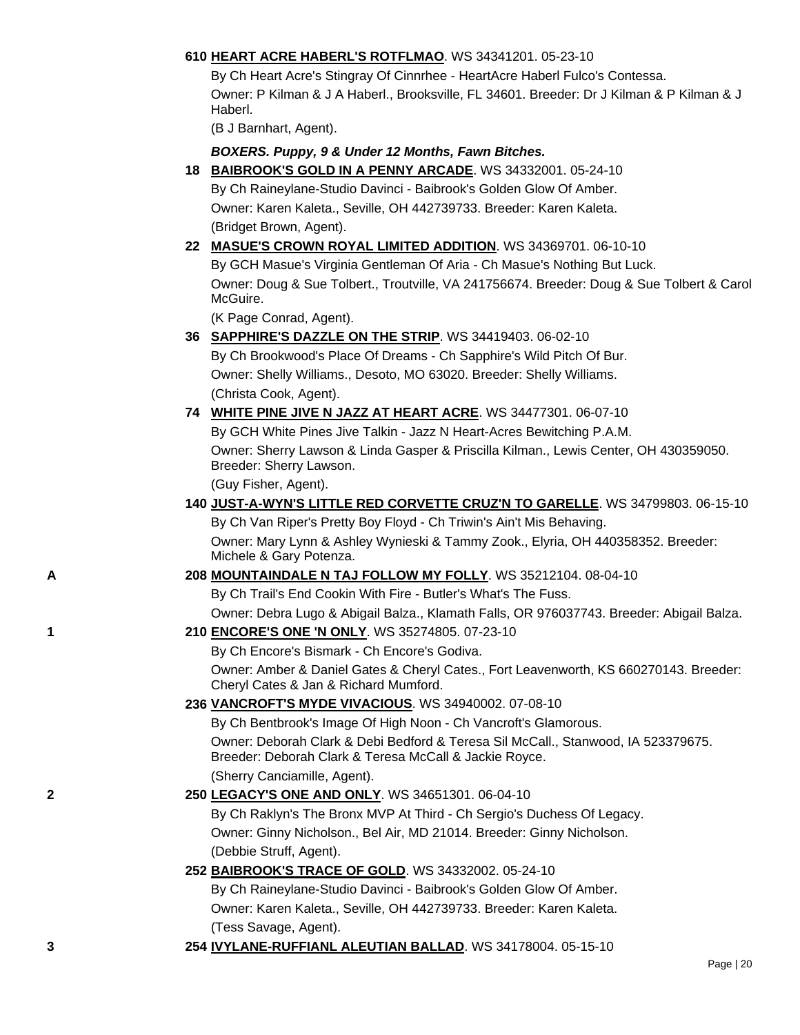## **610 [HEART ACRE HABERL'S ROTFLMAO](http://canis.infodog.com/files/bdogrsl1.prg;makc=WS_34341201;mdog=Heart_Acre_Haberl_s_ROTFLMAO;wins=all)**. WS 34341201. 05-23-10

By Ch Heart Acre's Stingray Of Cinnrhee - HeartAcre Haberl Fulco's Contessa. Owner: P Kilman & J A Haberl., Brooksville, FL 34601. Breeder: Dr J Kilman & P Kilman & J Haberl.

(B J Barnhart, Agent).

## *BOXERS. Puppy, 9 & Under 12 Months, Fawn Bitches.*

**18 [BAIBROOK'S GOLD IN A PENNY ARCADE](http://canis.infodog.com/files/bdogrsl1.prg;makc=WS_34332001;mdog=Baibrook_s_Gold_In_A_Penny_Arcade;wins=all)**. WS 34332001. 05-24-10 By Ch Raineylane-Studio Davinci - Baibrook's Golden Glow Of Amber.

Owner: Karen Kaleta., Seville, OH 442739733. Breeder: Karen Kaleta. (Bridget Brown, Agent).

## **22 [MASUE'S CROWN ROYAL LIMITED ADDITION](http://canis.infodog.com/files/bdogrsl1.prg;makc=WS_34369701;mdog=Masue_s_Crown_Royal_Limited_Addition;wins=all)**. WS 34369701. 06-10-10 By GCH Masue's Virginia Gentleman Of Aria - Ch Masue's Nothing But Luck. Owner: Doug & Sue Tolbert., Troutville, VA 241756674. Breeder: Doug & Sue Tolbert & Carol McGuire.

(K Page Conrad, Agent).

**36 [SAPPHIRE'S DAZZLE ON THE STRIP](http://canis.infodog.com/files/bdogrsl1.prg;makc=WS_34419403;mdog=Sapphire_s_Dazzle_On_The_Strip;wins=all)**. WS 34419403. 06-02-10 By Ch Brookwood's Place Of Dreams - Ch Sapphire's Wild Pitch Of Bur. Owner: Shelly Williams., Desoto, MO 63020. Breeder: Shelly Williams. (Christa Cook, Agent).

# **74 [WHITE PINE JIVE N JAZZ AT HEART ACRE](http://canis.infodog.com/files/bdogrsl1.prg;makc=WS_34477301;mdog=White_Pine_Jive_N_Jazz_At_Heart_Acre;wins=all)**. WS 34477301. 06-07-10 By GCH White Pines Jive Talkin - Jazz N Heart-Acres Bewitching P.A.M. Owner: Sherry Lawson & Linda Gasper & Priscilla Kilman., Lewis Center, OH 430359050. Breeder: Sherry Lawson.

(Guy Fisher, Agent).

## **140 [JUST-A-WYN'S LITTLE RED CORVETTE CRUZ'N TO GARELLE](http://canis.infodog.com/files/bdogrsl1.prg;makc=WS_34799803;mdog=Just-A-Wyn_s_Little_Red_Corvette_Cruz_n_To_Garelle;wins=all)**. WS 34799803. 06-15-10 By Ch Van Riper's Pretty Boy Floyd - Ch Triwin's Ain't Mis Behaving. Owner: Mary Lynn & Ashley Wynieski & Tammy Zook., Elyria, OH 440358352. Breeder:

Michele & Gary Potenza.

## **A 208 [MOUNTAINDALE N TAJ FOLLOW MY FOLLY](http://canis.infodog.com/files/bdogrsl1.prg;makc=WS_35212104;mdog=Mountaindale_N_Taj_Follow_My_Folly;wins=all)**. WS 35212104. 08-04-10

By Ch Trail's End Cookin With Fire - Butler's What's The Fuss. Owner: Debra Lugo & Abigail Balza., Klamath Falls, OR 976037743. Breeder: Abigail Balza.

## **1 210 [ENCORE'S ONE 'N ONLY](http://canis.infodog.com/files/bdogrsl1.prg;makc=WS_35274805;mdog=Encore_s_One__N_Only;wins=all)**. WS 35274805. 07-23-10

By Ch Encore's Bismark - Ch Encore's Godiva. Owner: Amber & Daniel Gates & Cheryl Cates., Fort Leavenworth, KS 660270143. Breeder: Cheryl Cates & Jan & Richard Mumford.

## **236 [VANCROFT'S MYDE VIVACIOUS](http://canis.infodog.com/files/bdogrsl1.prg;makc=WS_34940002;mdog=Vancroft_s_Myde_Vivacious;wins=all)**. WS 34940002. 07-08-10

By Ch Bentbrook's Image Of High Noon - Ch Vancroft's Glamorous. Owner: Deborah Clark & Debi Bedford & Teresa Sil McCall., Stanwood, IA 523379675. Breeder: Deborah Clark & Teresa McCall & Jackie Royce. (Sherry Canciamille, Agent).

## **2 250 [LEGACY'S ONE AND ONLY](http://canis.infodog.com/files/bdogrsl1.prg;makc=WS_34651301;mdog=Legacy_s_One_And_Only;wins=all)**. WS 34651301. 06-04-10

By Ch Raklyn's The Bronx MVP At Third - Ch Sergio's Duchess Of Legacy. Owner: Ginny Nicholson., Bel Air, MD 21014. Breeder: Ginny Nicholson. (Debbie Struff, Agent).

## **252 [BAIBROOK'S TRACE OF GOLD](http://canis.infodog.com/files/bdogrsl1.prg;makc=WS_34332002;mdog=Baibrook_s_Trace_Of_Gold;wins=all)**. WS 34332002. 05-24-10

By Ch Raineylane-Studio Davinci - Baibrook's Golden Glow Of Amber. Owner: Karen Kaleta., Seville, OH 442739733. Breeder: Karen Kaleta. (Tess Savage, Agent).

**3 254 [IVYLANE-RUFFIANL ALEUTIAN BALLAD](http://canis.infodog.com/files/bdogrsl1.prg;makc=WS_34178004;mdog=Ivylane-RuffianL_Aleutian_Ballad;wins=all)**. WS 34178004. 05-15-10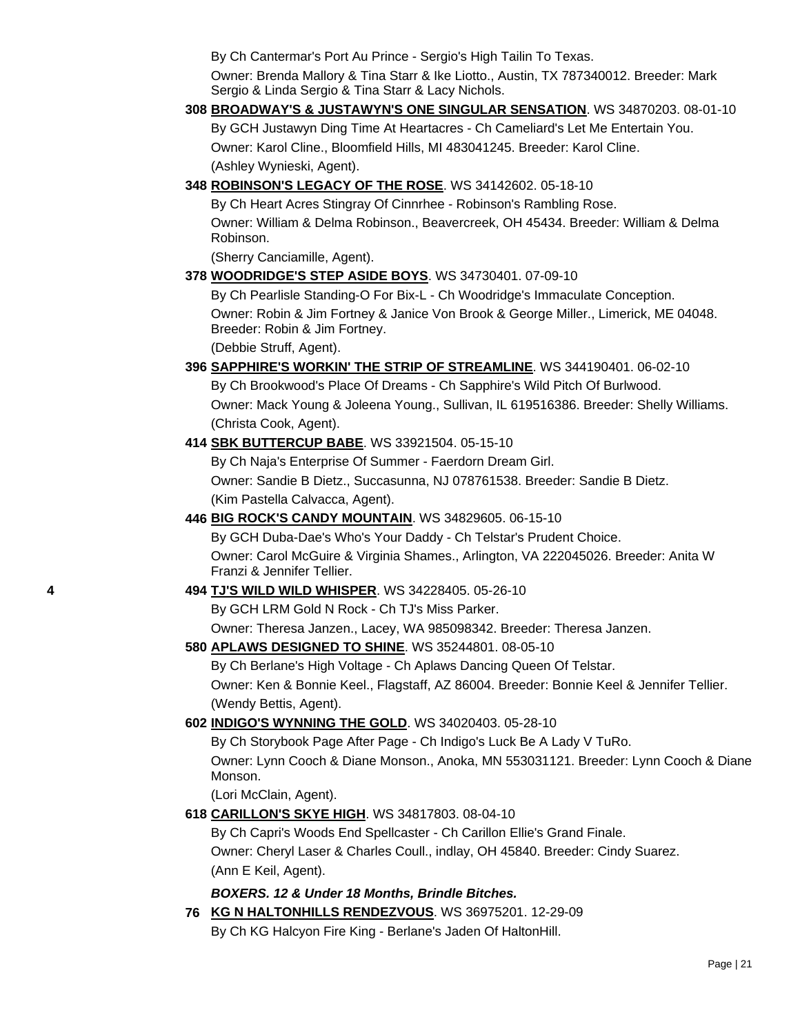By Ch Cantermar's Port Au Prince - Sergio's High Tailin To Texas.

Owner: Brenda Mallory & Tina Starr & Ike Liotto., Austin, TX 787340012. Breeder: Mark Sergio & Linda Sergio & Tina Starr & Lacy Nichols.

**308 [BROADWAY'S & JUSTAWYN'S ONE SINGULAR SENSATION](http://canis.infodog.com/files/bdogrsl1.prg;makc=WS_34870203;mdog=Broadway_s_&_Justawyn_s_One_Singular_Sensation;wins=all)**. WS 34870203. 08-01-10

By GCH Justawyn Ding Time At Heartacres - Ch Cameliard's Let Me Entertain You. Owner: Karol Cline., Bloomfield Hills, MI 483041245. Breeder: Karol Cline. (Ashley Wynieski, Agent).

**348 [ROBINSON'S LEGACY OF THE ROSE](http://canis.infodog.com/files/bdogrsl1.prg;makc=WS_34142602;mdog=Robinson_s_Legacy_Of_The_Rose;wins=all)**. WS 34142602. 05-18-10

By Ch Heart Acres Stingray Of Cinnrhee - Robinson's Rambling Rose. Owner: William & Delma Robinson., Beavercreek, OH 45434. Breeder: William & Delma Robinson.

(Sherry Canciamille, Agent).

**378 [WOODRIDGE'S STEP ASIDE BOYS](http://canis.infodog.com/files/bdogrsl1.prg;makc=WS_34730401;mdog=Woodridge_s_Step_Aside_Boys;wins=all)**. WS 34730401. 07-09-10

By Ch Pearlisle Standing-O For Bix-L - Ch Woodridge's Immaculate Conception. Owner: Robin & Jim Fortney & Janice Von Brook & George Miller., Limerick, ME 04048. Breeder: Robin & Jim Fortney.

(Debbie Struff, Agent).

# **396 [SAPPHIRE'S WORKIN' THE STRIP OF STREAMLINE](http://canis.infodog.com/files/bdogrsl1.prg;makc=WS_344190401;mdog=Sapphire_s_Workin__The_Strip_Of_Streamline;wins=all)**. WS 344190401. 06-02-10

By Ch Brookwood's Place Of Dreams - Ch Sapphire's Wild Pitch Of Burlwood. Owner: Mack Young & Joleena Young., Sullivan, IL 619516386. Breeder: Shelly Williams. (Christa Cook, Agent).

## **414 [SBK BUTTERCUP BABE](http://canis.infodog.com/files/bdogrsl1.prg;makc=WS_33921504;mdog=SBK_Buttercup_Babe;wins=all)**. WS 33921504. 05-15-10

By Ch Naja's Enterprise Of Summer - Faerdorn Dream Girl. Owner: Sandie B Dietz., Succasunna, NJ 078761538. Breeder: Sandie B Dietz. (Kim Pastella Calvacca, Agent).

**446 [BIG ROCK'S CANDY MOUNTAIN](http://canis.infodog.com/files/bdogrsl1.prg;makc=WS_34829605;mdog=Big_Rock_s_Candy_Mountain;wins=all)**. WS 34829605. 06-15-10

By GCH Duba-Dae's Who's Your Daddy - Ch Telstar's Prudent Choice. Owner: Carol McGuire & Virginia Shames., Arlington, VA 222045026. Breeder: Anita W Franzi & Jennifer Tellier.

**4 494 [TJ'S WILD WILD WHISPER](http://canis.infodog.com/files/bdogrsl1.prg;makc=WS_34228405;mdog=TJ_s_Wild_Wild_Whisper;wins=all)**. WS 34228405. 05-26-10

By GCH LRM Gold N Rock - Ch TJ's Miss Parker.

Owner: Theresa Janzen., Lacey, WA 985098342. Breeder: Theresa Janzen.

## **580 [APLAWS DESIGNED TO SHINE](http://canis.infodog.com/files/bdogrsl1.prg;makc=WS_35244801;mdog=Aplaws_Designed_To_Shine;wins=all)**. WS 35244801. 08-05-10

By Ch Berlane's High Voltage - Ch Aplaws Dancing Queen Of Telstar. Owner: Ken & Bonnie Keel., Flagstaff, AZ 86004. Breeder: Bonnie Keel & Jennifer Tellier. (Wendy Bettis, Agent).

**602 [INDIGO'S WYNNING THE GOLD](http://canis.infodog.com/files/bdogrsl1.prg;makc=WS_34020403;mdog=Indigo_s_Wynning_The_Gold;wins=all)**. WS 34020403. 05-28-10

By Ch Storybook Page After Page - Ch Indigo's Luck Be A Lady V TuRo. Owner: Lynn Cooch & Diane Monson., Anoka, MN 553031121. Breeder: Lynn Cooch & Diane Monson.

(Lori McClain, Agent).

**618 [CARILLON'S SKYE HIGH](http://canis.infodog.com/files/bdogrsl1.prg;makc=WS_34817803;mdog=Carillon_s_Skye_High;wins=all)**. WS 34817803. 08-04-10

By Ch Capri's Woods End Spellcaster - Ch Carillon Ellie's Grand Finale. Owner: Cheryl Laser & Charles Coull., indlay, OH 45840. Breeder: Cindy Suarez. (Ann E Keil, Agent).

## *BOXERS. 12 & Under 18 Months, Brindle Bitches.*

**76 [KG N HALTONHILLS RENDEZVOUS](http://canis.infodog.com/files/bdogrsl1.prg;makc=WS_36975201;mdog=KG_N_Haltonhills_Rendezvous;wins=all)**. WS 36975201. 12-29-09 By Ch KG Halcyon Fire King - Berlane's Jaden Of HaltonHill.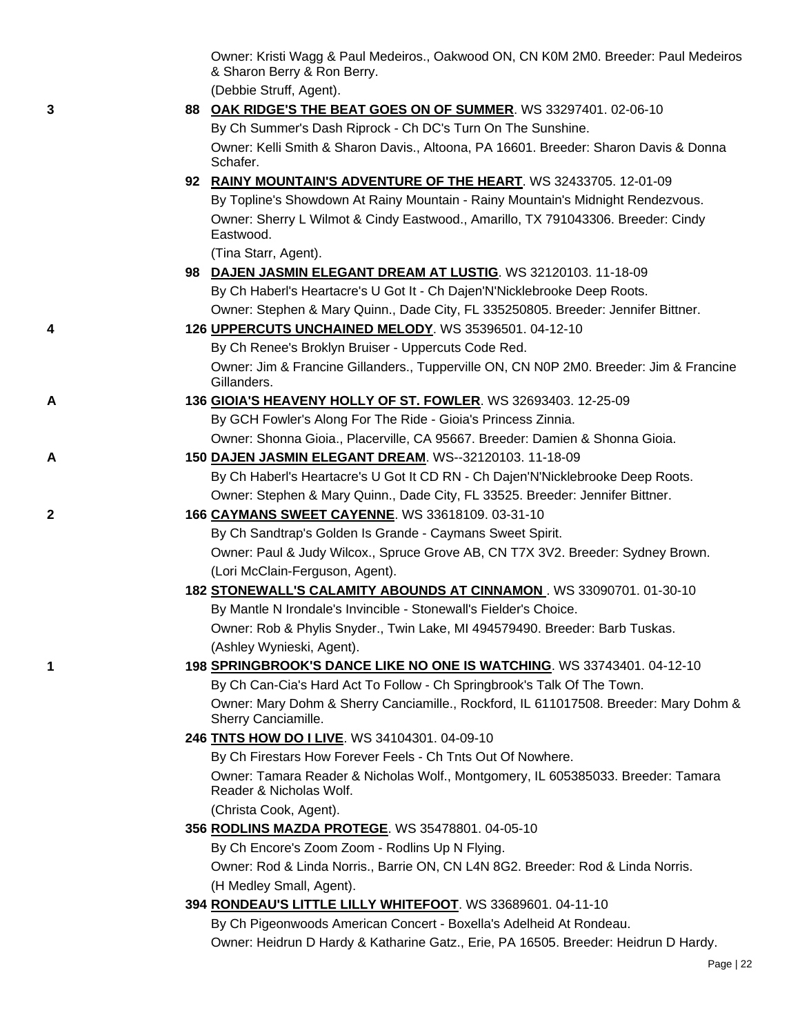Owner: Kristi Wagg & Paul Medeiros., Oakwood ON, CN K0M 2M0. Breeder: Paul Medeiros & Sharon Berry & Ron Berry.

(Debbie Struff, Agent).

**3 88 [OAK RIDGE'S THE BEAT GOES ON OF SUMMER](http://canis.infodog.com/files/bdogrsl1.prg;makc=WS_33297401;mdog=Oak_Ridge_s_The_Beat_Goes_On_Of_Summer;wins=all)**. WS 33297401. 02-06-10 By Ch Summer's Dash Riprock - Ch DC's Turn On The Sunshine. Owner: Kelli Smith & Sharon Davis., Altoona, PA 16601. Breeder: Sharon Davis & Donna Schafer. **92 [RAINY MOUNTAIN'S ADVENTURE OF THE HEART](http://canis.infodog.com/files/bdogrsl1.prg;makc=WS_32433705;mdog=Rainy_Mountain_s_Adventure_Of_The_Heart;wins=all)**. WS 32433705. 12-01-09 By Topline's Showdown At Rainy Mountain - Rainy Mountain's Midnight Rendezvous. Owner: Sherry L Wilmot & Cindy Eastwood., Amarillo, TX 791043306. Breeder: Cindy Eastwood. (Tina Starr, Agent). **98 [DAJEN JASMIN ELEGANT DREAM AT LUSTIG](http://canis.infodog.com/files/bdogrsl1.prg;makc=WS_32120103;mdog=Dajen_Jasmin_Elegant_Dream_At_Lustig;wins=all)**. WS 32120103. 11-18-09 By Ch Haberl's Heartacre's U Got It - Ch Dajen'N'Nicklebrooke Deep Roots. Owner: Stephen & Mary Quinn., Dade City, FL 335250805. Breeder: Jennifer Bittner. **4 126 [UPPERCUTS UNCHAINED MELODY](http://canis.infodog.com/files/bdogrsl1.prg;makc=WS_35396501;mdog=Uppercuts_Unchained_Melody;wins=all)**. WS 35396501. 04-12-10 By Ch Renee's Broklyn Bruiser - Uppercuts Code Red. Owner: Jim & Francine Gillanders., Tupperville ON, CN N0P 2M0. Breeder: Jim & Francine Gillanders. **A 136 [GIOIA'S HEAVENY HOLLY OF ST. FOWLER](http://canis.infodog.com/files/bdogrsl1.prg;makc=WS_32693403;mdog=Gioia_s_Heaveny_Holly_Of_St._Fowler;wins=all)**. WS 32693403. 12-25-09 By GCH Fowler's Along For The Ride - Gioia's Princess Zinnia. Owner: Shonna Gioia., Placerville, CA 95667. Breeder: Damien & Shonna Gioia. **A 150 [DAJEN JASMIN ELEGANT DREAM](http://canis.infodog.com/files/bdogrsl1.prg;makc=WS--32120103;mdog=Dajen_Jasmin_Elegant_Dream;wins=all)**. WS--32120103. 11-18-09 By Ch Haberl's Heartacre's U Got It CD RN - Ch Dajen'N'Nicklebrooke Deep Roots. Owner: Stephen & Mary Quinn., Dade City, FL 33525. Breeder: Jennifer Bittner. **2 166 [CAYMANS SWEET CAYENNE](http://canis.infodog.com/files/bdogrsl1.prg;makc=WS_33618109;mdog=Caymans_Sweet_Cayenne;wins=all)**. WS 33618109. 03-31-10 By Ch Sandtrap's Golden Is Grande - Caymans Sweet Spirit. Owner: Paul & Judy Wilcox., Spruce Grove AB, CN T7X 3V2. Breeder: Sydney Brown. (Lori McClain-Ferguson, Agent). **182 [STONEWALL'S CALAMITY ABOUNDS AT CINNAMON](http://canis.infodog.com/files/bdogrsl1.prg;makc=WS_33090701;mdog=Stonewall_s_Calamity_Abounds_At_Cinnamon;wins=all)** . WS 33090701. 01-30-10 By Mantle N Irondale's Invincible - Stonewall's Fielder's Choice. Owner: Rob & Phylis Snyder., Twin Lake, MI 494579490. Breeder: Barb Tuskas. (Ashley Wynieski, Agent). **1 198 [SPRINGBROOK'S DANCE LIKE NO ONE IS WATCHING](http://canis.infodog.com/files/bdogrsl1.prg;makc=WS_33743401;mdog=Springbrook_s_Dance_Like_No_One_Is_Watching;wins=all)**. WS 33743401. 04-12-10 By Ch Can-Cia's Hard Act To Follow - Ch Springbrook's Talk Of The Town. Owner: Mary Dohm & Sherry Canciamille., Rockford, IL 611017508. Breeder: Mary Dohm & Sherry Canciamille. **246 [TNTS HOW DO I LIVE](http://canis.infodog.com/files/bdogrsl1.prg;makc=WS_34104301;mdog=Tnts_How_Do_I_Live;wins=all)**. WS 34104301. 04-09-10 By Ch Firestars How Forever Feels - Ch Tnts Out Of Nowhere. Owner: Tamara Reader & Nicholas Wolf., Montgomery, IL 605385033. Breeder: Tamara Reader & Nicholas Wolf. (Christa Cook, Agent). **356 [RODLINS MAZDA PROTEGE](http://canis.infodog.com/files/bdogrsl1.prg;makc=WS_35478801;mdog=Rodlins_Mazda_Protege;wins=all)**. WS 35478801. 04-05-10 By Ch Encore's Zoom Zoom - Rodlins Up N Flying. Owner: Rod & Linda Norris., Barrie ON, CN L4N 8G2. Breeder: Rod & Linda Norris. (H Medley Small, Agent). **394 [RONDEAU'S LITTLE LILLY WHITEFOOT](http://canis.infodog.com/files/bdogrsl1.prg;makc=WS_33689601;mdog=Rondeau_s_Little_Lilly_Whitefoot;wins=all)**. WS 33689601. 04-11-10 By Ch Pigeonwoods American Concert - Boxella's Adelheid At Rondeau. Owner: Heidrun D Hardy & Katharine Gatz., Erie, PA 16505. Breeder: Heidrun D Hardy.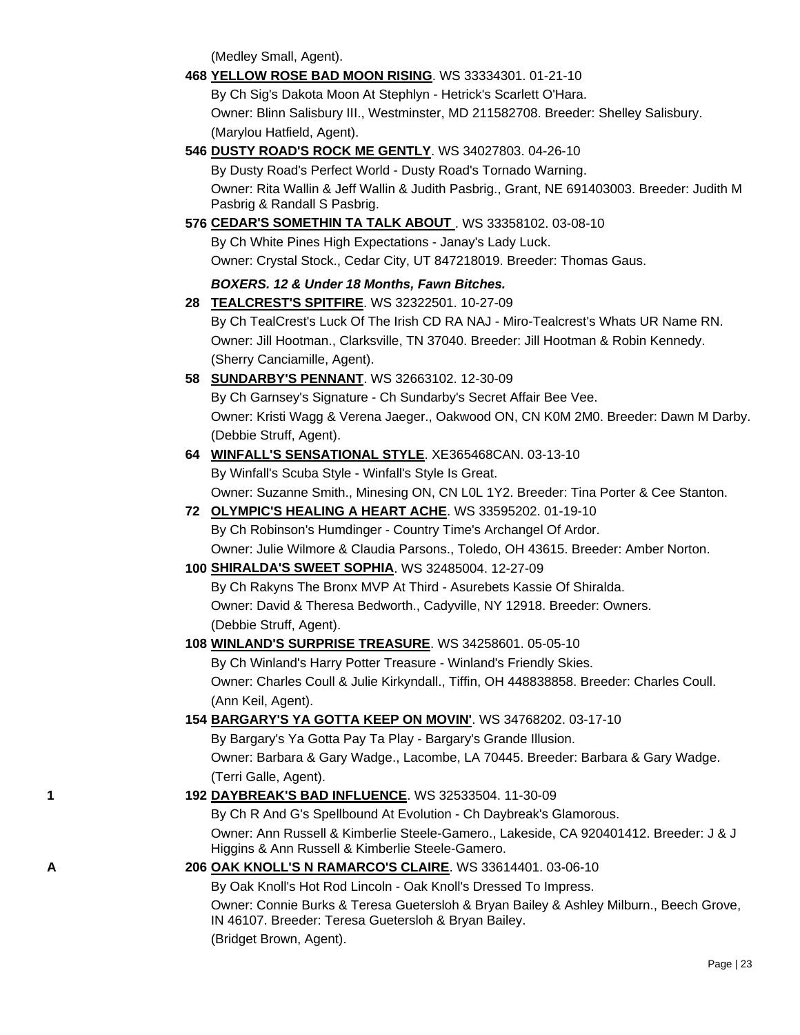(Medley Small, Agent).

**468 [YELLOW ROSE BAD MOON RISING](http://canis.infodog.com/files/bdogrsl1.prg;makc=WS_33334301;mdog=Yellow_Rose_Bad_Moon_Rising;wins=all)**. WS 33334301. 01-21-10

By Ch Sig's Dakota Moon At Stephlyn - Hetrick's Scarlett O'Hara. Owner: Blinn Salisbury III., Westminster, MD 211582708. Breeder: Shelley Salisbury. (Marylou Hatfield, Agent).

**546 [DUSTY ROAD'S ROCK ME GENTLY](http://canis.infodog.com/files/bdogrsl1.prg;makc=WS_34027803;mdog=Dusty_Road_s_Rock_Me_Gently;wins=all)**. WS 34027803. 04-26-10

By Dusty Road's Perfect World - Dusty Road's Tornado Warning. Owner: Rita Wallin & Jeff Wallin & Judith Pasbrig., Grant, NE 691403003. Breeder: Judith M Pasbrig & Randall S Pasbrig.

**576 [CEDAR'S SOMETHIN TA TALK ABOUT](http://canis.infodog.com/files/bdogrsl1.prg;makc=WS_33358102;mdog=Cedar_s_Somethin_Ta_Talk_About;wins=all)** . WS 33358102. 03-08-10

By Ch White Pines High Expectations - Janay's Lady Luck.

Owner: Crystal Stock., Cedar City, UT 847218019. Breeder: Thomas Gaus.

## *BOXERS. 12 & Under 18 Months, Fawn Bitches.*

- **28 [TEALCREST'S SPITFIRE](http://canis.infodog.com/files/bdogrsl1.prg;makc=WS_32322501;mdog=TealCrest_s_Spitfire;wins=all)**. WS 32322501. 10-27-09 By Ch TealCrest's Luck Of The Irish CD RA NAJ - Miro-Tealcrest's Whats UR Name RN. Owner: Jill Hootman., Clarksville, TN 37040. Breeder: Jill Hootman & Robin Kennedy. (Sherry Canciamille, Agent).
- **58 [SUNDARBY'S PENNANT](http://canis.infodog.com/files/bdogrsl1.prg;makc=WS_32663102;mdog=Sundarby_s_Pennant;wins=all)**. WS 32663102. 12-30-09

By Ch Garnsey's Signature - Ch Sundarby's Secret Affair Bee Vee. Owner: Kristi Wagg & Verena Jaeger., Oakwood ON, CN K0M 2M0. Breeder: Dawn M Darby. (Debbie Struff, Agent).

**64 [WINFALL'S SENSATIONAL STYLE](http://canis.infodog.com/files/bdogrsl1.prg;makc=XE365468CAN;mdog=Winfall_s_Sensational_Style;wins=all)**. XE365468CAN. 03-13-10

By Winfall's Scuba Style - Winfall's Style Is Great. Owner: Suzanne Smith., Minesing ON, CN L0L 1Y2. Breeder: Tina Porter & Cee Stanton.

- **72 [OLYMPIC'S HEALING A HEART ACHE](http://canis.infodog.com/files/bdogrsl1.prg;makc=WS_33595202;mdog=Olympic_s_Healing_A_Heart_Ache;wins=all)**. WS 33595202. 01-19-10 By Ch Robinson's Humdinger - Country Time's Archangel Of Ardor. Owner: Julie Wilmore & Claudia Parsons., Toledo, OH 43615. Breeder: Amber Norton.
- **100 [SHIRALDA'S SWEET SOPHIA](http://canis.infodog.com/files/bdogrsl1.prg;makc=WS_32485004;mdog=Shiralda_s_Sweet_Sophia;wins=all)**. WS 32485004. 12-27-09

By Ch Rakyns The Bronx MVP At Third - Asurebets Kassie Of Shiralda. Owner: David & Theresa Bedworth., Cadyville, NY 12918. Breeder: Owners. (Debbie Struff, Agent).

## **108 [WINLAND'S SURPRISE TREASURE](http://canis.infodog.com/files/bdogrsl1.prg;makc=WS_34258601;mdog=Winland_s_Surprise_Treasure;wins=all)**. WS 34258601. 05-05-10

By Ch Winland's Harry Potter Treasure - Winland's Friendly Skies. Owner: Charles Coull & Julie Kirkyndall., Tiffin, OH 448838858. Breeder: Charles Coull. (Ann Keil, Agent).

**154 [BARGARY'S YA GOTTA KEEP ON MOVIN'](http://canis.infodog.com/files/bdogrsl1.prg;makc=WS_34768202;mdog=Bargary_s_Ya_Gotta_Keep_On_Movin_;wins=all)**. WS 34768202. 03-17-10

By Bargary's Ya Gotta Pay Ta Play - Bargary's Grande Illusion. Owner: Barbara & Gary Wadge., Lacombe, LA 70445. Breeder: Barbara & Gary Wadge. (Terri Galle, Agent).

**1 192 [DAYBREAK'S BAD INFLUENCE](http://canis.infodog.com/files/bdogrsl1.prg;makc=WS_32533504;mdog=Daybreak_s_Bad_Influence;wins=all)**. WS 32533504. 11-30-09

By Ch R And G's Spellbound At Evolution - Ch Daybreak's Glamorous. Owner: Ann Russell & Kimberlie Steele-Gamero., Lakeside, CA 920401412. Breeder: J & J Higgins & Ann Russell & Kimberlie Steele-Gamero.

## **A 206 [OAK KNOLL'S N RAMARCO'S CLAIRE](http://canis.infodog.com/files/bdogrsl1.prg;makc=WS_33614401;mdog=Oak_Knoll_s_N_Ramarco_s_Claire;wins=all)**. WS 33614401. 03-06-10

By Oak Knoll's Hot Rod Lincoln - Oak Knoll's Dressed To Impress.

Owner: Connie Burks & Teresa Guetersloh & Bryan Bailey & Ashley Milburn., Beech Grove, IN 46107. Breeder: Teresa Guetersloh & Bryan Bailey. (Bridget Brown, Agent).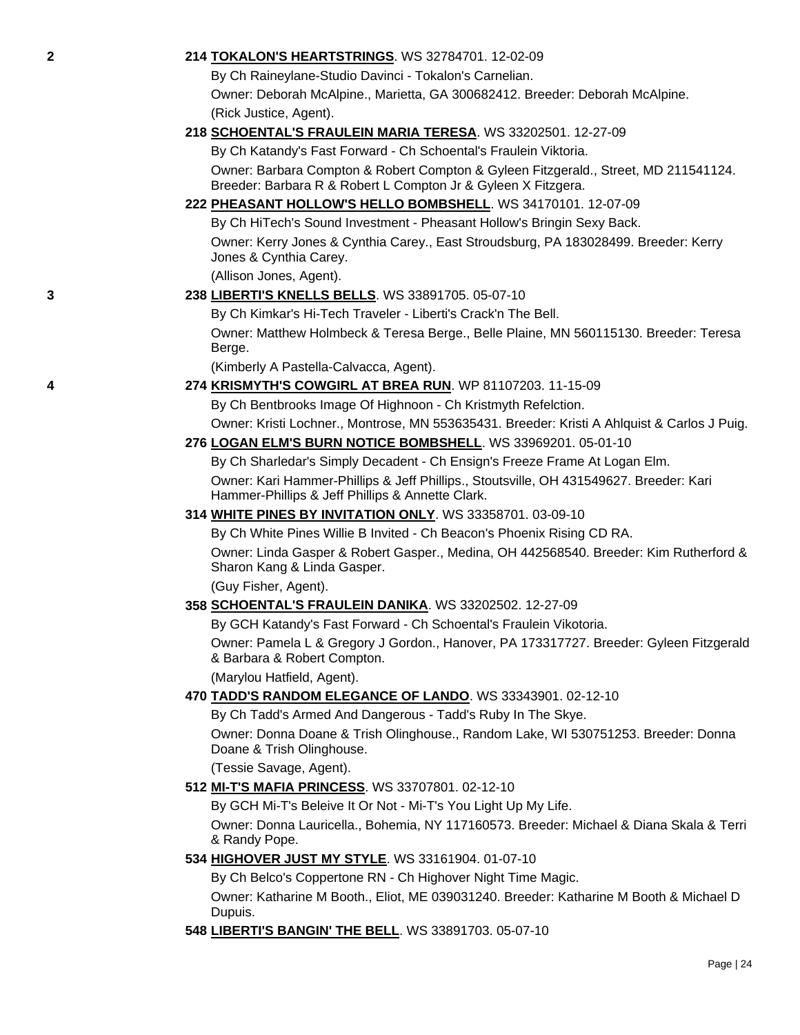### **2 214 [TOKALON'S HEARTSTRINGS](http://canis.infodog.com/files/bdogrsl1.prg;makc=WS_32784701;mdog=Tokalon_s_Heartstrings;wins=all)**. WS 32784701. 12-02-09

By Ch Raineylane-Studio Davinci - Tokalon's Carnelian.

Owner: Deborah McAlpine., Marietta, GA 300682412. Breeder: Deborah McAlpine. (Rick Justice, Agent).

## **218 [SCHOENTAL'S FRAULEIN MARIA TERESA](http://canis.infodog.com/files/bdogrsl1.prg;makc=WS_33202501;mdog=Schoental_s_Fraulein_Maria_Teresa;wins=all)**. WS 33202501. 12-27-09

By Ch Katandy's Fast Forward - Ch Schoental's Fraulein Viktoria. Owner: Barbara Compton & Robert Compton & Gyleen Fitzgerald., Street, MD 211541124. Breeder: Barbara R & Robert L Compton Jr & Gyleen X Fitzgera.

## **222 [PHEASANT HOLLOW'S HELLO BOMBSHELL](http://canis.infodog.com/files/bdogrsl1.prg;makc=WS_34170101;mdog=Pheasant_Hollow_s_Hello_Bombshell;wins=all)**. WS 34170101. 12-07-09

By Ch HiTech's Sound Investment - Pheasant Hollow's Bringin Sexy Back. Owner: Kerry Jones & Cynthia Carey., East Stroudsburg, PA 183028499. Breeder: Kerry Jones & Cynthia Carey.

(Allison Jones, Agent).

## **3 238 [LIBERTI'S KNELLS BELLS](http://canis.infodog.com/files/bdogrsl1.prg;makc=WS_33891705;mdog=Liberti_s_Knells_Bells;wins=all)**. WS 33891705. 05-07-10

By Ch Kimkar's Hi-Tech Traveler - Liberti's Crack'n The Bell. Owner: Matthew Holmbeck & Teresa Berge., Belle Plaine, MN 560115130. Breeder: Teresa Berge.

(Kimberly A Pastella-Calvacca, Agent).

## **4 274 [KRISMYTH'S COWGIRL AT BREA RUN](http://canis.infodog.com/files/bdogrsl1.prg;makc=WP_81107203;mdog=Krismyth_s_Cowgirl_At_Brea_Run;wins=all)**. WP 81107203. 11-15-09

By Ch Bentbrooks Image Of Highnoon - Ch Kristmyth Refelction.

Owner: Kristi Lochner., Montrose, MN 553635431. Breeder: Kristi A Ahlquist & Carlos J Puig.

## **276 [LOGAN ELM'S BURN NOTICE BOMBSHELL](http://canis.infodog.com/files/bdogrsl1.prg;makc=WS_33969201;mdog=Logan_Elm_s_Burn_Notice_Bombshell;wins=all)**. WS 33969201. 05-01-10

By Ch Sharledar's Simply Decadent - Ch Ensign's Freeze Frame At Logan Elm. Owner: Kari Hammer-Phillips & Jeff Phillips., Stoutsville, OH 431549627. Breeder: Kari Hammer-Phillips & Jeff Phillips & Annette Clark.

## **314 [WHITE PINES BY INVITATION ONLY](http://canis.infodog.com/files/bdogrsl1.prg;makc=WS_33358701;mdog=White_Pines_By_Invitation_Only;wins=all)**. WS 33358701. 03-09-10

By Ch White Pines Willie B Invited - Ch Beacon's Phoenix Rising CD RA. Owner: Linda Gasper & Robert Gasper., Medina, OH 442568540. Breeder: Kim Rutherford & Sharon Kang & Linda Gasper.

(Guy Fisher, Agent).

## **358 [SCHOENTAL'S FRAULEIN DANIKA](http://canis.infodog.com/files/bdogrsl1.prg;makc=WS_33202502;mdog=Schoental_s_Fraulein_Danika;wins=all)**. WS 33202502. 12-27-09

By GCH Katandy's Fast Forward - Ch Schoental's Fraulein Vikotoria.

Owner: Pamela L & Gregory J Gordon., Hanover, PA 173317727. Breeder: Gyleen Fitzgerald & Barbara & Robert Compton.

(Marylou Hatfield, Agent).

## **470 [TADD'S RANDOM ELEGANCE OF LANDO](http://canis.infodog.com/files/bdogrsl1.prg;makc=WS_33343901;mdog=TADD_S_Random_Elegance_Of_Lando;wins=all)**. WS 33343901. 02-12-10

By Ch Tadd's Armed And Dangerous - Tadd's Ruby In The Skye.

Owner: Donna Doane & Trish Olinghouse., Random Lake, WI 530751253. Breeder: Donna Doane & Trish Olinghouse.

(Tessie Savage, Agent).

## **512 [MI-T'S MAFIA PRINCESS](http://canis.infodog.com/files/bdogrsl1.prg;makc=WS_33707801;mdog=Mi-T_s_Mafia_Princess;wins=all)**. WS 33707801. 02-12-10

By GCH Mi-T's Beleive It Or Not - Mi-T's You Light Up My Life.

Owner: Donna Lauricella., Bohemia, NY 117160573. Breeder: Michael & Diana Skala & Terri & Randy Pope.

## **534 [HIGHOVER JUST MY STYLE](http://canis.infodog.com/files/bdogrsl1.prg;makc=WS_33161904;mdog=Highover_Just_My_Style;wins=all)**. WS 33161904. 01-07-10

By Ch Belco's Coppertone RN - Ch Highover Night Time Magic.

Owner: Katharine M Booth., Eliot, ME 039031240. Breeder: Katharine M Booth & Michael D Dupuis.

## **548 [LIBERTI'S BANGIN' THE BELL](http://canis.infodog.com/files/bdogrsl1.prg;makc=WS_33891703;mdog=Liberti_s_Bangin__The_Bell;wins=all)**. WS 33891703. 05-07-10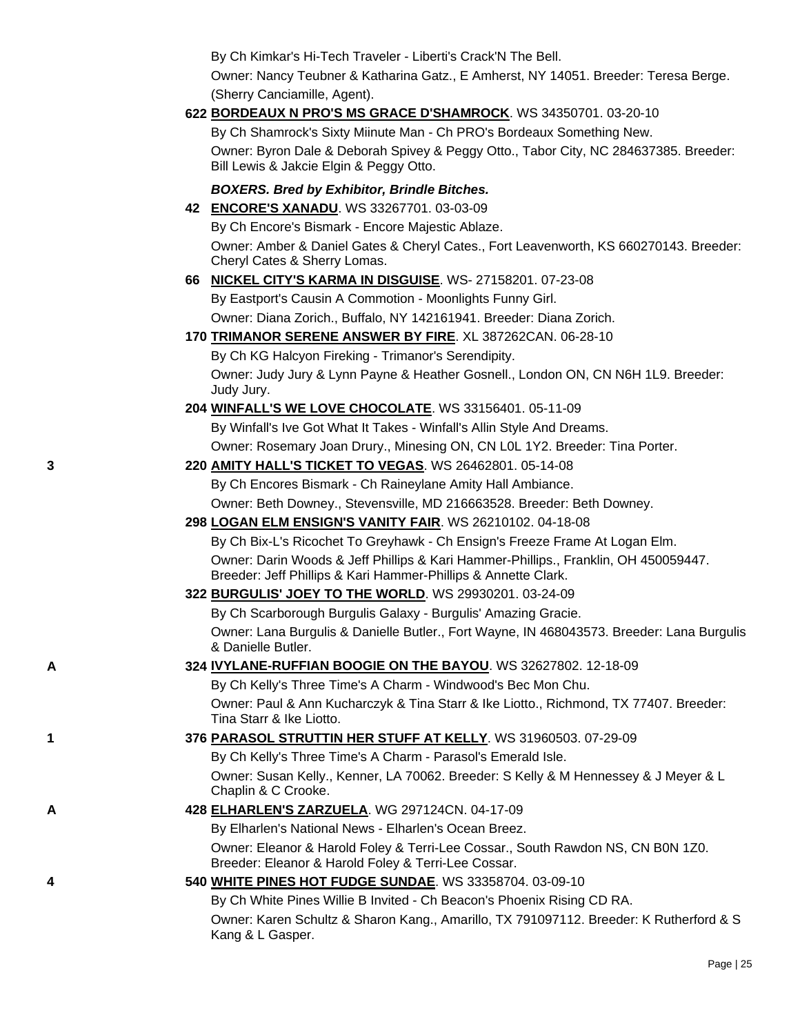By Ch Kimkar's Hi-Tech Traveler - Liberti's Crack'N The Bell.

Owner: Nancy Teubner & Katharina Gatz., E Amherst, NY 14051. Breeder: Teresa Berge. (Sherry Canciamille, Agent).

## **622 [BORDEAUX N PRO'S MS GRACE D'SHAMROCK](http://canis.infodog.com/files/bdogrsl1.prg;makc=WS_34350701;mdog=Bordeaux_N_PRO_s_Ms_Grace_D_Shamrock;wins=all)**. WS 34350701. 03-20-10

By Ch Shamrock's Sixty Miinute Man - Ch PRO's Bordeaux Something New. Owner: Byron Dale & Deborah Spivey & Peggy Otto., Tabor City, NC 284637385. Breeder: Bill Lewis & Jakcie Elgin & Peggy Otto.

## *BOXERS. Bred by Exhibitor, Brindle Bitches.*

**42 [ENCORE'S XANADU](http://canis.infodog.com/files/bdogrsl1.prg;makc=WS_33267701;mdog=Encore_s_Xanadu;wins=all)**. WS 33267701. 03-03-09

By Ch Encore's Bismark - Encore Majestic Ablaze.

Owner: Amber & Daniel Gates & Cheryl Cates., Fort Leavenworth, KS 660270143. Breeder: Cheryl Cates & Sherry Lomas.

## **66 [NICKEL CITY'S KARMA IN DISGUISE](http://canis.infodog.com/files/bdogrsl1.prg;makc=WS-_27158201;mdog=Nickel_City_s_Karma_In_Disguise;wins=all)**. WS- 27158201. 07-23-08

By Eastport's Causin A Commotion - Moonlights Funny Girl. Owner: Diana Zorich., Buffalo, NY 142161941. Breeder: Diana Zorich.

### **170 [TRIMANOR SERENE ANSWER BY FIRE](http://canis.infodog.com/files/bdogrsl1.prg;makc=XL_387262CAN;mdog=Trimanor_Serene_Answer_By_Fire;wins=all)**. XL 387262CAN. 06-28-10

By Ch KG Halcyon Fireking - Trimanor's Serendipity. Owner: Judy Jury & Lynn Payne & Heather Gosnell., London ON, CN N6H 1L9. Breeder: Judy Jury.

- **204 [WINFALL'S WE LOVE CHOCOLATE](http://canis.infodog.com/files/bdogrsl1.prg;makc=WS_33156401;mdog=Winfall_s_We_Love_Chocolate;wins=all)**. WS 33156401. 05-11-09 By Winfall's Ive Got What It Takes - Winfall's Allin Style And Dreams. Owner: Rosemary Joan Drury., Minesing ON, CN L0L 1Y2. Breeder: Tina Porter.
- **3 220 [AMITY HALL'S TICKET TO VEGAS](http://canis.infodog.com/files/bdogrsl1.prg;makc=WS_26462801;mdog=Amity_Hall_s_Ticket_To_Vegas;wins=all)**. WS 26462801. 05-14-08

By Ch Encores Bismark - Ch Raineylane Amity Hall Ambiance. Owner: Beth Downey., Stevensville, MD 216663528. Breeder: Beth Downey.

## **298 [LOGAN ELM ENSIGN'S VANITY FAIR](http://canis.infodog.com/files/bdogrsl1.prg;makc=WS_26210102;mdog=Logan_Elm_Ensign_s_Vanity_Fair;wins=all)**. WS 26210102. 04-18-08

By Ch Bix-L's Ricochet To Greyhawk - Ch Ensign's Freeze Frame At Logan Elm. Owner: Darin Woods & Jeff Phillips & Kari Hammer-Phillips., Franklin, OH 450059447. Breeder: Jeff Phillips & Kari Hammer-Phillips & Annette Clark.

## **322 [BURGULIS' JOEY TO THE WORLD](http://canis.infodog.com/files/bdogrsl1.prg;makc=WS_29930201;mdog=Burgulis__Joey_To_The_World;wins=all)**. WS 29930201. 03-24-09

By Ch Scarborough Burgulis Galaxy - Burgulis' Amazing Gracie. Owner: Lana Burgulis & Danielle Butler., Fort Wayne, IN 468043573. Breeder: Lana Burgulis & Danielle Butler.

## **A 324 [IVYLANE-RUFFIAN BOOGIE ON THE BAYOU](http://canis.infodog.com/files/bdogrsl1.prg;makc=WS_32627802;mdog=Ivylane-Ruffian_Boogie_On_The_Bayou;wins=all)**. WS 32627802. 12-18-09

By Ch Kelly's Three Time's A Charm - Windwood's Bec Mon Chu. Owner: Paul & Ann Kucharczyk & Tina Starr & Ike Liotto., Richmond, TX 77407. Breeder: Tina Starr & Ike Liotto.

## **1 376 [PARASOL STRUTTIN HER STUFF AT KELLY](http://canis.infodog.com/files/bdogrsl1.prg;makc=WS_31960503;mdog=Parasol_Struttin_Her_Stuff_At_Kelly;wins=all)**. WS 31960503. 07-29-09

By Ch Kelly's Three Time's A Charm - Parasol's Emerald Isle. Owner: Susan Kelly., Kenner, LA 70062. Breeder: S Kelly & M Hennessey & J Meyer & L Chaplin & C Crooke.

## **A 428 [ELHARLEN'S ZARZUELA](http://canis.infodog.com/files/bdogrsl1.prg;makc=WG_297124CN;mdog=Elharlen_s_Zarzuela;wins=all)**. WG 297124CN. 04-17-09

By Elharlen's National News - Elharlen's Ocean Breez.

Owner: Eleanor & Harold Foley & Terri-Lee Cossar., South Rawdon NS, CN B0N 1Z0. Breeder: Eleanor & Harold Foley & Terri-Lee Cossar.

## **4 540 [WHITE PINES HOT FUDGE SUNDAE](http://canis.infodog.com/files/bdogrsl1.prg;makc=WS_33358704;mdog=White_Pines_Hot_Fudge_Sundae;wins=all)**. WS 33358704. 03-09-10

By Ch White Pines Willie B Invited - Ch Beacon's Phoenix Rising CD RA. Owner: Karen Schultz & Sharon Kang., Amarillo, TX 791097112. Breeder: K Rutherford & S Kang & L Gasper.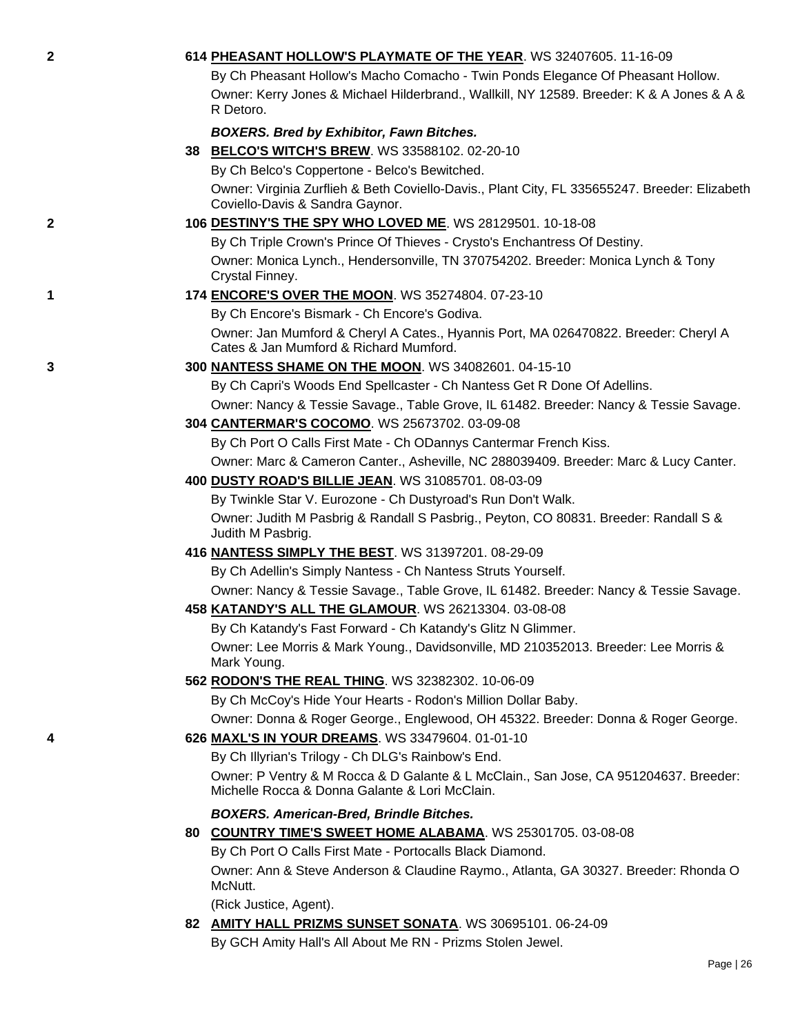| $\mathbf{2}$ | 614 PHEASANT HOLLOW'S PLAYMATE OF THE YEAR. WS 32407605. 11-16-09                                                                      |
|--------------|----------------------------------------------------------------------------------------------------------------------------------------|
|              | By Ch Pheasant Hollow's Macho Comacho - Twin Ponds Elegance Of Pheasant Hollow.                                                        |
|              | Owner: Kerry Jones & Michael Hilderbrand., Wallkill, NY 12589. Breeder: K & A Jones & A &                                              |
|              | R Detoro.                                                                                                                              |
|              | <b>BOXERS. Bred by Exhibitor, Fawn Bitches.</b>                                                                                        |
|              | 38 BELCO'S WITCH'S BREW. WS 33588102. 02-20-10                                                                                         |
|              | By Ch Belco's Coppertone - Belco's Bewitched.                                                                                          |
|              | Owner: Virginia Zurflieh & Beth Coviello-Davis., Plant City, FL 335655247. Breeder: Elizabeth<br>Coviello-Davis & Sandra Gaynor.       |
| $\mathbf{2}$ | 106 DESTINY'S THE SPY WHO LOVED ME. WS 28129501. 10-18-08                                                                              |
|              | By Ch Triple Crown's Prince Of Thieves - Crysto's Enchantress Of Destiny.                                                              |
|              | Owner: Monica Lynch., Hendersonville, TN 370754202. Breeder: Monica Lynch & Tony<br>Crystal Finney.                                    |
| 1            | 174 ENCORE'S OVER THE MOON. WS 35274804. 07-23-10                                                                                      |
|              | By Ch Encore's Bismark - Ch Encore's Godiva.                                                                                           |
|              | Owner: Jan Mumford & Cheryl A Cates., Hyannis Port, MA 026470822. Breeder: Cheryl A<br>Cates & Jan Mumford & Richard Mumford.          |
| 3            | 300 NANTESS SHAME ON THE MOON. WS 34082601. 04-15-10                                                                                   |
|              | By Ch Capri's Woods End Spellcaster - Ch Nantess Get R Done Of Adellins.                                                               |
|              | Owner: Nancy & Tessie Savage., Table Grove, IL 61482. Breeder: Nancy & Tessie Savage.                                                  |
|              | 304 CANTERMAR'S COCOMO. WS 25673702. 03-09-08                                                                                          |
|              | By Ch Port O Calls First Mate - Ch ODannys Cantermar French Kiss.                                                                      |
|              | Owner: Marc & Cameron Canter., Asheville, NC 288039409. Breeder: Marc & Lucy Canter.                                                   |
|              | 400 DUSTY ROAD'S BILLIE JEAN. WS 31085701. 08-03-09                                                                                    |
|              | By Twinkle Star V. Eurozone - Ch Dustyroad's Run Don't Walk.                                                                           |
|              | Owner: Judith M Pasbrig & Randall S Pasbrig., Peyton, CO 80831. Breeder: Randall S &<br>Judith M Pasbrig.                              |
|              | 416 NANTESS SIMPLY THE BEST. WS 31397201. 08-29-09                                                                                     |
|              | By Ch Adellin's Simply Nantess - Ch Nantess Struts Yourself.                                                                           |
|              | Owner: Nancy & Tessie Savage., Table Grove, IL 61482. Breeder: Nancy & Tessie Savage.                                                  |
|              | 458 KATANDY'S ALL THE GLAMOUR. WS 26213304. 03-08-08                                                                                   |
|              | By Ch Katandy's Fast Forward - Ch Katandy's Glitz N Glimmer.                                                                           |
|              | Owner: Lee Morris & Mark Young., Davidsonville, MD 210352013. Breeder: Lee Morris &<br>Mark Young.                                     |
|              | 562 RODON'S THE REAL THING. WS 32382302. 10-06-09                                                                                      |
|              | By Ch McCoy's Hide Your Hearts - Rodon's Million Dollar Baby.                                                                          |
|              | Owner: Donna & Roger George., Englewood, OH 45322. Breeder: Donna & Roger George.                                                      |
| 4            | 626 MAXL'S IN YOUR DREAMS. WS 33479604. 01-01-10                                                                                       |
|              | By Ch Illyrian's Trilogy - Ch DLG's Rainbow's End.                                                                                     |
|              | Owner: P Ventry & M Rocca & D Galante & L McClain., San Jose, CA 951204637. Breeder:<br>Michelle Rocca & Donna Galante & Lori McClain. |
|              | <b>BOXERS. American-Bred, Brindle Bitches.</b>                                                                                         |
|              | 80 COUNTRY TIME'S SWEET HOME ALABAMA. WS 25301705. 03-08-08                                                                            |
|              | By Ch Port O Calls First Mate - Portocalls Black Diamond.                                                                              |
|              | Owner: Ann & Steve Anderson & Claudine Raymo., Atlanta, GA 30327. Breeder: Rhonda O<br>McNutt.                                         |
|              | (Rick Justice, Agent).                                                                                                                 |
|              | 82 AMITY HALL PRIZMS SUNSET SONATA. WS 30695101. 06-24-09                                                                              |
|              | By GCH Amity Hall's All About Me RN - Prizms Stolen Jewel.                                                                             |
|              | Page   26                                                                                                                              |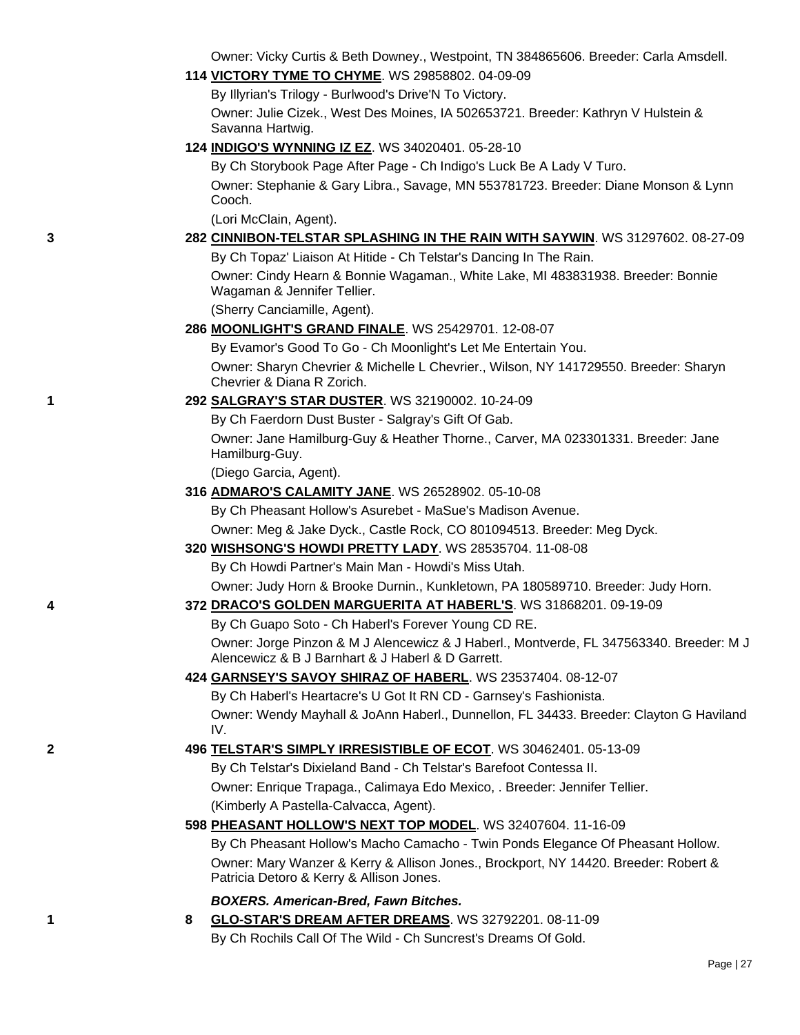Owner: Vicky Curtis & Beth Downey., Westpoint, TN 384865606. Breeder: Carla Amsdell.

**114 [VICTORY TYME TO CHYME](http://canis.infodog.com/files/bdogrsl1.prg;makc=WS_29858802;mdog=Victory_Tyme_To_Chyme;wins=all)**. WS 29858802. 04-09-09

By Illyrian's Trilogy - Burlwood's Drive'N To Victory.

Owner: Julie Cizek., West Des Moines, IA 502653721. Breeder: Kathryn V Hulstein & Savanna Hartwig.

**124 [INDIGO'S WYNNING IZ EZ](http://canis.infodog.com/files/bdogrsl1.prg;makc=WS_34020401;mdog=Indigo_s_Wynning_Iz_Ez;wins=all)**. WS 34020401. 05-28-10

By Ch Storybook Page After Page - Ch Indigo's Luck Be A Lady V Turo. Owner: Stephanie & Gary Libra., Savage, MN 553781723. Breeder: Diane Monson & Lynn Cooch.

(Lori McClain, Agent).

## **3 282 [CINNIBON-TELSTAR SPLASHING IN THE RAIN WITH SAYWIN](http://canis.infodog.com/files/bdogrsl1.prg;makc=WS_31297602;mdog=Cinnibon-Telstar_Splashing_In_The_Rain_With_Saywin;wins=all)**. WS 31297602. 08-27-09

By Ch Topaz' Liaison At Hitide - Ch Telstar's Dancing In The Rain.

Owner: Cindy Hearn & Bonnie Wagaman., White Lake, MI 483831938. Breeder: Bonnie Wagaman & Jennifer Tellier.

(Sherry Canciamille, Agent).

### **286 [MOONLIGHT'S GRAND FINALE](http://canis.infodog.com/files/bdogrsl1.prg;makc=WS_25429701;mdog=Moonlight_s_Grand_Finale;wins=all)**. WS 25429701. 12-08-07

By Evamor's Good To Go - Ch Moonlight's Let Me Entertain You.

Owner: Sharyn Chevrier & Michelle L Chevrier., Wilson, NY 141729550. Breeder: Sharyn Chevrier & Diana R Zorich.

### **1 292 [SALGRAY'S STAR DUSTER](http://canis.infodog.com/files/bdogrsl1.prg;makc=WS_32190002;mdog=Salgray_s_Star_Duster;wins=all)**. WS 32190002. 10-24-09

By Ch Faerdorn Dust Buster - Salgray's Gift Of Gab. Owner: Jane Hamilburg-Guy & Heather Thorne., Carver, MA 023301331. Breeder: Jane Hamilburg-Guy.

(Diego Garcia, Agent).

**316 [ADMARO'S CALAMITY JANE](http://canis.infodog.com/files/bdogrsl1.prg;makc=WS_26528902;mdog=Admaro_s_Calamity_Jane;wins=all)**. WS 26528902. 05-10-08

By Ch Pheasant Hollow's Asurebet - MaSue's Madison Avenue. Owner: Meg & Jake Dyck., Castle Rock, CO 801094513. Breeder: Meg Dyck.

**320 [WISHSONG'S HOWDI PRETTY LADY](http://canis.infodog.com/files/bdogrsl1.prg;makc=WS_28535704;mdog=Wishsong_s_Howdi_Pretty_Lady;wins=all)**. WS 28535704. 11-08-08

By Ch Howdi Partner's Main Man - Howdi's Miss Utah.

Owner: Judy Horn & Brooke Durnin., Kunkletown, PA 180589710. Breeder: Judy Horn.

## **4 372 [DRACO'S GOLDEN MARGUERITA AT HABERL'S](http://canis.infodog.com/files/bdogrsl1.prg;makc=WS_31868201;mdog=Draco_s_Golden_Marguerita_At_Haberl_s;wins=all)**. WS 31868201. 09-19-09

By Ch Guapo Soto - Ch Haberl's Forever Young CD RE. Owner: Jorge Pinzon & M J Alencewicz & J Haberl., Montverde, FL 347563340. Breeder: M J Alencewicz & B J Barnhart & J Haberl & D Garrett.

## **424 [GARNSEY'S SAVOY SHIRAZ OF HABERL](http://canis.infodog.com/files/bdogrsl1.prg;makc=WS_23537404;mdog=Garnsey_s_Savoy_Shiraz_Of_Haberl;wins=all)**. WS 23537404. 08-12-07

By Ch Haberl's Heartacre's U Got It RN CD - Garnsey's Fashionista. Owner: Wendy Mayhall & JoAnn Haberl., Dunnellon, FL 34433. Breeder: Clayton G Haviland IV.

## **2 496 [TELSTAR'S SIMPLY IRRESISTIBLE OF ECOT](http://canis.infodog.com/files/bdogrsl1.prg;makc=WS_30462401;mdog=Telstar_s_Simply_Irresistible_Of_Ecot;wins=all)**. WS 30462401. 05-13-09

By Ch Telstar's Dixieland Band - Ch Telstar's Barefoot Contessa II.

Owner: Enrique Trapaga., Calimaya Edo Mexico, . Breeder: Jennifer Tellier. (Kimberly A Pastella-Calvacca, Agent).

## **598 [PHEASANT HOLLOW'S NEXT TOP MODEL](http://canis.infodog.com/files/bdogrsl1.prg;makc=WS_32407604;mdog=Pheasant_Hollow_s_Next_Top_Model;wins=all)**. WS 32407604. 11-16-09

By Ch Pheasant Hollow's Macho Camacho - Twin Ponds Elegance Of Pheasant Hollow. Owner: Mary Wanzer & Kerry & Allison Jones., Brockport, NY 14420. Breeder: Robert & Patricia Detoro & Kerry & Allison Jones.

## *BOXERS. American-Bred, Fawn Bitches.*

**1 8 [GLO-STAR'S DREAM AFTER DREAMS](http://canis.infodog.com/files/bdogrsl1.prg;makc=WS_32792201;mdog=Glo-Star_s_Dream_After_Dreams;wins=all)**. WS 32792201. 08-11-09 By Ch Rochils Call Of The Wild - Ch Suncrest's Dreams Of Gold.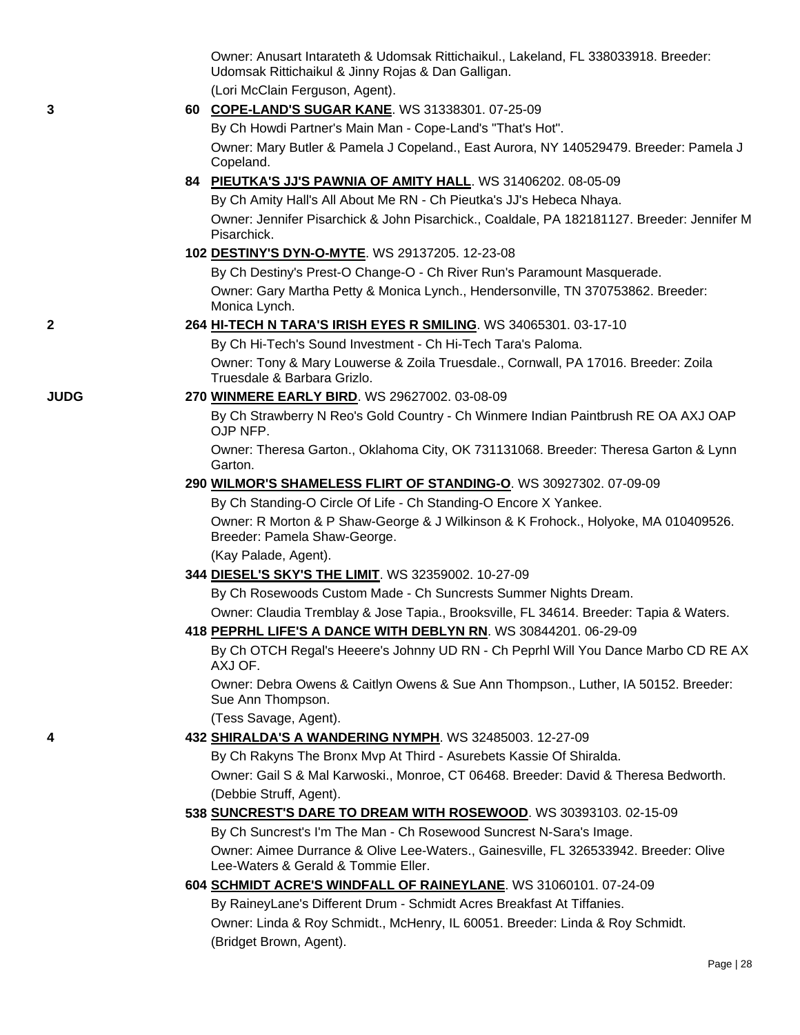|             | Owner: Anusart Intarateth & Udomsak Rittichaikul., Lakeland, FL 338033918. Breeder:<br>Udomsak Rittichaikul & Jinny Rojas & Dan Galligan.             |
|-------------|-------------------------------------------------------------------------------------------------------------------------------------------------------|
|             | (Lori McClain Ferguson, Agent).                                                                                                                       |
| 3           | 60 COPE-LAND'S SUGAR KANE. WS 31338301. 07-25-09                                                                                                      |
|             | By Ch Howdi Partner's Main Man - Cope-Land's "That's Hot".                                                                                            |
|             | Owner: Mary Butler & Pamela J Copeland., East Aurora, NY 140529479. Breeder: Pamela J<br>Copeland.                                                    |
|             | 84 PIEUTKA'S JJ'S PAWNIA OF AMITY HALL. WS 31406202. 08-05-09                                                                                         |
|             | By Ch Amity Hall's All About Me RN - Ch Pieutka's JJ's Hebeca Nhaya.                                                                                  |
|             | Owner: Jennifer Pisarchick & John Pisarchick., Coaldale, PA 182181127. Breeder: Jennifer M<br>Pisarchick.                                             |
|             | 102 DESTINY'S DYN-O-MYTE. WS 29137205. 12-23-08                                                                                                       |
|             | By Ch Destiny's Prest-O Change-O - Ch River Run's Paramount Masquerade.                                                                               |
|             | Owner: Gary Martha Petty & Monica Lynch., Hendersonville, TN 370753862. Breeder:<br>Monica Lynch.                                                     |
| 2           | 264 HI-TECH N TARA'S IRISH EYES R SMILING. WS 34065301. 03-17-10                                                                                      |
|             | By Ch Hi-Tech's Sound Investment - Ch Hi-Tech Tara's Paloma.                                                                                          |
|             | Owner: Tony & Mary Louwerse & Zoila Truesdale., Cornwall, PA 17016. Breeder: Zoila<br>Truesdale & Barbara Grizlo.                                     |
| <b>JUDG</b> | 270 WINMERE EARLY BIRD. WS 29627002. 03-08-09                                                                                                         |
|             | By Ch Strawberry N Reo's Gold Country - Ch Winmere Indian Paintbrush RE OA AXJ OAP<br>OJP NFP.                                                        |
|             | Owner: Theresa Garton., Oklahoma City, OK 731131068. Breeder: Theresa Garton & Lynn<br>Garton.                                                        |
|             | 290 WILMOR'S SHAMELESS FLIRT OF STANDING-O. WS 30927302. 07-09-09                                                                                     |
|             | By Ch Standing-O Circle Of Life - Ch Standing-O Encore X Yankee.                                                                                      |
|             | Owner: R Morton & P Shaw-George & J Wilkinson & K Frohock., Holyoke, MA 010409526.<br>Breeder: Pamela Shaw-George.                                    |
|             | (Kay Palade, Agent).                                                                                                                                  |
|             | 344 DIESEL'S SKY'S THE LIMIT. WS 32359002. 10-27-09                                                                                                   |
|             | By Ch Rosewoods Custom Made - Ch Suncrests Summer Nights Dream.                                                                                       |
|             | Owner: Claudia Tremblay & Jose Tapia., Brooksville, FL 34614. Breeder: Tapia & Waters.                                                                |
|             | 418 PEPRHL LIFE'S A DANCE WITH DEBLYN RN. WS 30844201. 06-29-09<br>By Ch OTCH Regal's Heeere's Johnny UD RN - Ch Peprhl Will You Dance Marbo CD RE AX |
|             | AXJ OF.<br>Owner: Debra Owens & Caitlyn Owens & Sue Ann Thompson., Luther, IA 50152. Breeder:                                                         |
|             | Sue Ann Thompson.<br>(Tess Savage, Agent).                                                                                                            |
| 4           | 432 SHIRALDA'S A WANDERING NYMPH. WS 32485003. 12-27-09                                                                                               |
|             | By Ch Rakyns The Bronx Mvp At Third - Asurebets Kassie Of Shiralda.                                                                                   |
|             | Owner: Gail S & Mal Karwoski., Monroe, CT 06468. Breeder: David & Theresa Bedworth.                                                                   |
|             | (Debbie Struff, Agent).                                                                                                                               |
|             | 538 SUNCREST'S DARE TO DREAM WITH ROSEWOOD. WS 30393103. 02-15-09                                                                                     |
|             | By Ch Suncrest's I'm The Man - Ch Rosewood Suncrest N-Sara's Image.                                                                                   |
|             | Owner: Aimee Durrance & Olive Lee-Waters., Gainesville, FL 326533942. Breeder: Olive<br>Lee-Waters & Gerald & Tommie Eller.                           |
|             | 604 SCHMIDT ACRE'S WINDFALL OF RAINEYLANE. WS 31060101. 07-24-09                                                                                      |
|             | By RaineyLane's Different Drum - Schmidt Acres Breakfast At Tiffanies.                                                                                |
|             | Owner: Linda & Roy Schmidt., McHenry, IL 60051. Breeder: Linda & Roy Schmidt.                                                                         |
|             | (Bridget Brown, Agent).                                                                                                                               |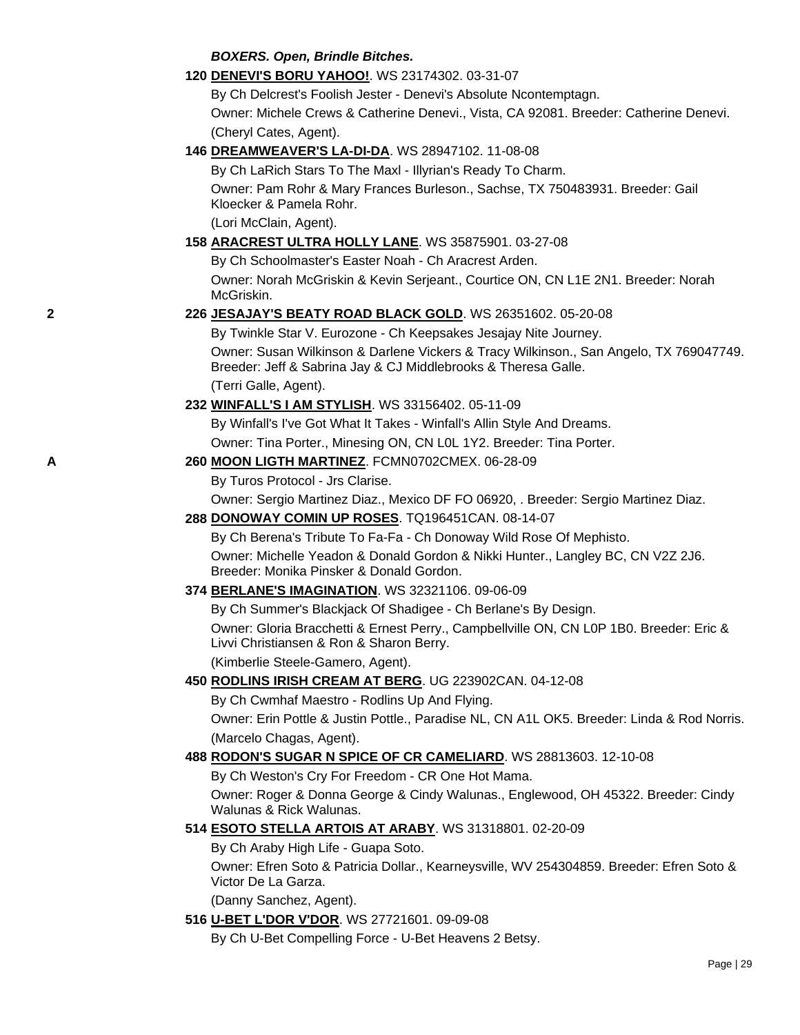#### *BOXERS. Open, Brindle Bitches.*

**120 [DENEVI'S BORU YAHOO!](http://canis.infodog.com/files/bdogrsl1.prg;makc=WS_23174302;mdog=Denevi_s_Boru_Yahoo!;wins=all)**. WS 23174302. 03-31-07

By Ch Delcrest's Foolish Jester - Denevi's Absolute Ncontemptagn. Owner: Michele Crews & Catherine Denevi., Vista, CA 92081. Breeder: Catherine Denevi. (Cheryl Cates, Agent).

**146 [DREAMWEAVER'S LA-DI-DA](http://canis.infodog.com/files/bdogrsl1.prg;makc=WS_28947102;mdog=Dreamweaver_s_La-Di-Da;wins=all)**. WS 28947102. 11-08-08

By Ch LaRich Stars To The Maxl - Illyrian's Ready To Charm.

Owner: Pam Rohr & Mary Frances Burleson., Sachse, TX 750483931. Breeder: Gail Kloecker & Pamela Rohr.

(Lori McClain, Agent).

## **158 [ARACREST ULTRA HOLLY LANE](http://canis.infodog.com/files/bdogrsl1.prg;makc=WS_35875901;mdog=Aracrest_Ultra_Holly_Lane;wins=all)**. WS 35875901. 03-27-08

By Ch Schoolmaster's Easter Noah - Ch Aracrest Arden.

Owner: Norah McGriskin & Kevin Serjeant., Courtice ON, CN L1E 2N1. Breeder: Norah McGriskin.

### **2 226 [JESAJAY'S BEATY ROAD BLACK GOLD](http://canis.infodog.com/files/bdogrsl1.prg;makc=WS_26351602;mdog=Jesajay_s_Beaty_Road_Black_Gold;wins=all)**. WS 26351602. 05-20-08

By Twinkle Star V. Eurozone - Ch Keepsakes Jesajay Nite Journey.

Owner: Susan Wilkinson & Darlene Vickers & Tracy Wilkinson., San Angelo, TX 769047749. Breeder: Jeff & Sabrina Jay & CJ Middlebrooks & Theresa Galle. (Terri Galle, Agent).

### **232 [WINFALL'S I AM STYLISH](http://canis.infodog.com/files/bdogrsl1.prg;makc=WS_33156402;mdog=Winfall_s_I_Am_Stylish;wins=all)**. WS 33156402. 05-11-09

By Winfall's I've Got What It Takes - Winfall's Allin Style And Dreams. Owner: Tina Porter., Minesing ON, CN L0L 1Y2. Breeder: Tina Porter.

### **A 260 [MOON LIGTH MARTINEZ](http://canis.infodog.com/files/bdogrsl1.prg;makc=FCMN0702CMEX;mdog=Moon_Ligth_Martinez;wins=all)**. FCMN0702CMEX. 06-28-09

By Turos Protocol - Jrs Clarise.

Owner: Sergio Martinez Diaz., Mexico DF FO 06920, . Breeder: Sergio Martinez Diaz.

### **288 [DONOWAY COMIN UP ROSES](http://canis.infodog.com/files/bdogrsl1.prg;makc=TQ196451CAN;mdog=Donoway_Comin_Up_Roses;wins=all)**. TQ196451CAN. 08-14-07

By Ch Berena's Tribute To Fa-Fa - Ch Donoway Wild Rose Of Mephisto. Owner: Michelle Yeadon & Donald Gordon & Nikki Hunter., Langley BC, CN V2Z 2J6. Breeder: Monika Pinsker & Donald Gordon.

## **374 [BERLANE'S IMAGINATION](http://canis.infodog.com/files/bdogrsl1.prg;makc=WS_32321106;mdog=Berlane_s_Imagination;wins=all)**. WS 32321106. 09-06-09

By Ch Summer's Blackjack Of Shadigee - Ch Berlane's By Design.

Owner: Gloria Bracchetti & Ernest Perry., Campbellville ON, CN L0P 1B0. Breeder: Eric & Livvi Christiansen & Ron & Sharon Berry.

(Kimberlie Steele-Gamero, Agent).

### **450 [RODLINS IRISH CREAM AT BERG](http://canis.infodog.com/files/bdogrsl1.prg;makc=UG_223902CAN;mdog=Rodlins_Irish_Cream_At_Berg;wins=all)**. UG 223902CAN. 04-12-08

By Ch Cwmhaf Maestro - Rodlins Up And Flying.

Owner: Erin Pottle & Justin Pottle., Paradise NL, CN A1L OK5. Breeder: Linda & Rod Norris. (Marcelo Chagas, Agent).

## **488 [RODON'S SUGAR N SPICE OF CR CAMELIARD](http://canis.infodog.com/files/bdogrsl1.prg;makc=WS_28813603;mdog=Rodon_s_Sugar_N_Spice_Of_CR_Cameliard;wins=all)**. WS 28813603. 12-10-08

By Ch Weston's Cry For Freedom - CR One Hot Mama.

Owner: Roger & Donna George & Cindy Walunas., Englewood, OH 45322. Breeder: Cindy Walunas & Rick Walunas.

## **514 [ESOTO STELLA ARTOIS AT ARABY](http://canis.infodog.com/files/bdogrsl1.prg;makc=WS_31318801;mdog=Esoto_Stella_Artois_At_Araby;wins=all)**. WS 31318801. 02-20-09

By Ch Araby High Life - Guapa Soto.

Owner: Efren Soto & Patricia Dollar., Kearneysville, WV 254304859. Breeder: Efren Soto & Victor De La Garza.

(Danny Sanchez, Agent).

## **516 [U-BET L'DOR V'DOR](http://canis.infodog.com/files/bdogrsl1.prg;makc=WS_27721601;mdog=U-Bet_L_Dor_V_Dor;wins=all)**. WS 27721601. 09-09-08

By Ch U-Bet Compelling Force - U-Bet Heavens 2 Betsy.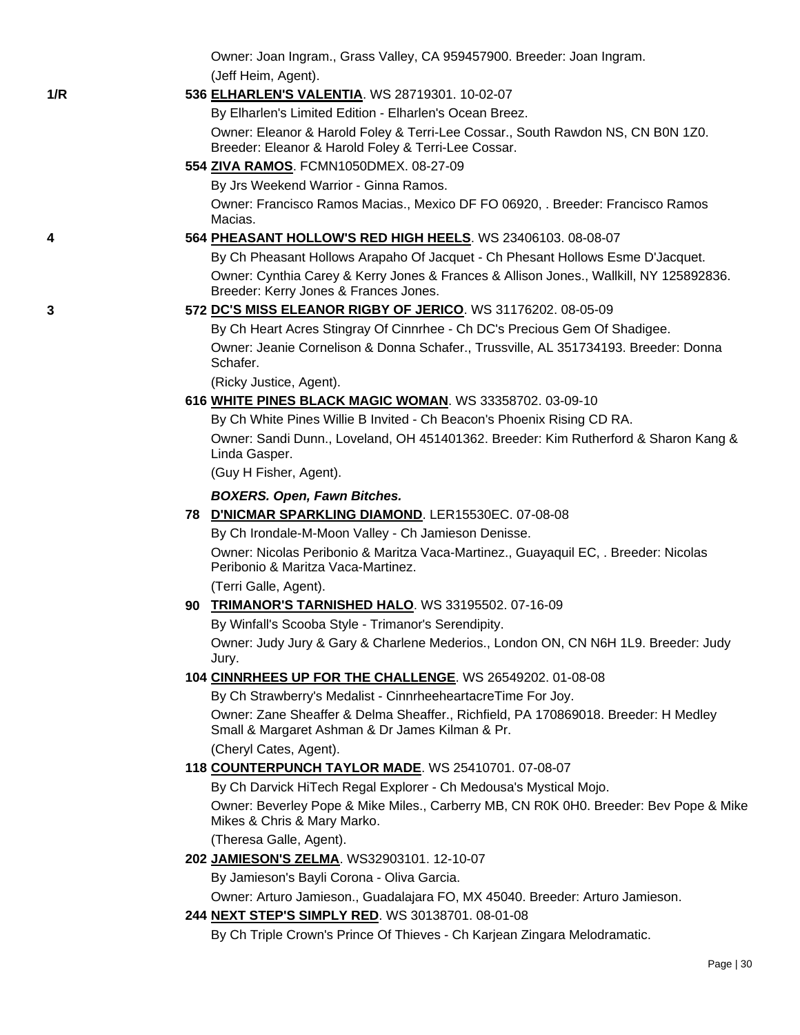Owner: Joan Ingram., Grass Valley, CA 959457900. Breeder: Joan Ingram. (Jeff Heim, Agent). **1/R 536 [ELHARLEN'S VALENTIA](http://canis.infodog.com/files/bdogrsl1.prg;makc=WS_28719301;mdog=Elharlen_s_Valentia;wins=all)**. WS 28719301. 10-02-07 By Elharlen's Limited Edition - Elharlen's Ocean Breez. Owner: Eleanor & Harold Foley & Terri-Lee Cossar., South Rawdon NS, CN B0N 1Z0. Breeder: Eleanor & Harold Foley & Terri-Lee Cossar. **554 [ZIVA RAMOS](http://canis.infodog.com/files/bdogrsl1.prg;makc=FCMN1050DMEX;mdog=Ziva_Ramos;wins=all)**. FCMN1050DMEX. 08-27-09 By Jrs Weekend Warrior - Ginna Ramos. Owner: Francisco Ramos Macias., Mexico DF FO 06920, . Breeder: Francisco Ramos Macias. **4 564 [PHEASANT HOLLOW'S RED HIGH HEELS](http://canis.infodog.com/files/bdogrsl1.prg;makc=WS_23406103;mdog=Pheasant_Hollow_s_Red_High_Heels;wins=all)**. WS 23406103. 08-08-07 By Ch Pheasant Hollows Arapaho Of Jacquet - Ch Phesant Hollows Esme D'Jacquet. Owner: Cynthia Carey & Kerry Jones & Frances & Allison Jones., Wallkill, NY 125892836. Breeder: Kerry Jones & Frances Jones. **3 572 [DC'S MISS ELEANOR RIGBY OF JERICO](http://canis.infodog.com/files/bdogrsl1.prg;makc=WS_31176202;mdog=DC_s_Miss_Eleanor_Rigby_Of_Jerico;wins=all)**. WS 31176202. 08-05-09 By Ch Heart Acres Stingray Of Cinnrhee - Ch DC's Precious Gem Of Shadigee. Owner: Jeanie Cornelison & Donna Schafer., Trussville, AL 351734193. Breeder: Donna Schafer. (Ricky Justice, Agent). **616 [WHITE PINES BLACK MAGIC WOMAN](http://canis.infodog.com/files/bdogrsl1.prg;makc=WS_33358702;mdog=White_Pines_Black_Magic_Woman;wins=all)**. WS 33358702. 03-09-10 By Ch White Pines Willie B Invited - Ch Beacon's Phoenix Rising CD RA. Owner: Sandi Dunn., Loveland, OH 451401362. Breeder: Kim Rutherford & Sharon Kang & Linda Gasper. (Guy H Fisher, Agent). *BOXERS. Open, Fawn Bitches.* **78 [D'NICMAR SPARKLING DIAMOND](http://canis.infodog.com/files/bdogrsl1.prg;makc=LER15530EC;mdog=D_NicMar_Sparkling_Diamond;wins=all)**. LER15530EC. 07-08-08 By Ch Irondale-M-Moon Valley - Ch Jamieson Denisse. Owner: Nicolas Peribonio & Maritza Vaca-Martinez., Guayaquil EC, . Breeder: Nicolas Peribonio & Maritza Vaca-Martinez. (Terri Galle, Agent). **90 [TRIMANOR'S TARNISHED HALO](http://canis.infodog.com/files/bdogrsl1.prg;makc=WS_33195502;mdog=Trimanor_s_Tarnished_Halo;wins=all)**. WS 33195502. 07-16-09 By Winfall's Scooba Style - Trimanor's Serendipity. Owner: Judy Jury & Gary & Charlene Mederios., London ON, CN N6H 1L9. Breeder: Judy Jury. **104 [CINNRHEES UP FOR THE CHALLENGE](http://canis.infodog.com/files/bdogrsl1.prg;makc=WS_26549202;mdog=Cinnrhees_Up_For_The_Challenge;wins=all)**. WS 26549202. 01-08-08 By Ch Strawberry's Medalist - CinnrheeheartacreTime For Joy. Owner: Zane Sheaffer & Delma Sheaffer., Richfield, PA 170869018. Breeder: H Medley Small & Margaret Ashman & Dr James Kilman & Pr. (Cheryl Cates, Agent). **118 [COUNTERPUNCH TAYLOR MADE](http://canis.infodog.com/files/bdogrsl1.prg;makc=WS_25410701;mdog=CounterPunch_Taylor_Made;wins=all)**. WS 25410701. 07-08-07 By Ch Darvick HiTech Regal Explorer - Ch Medousa's Mystical Mojo. Owner: Beverley Pope & Mike Miles., Carberry MB, CN R0K 0H0. Breeder: Bev Pope & Mike Mikes & Chris & Mary Marko. (Theresa Galle, Agent). **202 [JAMIESON'S ZELMA](http://canis.infodog.com/files/bdogrsl1.prg;makc=WS32903101;mdog=Jamieson_s_Zelma;wins=all)**. WS32903101. 12-10-07 By Jamieson's Bayli Corona - Oliva Garcia. Owner: Arturo Jamieson., Guadalajara FO, MX 45040. Breeder: Arturo Jamieson. **244 [NEXT STEP'S SIMPLY RED](http://canis.infodog.com/files/bdogrsl1.prg;makc=WS_30138701;mdog=Next_Step_s_Simply_Red;wins=all)**. WS 30138701. 08-01-08 By Ch Triple Crown's Prince Of Thieves - Ch Karjean Zingara Melodramatic.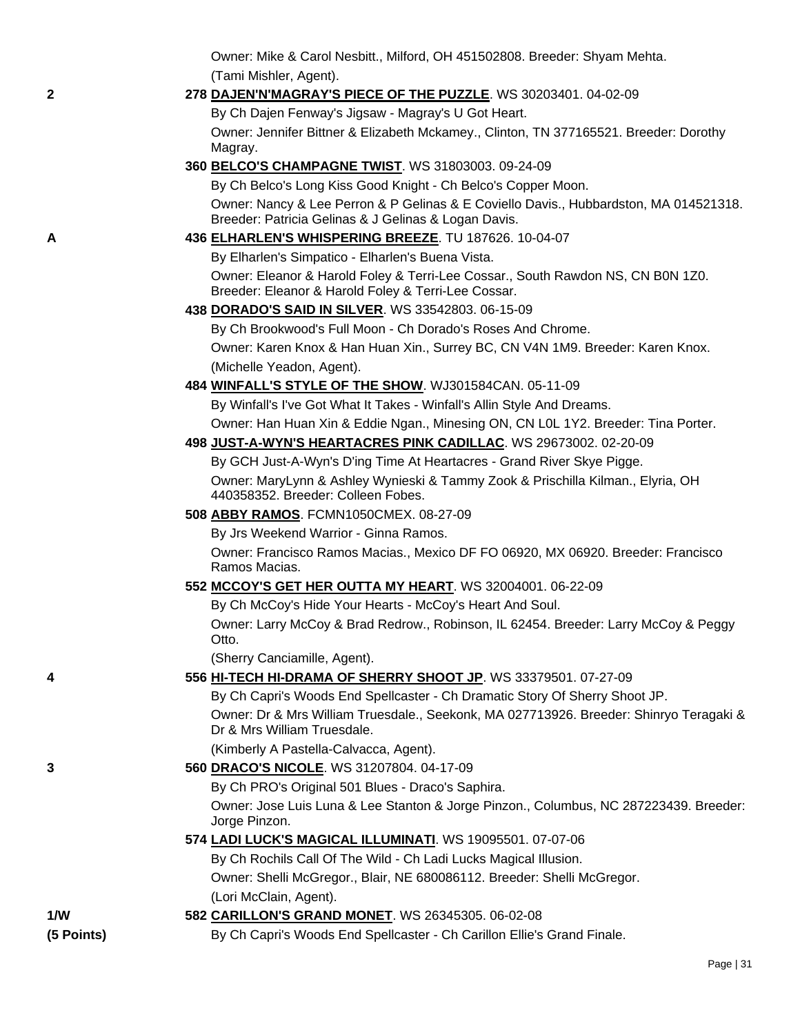Owner: Mike & Carol Nesbitt., Milford, OH 451502808. Breeder: Shyam Mehta. (Tami Mishler, Agent).

### **2 278 [DAJEN'N'MAGRAY'S PIECE OF THE PUZZLE](http://canis.infodog.com/files/bdogrsl1.prg;makc=WS_30203401;mdog=Dajen_N_Magray_s_Piece_Of_The_Puzzle;wins=all)**. WS 30203401. 04-02-09

By Ch Dajen Fenway's Jigsaw - Magray's U Got Heart.

Owner: Jennifer Bittner & Elizabeth Mckamey., Clinton, TN 377165521. Breeder: Dorothy Magray.

**360 [BELCO'S CHAMPAGNE TWIST](http://canis.infodog.com/files/bdogrsl1.prg;makc=WS_31803003;mdog=Belco_s_Champagne_Twist;wins=all)**. WS 31803003. 09-24-09

By Ch Belco's Long Kiss Good Knight - Ch Belco's Copper Moon. Owner: Nancy & Lee Perron & P Gelinas & E Coviello Davis., Hubbardston, MA 014521318. Breeder: Patricia Gelinas & J Gelinas & Logan Davis.

- **A 436 [ELHARLEN'S WHISPERING BREEZE](http://canis.infodog.com/files/bdogrsl1.prg;makc=TU_187626;mdog=Elharlen_s_Whispering_Breeze;wins=all)**. TU 187626. 10-04-07 By Elharlen's Simpatico - Elharlen's Buena Vista. Owner: Eleanor & Harold Foley & Terri-Lee Cossar., South Rawdon NS, CN B0N 1Z0. Breeder: Eleanor & Harold Foley & Terri-Lee Cossar.
	- **438 [DORADO'S SAID IN SILVER](http://canis.infodog.com/files/bdogrsl1.prg;makc=WS_33542803;mdog=Dorado_s_Said_In_Silver;wins=all)**. WS 33542803. 06-15-09

By Ch Brookwood's Full Moon - Ch Dorado's Roses And Chrome. Owner: Karen Knox & Han Huan Xin., Surrey BC, CN V4N 1M9. Breeder: Karen Knox. (Michelle Yeadon, Agent).

**484 [WINFALL'S STYLE OF THE SHOW](http://canis.infodog.com/files/bdogrsl1.prg;makc=WJ301584CAN;mdog=Winfall_s_Style_Of_The_Show;wins=all)**. WJ301584CAN. 05-11-09

By Winfall's I've Got What It Takes - Winfall's Allin Style And Dreams. Owner: Han Huan Xin & Eddie Ngan., Minesing ON, CN L0L 1Y2. Breeder: Tina Porter.

**498 [JUST-A-WYN'S HEARTACRES PINK CADILLAC](http://canis.infodog.com/files/bdogrsl1.prg;makc=WS_29673002;mdog=Just-A-Wyn_s_Heartacres_Pink_Cadillac;wins=all)**. WS 29673002. 02-20-09 By GCH Just-A-Wyn's D'ing Time At Heartacres - Grand River Skye Pigge.

Owner: MaryLynn & Ashley Wynieski & Tammy Zook & Prischilla Kilman., Elyria, OH 440358352. Breeder: Colleen Fobes.

## **508 [ABBY RAMOS](http://canis.infodog.com/files/bdogrsl1.prg;makc=FCMN1050CMEX;mdog=Abby_Ramos;wins=all)**. FCMN1050CMEX. 08-27-09

By Jrs Weekend Warrior - Ginna Ramos.

Owner: Francisco Ramos Macias., Mexico DF FO 06920, MX 06920. Breeder: Francisco Ramos Macias.

## **552 [MCCOY'S GET HER OUTTA MY HEART](http://canis.infodog.com/files/bdogrsl1.prg;makc=WS_32004001;mdog=McCoy_s_Get_Her_Outta_My_Heart;wins=all)**. WS 32004001. 06-22-09

By Ch McCoy's Hide Your Hearts - McCoy's Heart And Soul.

Owner: Larry McCoy & Brad Redrow., Robinson, IL 62454. Breeder: Larry McCoy & Peggy Otto.

(Sherry Canciamille, Agent).

| 556 HI-TECH HI-DRAMA OF SHERRY SHOOT JP. WS 33379501. 07-27-09 |  |
|----------------------------------------------------------------|--|
|----------------------------------------------------------------|--|

By Ch Capri's Woods End Spellcaster - Ch Dramatic Story Of Sherry Shoot JP. Owner: Dr & Mrs William Truesdale., Seekonk, MA 027713926. Breeder: Shinryo Teragaki & Dr & Mrs William Truesdale.

(Kimberly A Pastella-Calvacca, Agent).

**3 560 [DRACO'S NICOLE](http://canis.infodog.com/files/bdogrsl1.prg;makc=WS_31207804;mdog=Draco_s_Nicole;wins=all)**. WS 31207804. 04-17-09

By Ch PRO's Original 501 Blues - Draco's Saphira.

Owner: Jose Luis Luna & Lee Stanton & Jorge Pinzon., Columbus, NC 287223439. Breeder: Jorge Pinzon.

**574 [LADI LUCK'S MAGICAL ILLUMINATI](http://canis.infodog.com/files/bdogrsl1.prg;makc=WS_19095501;mdog=Ladi_Luck_s_Magical_Illuminati;wins=all)**. WS 19095501. 07-07-06

By Ch Rochils Call Of The Wild - Ch Ladi Lucks Magical Illusion.

Owner: Shelli McGregor., Blair, NE 680086112. Breeder: Shelli McGregor. (Lori McClain, Agent).

## **1/W 582 [CARILLON'S GRAND MONET](http://canis.infodog.com/files/bdogrsl1.prg;makc=WS_26345305;mdog=Carillon_s_Grand_Monet;wins=all)**. WS 26345305. 06-02-08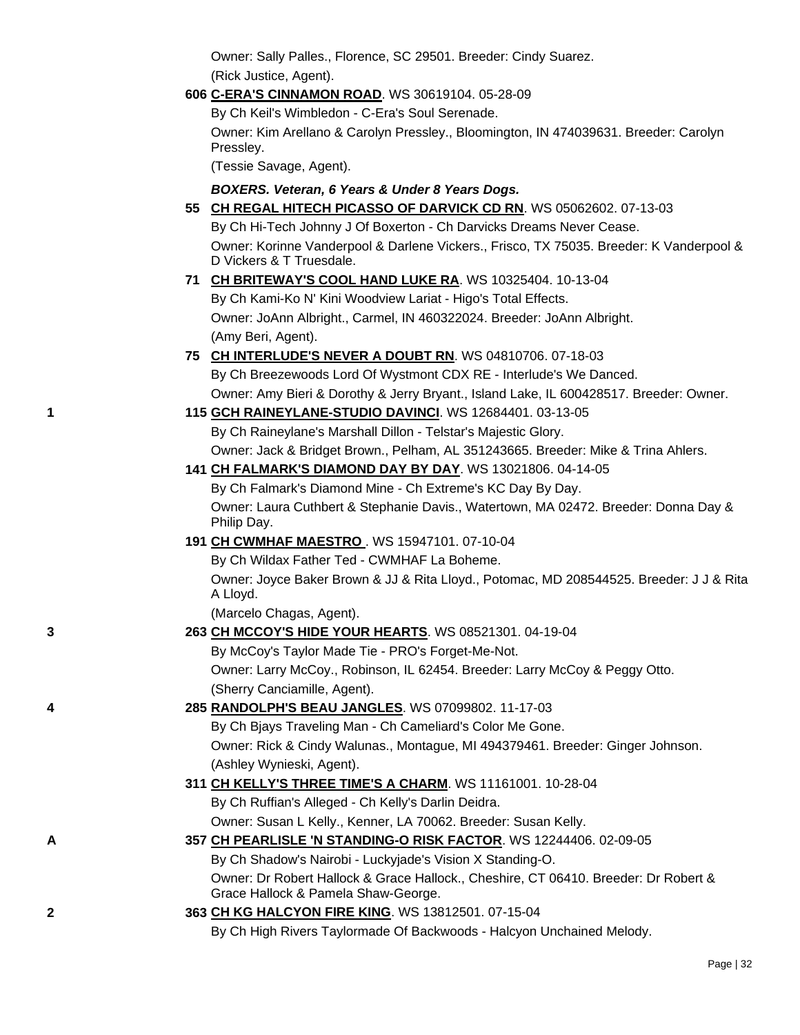|   | Owner: Sally Palles., Florence, SC 29501. Breeder: Cindy Suarez.                                                    |
|---|---------------------------------------------------------------------------------------------------------------------|
|   | (Rick Justice, Agent).                                                                                              |
|   | 606 C-ERA'S CINNAMON ROAD. WS 30619104. 05-28-09                                                                    |
|   | By Ch Keil's Wimbledon - C-Era's Soul Serenade.                                                                     |
|   | Owner: Kim Arellano & Carolyn Pressley., Bloomington, IN 474039631. Breeder: Carolyn<br>Pressley.                   |
|   | (Tessie Savage, Agent).                                                                                             |
|   | BOXERS. Veteran, 6 Years & Under 8 Years Dogs.                                                                      |
|   | 55 CH REGAL HITECH PICASSO OF DARVICK CD RN. WS 05062602. 07-13-03                                                  |
|   | By Ch Hi-Tech Johnny J Of Boxerton - Ch Darvicks Dreams Never Cease.                                                |
|   | Owner: Korinne Vanderpool & Darlene Vickers., Frisco, TX 75035. Breeder: K Vanderpool &<br>D Vickers & T Truesdale. |
|   | 71 CH BRITEWAY'S COOL HAND LUKE RA. WS 10325404. 10-13-04                                                           |
|   | By Ch Kami-Ko N' Kini Woodview Lariat - Higo's Total Effects.                                                       |
|   | Owner: JoAnn Albright., Carmel, IN 460322024. Breeder: JoAnn Albright.                                              |
|   | (Amy Beri, Agent).                                                                                                  |
|   | 75 CH INTERLUDE'S NEVER A DOUBT RN. WS 04810706. 07-18-03                                                           |
|   | By Ch Breezewoods Lord Of Wystmont CDX RE - Interlude's We Danced.                                                  |
|   | Owner: Amy Bieri & Dorothy & Jerry Bryant., Island Lake, IL 600428517. Breeder: Owner.                              |
| 1 | 115 GCH RAINEYLANE-STUDIO DAVINCI. WS 12684401. 03-13-05                                                            |
|   | By Ch Raineylane's Marshall Dillon - Telstar's Majestic Glory.                                                      |
|   | Owner: Jack & Bridget Brown., Pelham, AL 351243665. Breeder: Mike & Trina Ahlers.                                   |
|   | 141 CH FALMARK'S DIAMOND DAY BY DAY. WS 13021806. 04-14-05                                                          |
|   | By Ch Falmark's Diamond Mine - Ch Extreme's KC Day By Day.                                                          |
|   | Owner: Laura Cuthbert & Stephanie Davis., Watertown, MA 02472. Breeder: Donna Day &<br>Philip Day.                  |
|   | 191 CH CWMHAF MAESTRO. WS 15947101. 07-10-04                                                                        |
|   | By Ch Wildax Father Ted - CWMHAF La Boheme.                                                                         |
|   | Owner: Joyce Baker Brown & JJ & Rita Lloyd., Potomac, MD 208544525. Breeder: J J & Rita<br>A Lloyd.                 |
|   | (Marcelo Chagas, Agent).                                                                                            |
| 3 | 263 CH MCCOY'S HIDE YOUR HEARTS. WS 08521301. 04-19-04                                                              |
|   | By McCoy's Taylor Made Tie - PRO's Forget-Me-Not.                                                                   |
|   | Owner: Larry McCoy., Robinson, IL 62454. Breeder: Larry McCoy & Peggy Otto.                                         |
|   | (Sherry Canciamille, Agent).                                                                                        |
| 4 | 285 RANDOLPH'S BEAU JANGLES. WS 07099802. 11-17-03                                                                  |
|   | By Ch Bjays Traveling Man - Ch Cameliard's Color Me Gone.                                                           |
|   | Owner: Rick & Cindy Walunas., Montague, MI 494379461. Breeder: Ginger Johnson.                                      |
|   | (Ashley Wynieski, Agent).                                                                                           |
|   | 311 CH KELLY'S THREE TIME'S A CHARM. WS 11161001. 10-28-04                                                          |
|   | By Ch Ruffian's Alleged - Ch Kelly's Darlin Deidra.                                                                 |
|   | Owner: Susan L Kelly., Kenner, LA 70062. Breeder: Susan Kelly.                                                      |

**A 357 [CH PEARLISLE 'N STANDING-O RISK FACTOR](http://canis.infodog.com/files/bdogrsl1.prg;makc=WS_12244406;mdog=Ch_Pearlisle__N_Standing-O_Risk_Factor;wins=all)**. WS 12244406. 02-09-05 By Ch Shadow's Nairobi - Luckyjade's Vision X Standing-O. Owner: Dr Robert Hallock & Grace Hallock., Cheshire, CT 06410. Breeder: Dr Robert & Grace Hallock & Pamela Shaw-George.

# **2 363 [CH KG HALCYON FIRE KING](http://canis.infodog.com/files/bdogrsl1.prg;makc=WS_13812501;mdog=Ch_KG_Halcyon_Fire_King;wins=all)**. WS 13812501. 07-15-04 By Ch High Rivers Taylormade Of Backwoods - Halcyon Unchained Melody.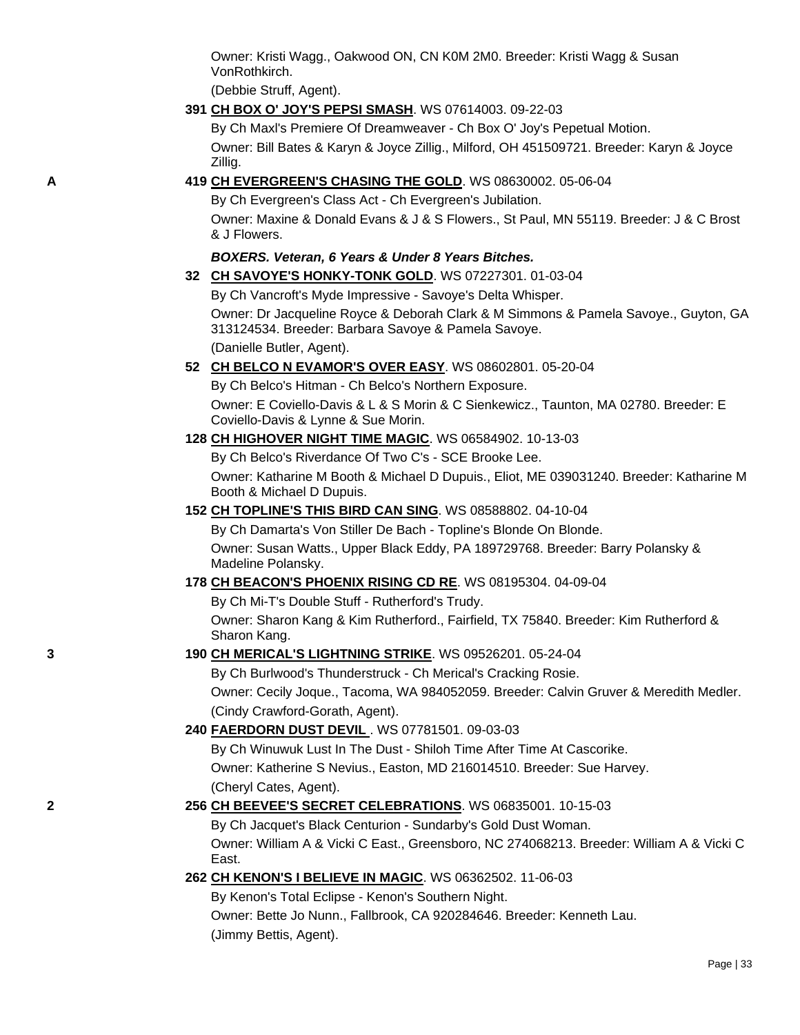Owner: Kristi Wagg., Oakwood ON, CN K0M 2M0. Breeder: Kristi Wagg & Susan VonRothkirch.

(Debbie Struff, Agent).

**391 [CH BOX O' JOY'S PEPSI SMASH](http://canis.infodog.com/files/bdogrsl1.prg;makc=WS_07614003;mdog=Ch_Box_O__Joy_s_Pepsi_Smash;wins=all)**. WS 07614003. 09-22-03

By Ch Maxl's Premiere Of Dreamweaver - Ch Box O' Joy's Pepetual Motion. Owner: Bill Bates & Karyn & Joyce Zillig., Milford, OH 451509721. Breeder: Karyn & Joyce Zillig.

**A 419 [CH EVERGREEN'S CHASING THE GOLD](http://canis.infodog.com/files/bdogrsl1.prg;makc=WS_08630002;mdog=Ch_Evergreen_s_Chasing_The_Gold;wins=all)**. WS 08630002. 05-06-04

By Ch Evergreen's Class Act - Ch Evergreen's Jubilation.

Owner: Maxine & Donald Evans & J & S Flowers., St Paul, MN 55119. Breeder: J & C Brost & J Flowers.

### *BOXERS. Veteran, 6 Years & Under 8 Years Bitches.*

**32 [CH SAVOYE'S HONKY-TONK GOLD](http://canis.infodog.com/files/bdogrsl1.prg;makc=WS_07227301;mdog=Ch_Savoye_s_Honky-Tonk_Gold;wins=all)**. WS 07227301. 01-03-04

By Ch Vancroft's Myde Impressive - Savoye's Delta Whisper.

Owner: Dr Jacqueline Royce & Deborah Clark & M Simmons & Pamela Savoye., Guyton, GA 313124534. Breeder: Barbara Savoye & Pamela Savoye.

(Danielle Butler, Agent).

**52 [CH BELCO N EVAMOR'S OVER EASY](http://canis.infodog.com/files/bdogrsl1.prg;makc=WS_08602801;mdog=Ch_Belco_N_Evamor_s_Over_Easy;wins=all)**. WS 08602801. 05-20-04

By Ch Belco's Hitman - Ch Belco's Northern Exposure.

Owner: E Coviello-Davis & L & S Morin & C Sienkewicz., Taunton, MA 02780. Breeder: E Coviello-Davis & Lynne & Sue Morin.

**128 [CH HIGHOVER NIGHT TIME MAGIC](http://canis.infodog.com/files/bdogrsl1.prg;makc=WS_06584902;mdog=Ch_Highover_Night_Time_Magic;wins=all)**. WS 06584902. 10-13-03

By Ch Belco's Riverdance Of Two C's - SCE Brooke Lee.

Owner: Katharine M Booth & Michael D Dupuis., Eliot, ME 039031240. Breeder: Katharine M Booth & Michael D Dupuis.

#### **152 [CH TOPLINE'S THIS BIRD CAN SING](http://canis.infodog.com/files/bdogrsl1.prg;makc=WS_08588802;mdog=Ch_Topline_s_This_Bird_Can_Sing;wins=all)**. WS 08588802. 04-10-04

By Ch Damarta's Von Stiller De Bach - Topline's Blonde On Blonde. Owner: Susan Watts., Upper Black Eddy, PA 189729768. Breeder: Barry Polansky & Madeline Polansky.

- **178 [CH BEACON'S PHOENIX RISING CD RE](http://canis.infodog.com/files/bdogrsl1.prg;makc=WS_08195304;mdog=Ch_Beacon_s_Phoenix_Rising_CD_RE;wins=all)**. WS 08195304. 04-09-04
	- By Ch Mi-T's Double Stuff Rutherford's Trudy.

Owner: Sharon Kang & Kim Rutherford., Fairfield, TX 75840. Breeder: Kim Rutherford & Sharon Kang.

### **3 190 [CH MERICAL'S LIGHTNING STRIKE](http://canis.infodog.com/files/bdogrsl1.prg;makc=WS_09526201;mdog=Ch_Merical_s_Lightning_Strike;wins=all)**. WS 09526201. 05-24-04

By Ch Burlwood's Thunderstruck - Ch Merical's Cracking Rosie. Owner: Cecily Joque., Tacoma, WA 984052059. Breeder: Calvin Gruver & Meredith Medler. (Cindy Crawford-Gorath, Agent).

#### **240 [FAERDORN DUST DEVIL](http://canis.infodog.com/files/bdogrsl1.prg;makc=WS_07781501;mdog=Faerdorn_Dust_Devil;wins=all)** . WS 07781501. 09-03-03

By Ch Winuwuk Lust In The Dust - Shiloh Time After Time At Cascorike. Owner: Katherine S Nevius., Easton, MD 216014510. Breeder: Sue Harvey. (Cheryl Cates, Agent).

## **2 256 [CH BEEVEE'S SECRET CELEBRATIONS](http://canis.infodog.com/files/bdogrsl1.prg;makc=WS_06835001;mdog=Ch_BeeVee_s_Secret_Celebrations;wins=all)**. WS 06835001. 10-15-03

By Ch Jacquet's Black Centurion - Sundarby's Gold Dust Woman. Owner: William A & Vicki C East., Greensboro, NC 274068213. Breeder: William A & Vicki C East.

**262 [CH KENON'S I BELIEVE IN MAGIC](http://canis.infodog.com/files/bdogrsl1.prg;makc=WS_06362502;mdog=Ch_Kenon_s_I_Believe_In_Magic;wins=all)**. WS 06362502. 11-06-03

By Kenon's Total Eclipse - Kenon's Southern Night.

Owner: Bette Jo Nunn., Fallbrook, CA 920284646. Breeder: Kenneth Lau.

(Jimmy Bettis, Agent).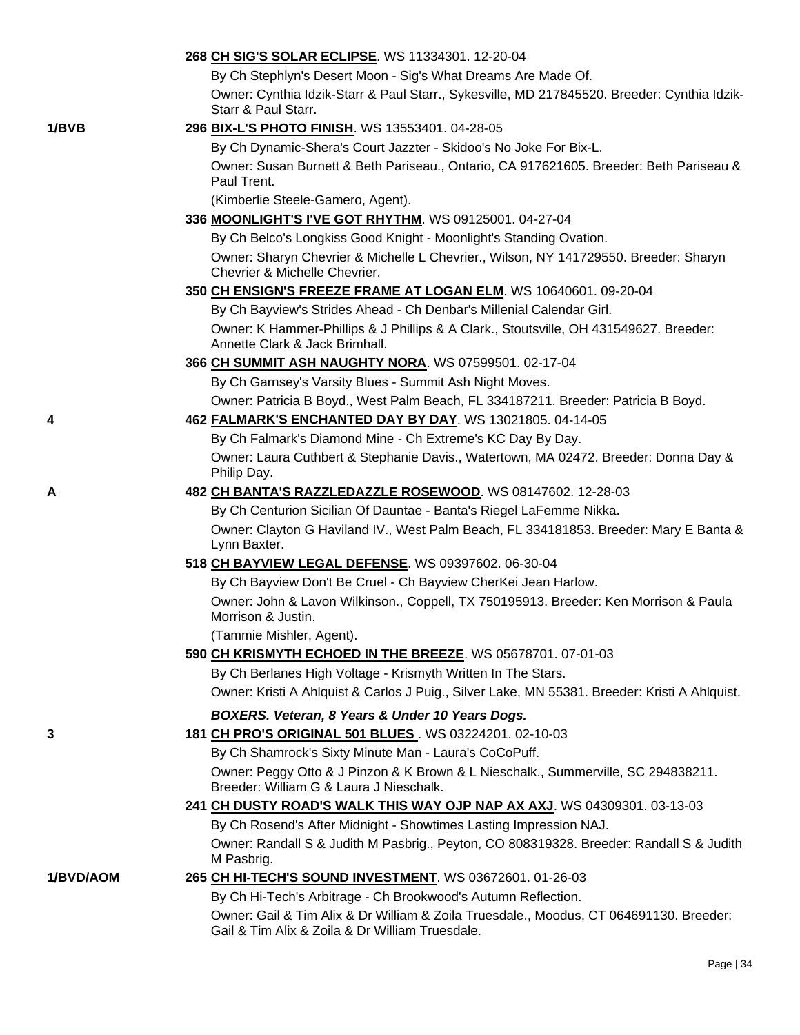|           | 268 CH SIG'S SOLAR ECLIPSE. WS 11334301. 12-20-04                                                                                         |
|-----------|-------------------------------------------------------------------------------------------------------------------------------------------|
|           | By Ch Stephlyn's Desert Moon - Sig's What Dreams Are Made Of.                                                                             |
|           | Owner: Cynthia Idzik-Starr & Paul Starr., Sykesville, MD 217845520. Breeder: Cynthia Idzik-<br>Starr & Paul Starr.                        |
| 1/BVB     | 296 BIX-L'S PHOTO FINISH. WS 13553401. 04-28-05                                                                                           |
|           | By Ch Dynamic-Shera's Court Jazzter - Skidoo's No Joke For Bix-L.                                                                         |
|           | Owner: Susan Burnett & Beth Pariseau., Ontario, CA 917621605. Breeder: Beth Pariseau &<br>Paul Trent.                                     |
|           | (Kimberlie Steele-Gamero, Agent).                                                                                                         |
|           | 336 MOONLIGHT'S I'VE GOT RHYTHM. WS 09125001. 04-27-04                                                                                    |
|           | By Ch Belco's Longkiss Good Knight - Moonlight's Standing Ovation.                                                                        |
|           | Owner: Sharyn Chevrier & Michelle L Chevrier., Wilson, NY 141729550. Breeder: Sharyn<br>Chevrier & Michelle Chevrier.                     |
|           | 350 CH ENSIGN'S FREEZE FRAME AT LOGAN ELM. WS 10640601. 09-20-04                                                                          |
|           | By Ch Bayview's Strides Ahead - Ch Denbar's Millenial Calendar Girl.                                                                      |
|           | Owner: K Hammer-Phillips & J Phillips & A Clark., Stoutsville, OH 431549627. Breeder:<br>Annette Clark & Jack Brimhall.                   |
|           | 366 CH SUMMIT ASH NAUGHTY NORA. WS 07599501. 02-17-04                                                                                     |
|           | By Ch Garnsey's Varsity Blues - Summit Ash Night Moves.                                                                                   |
|           | Owner: Patricia B Boyd., West Palm Beach, FL 334187211. Breeder: Patricia B Boyd.                                                         |
| 4         | 462 FALMARK'S ENCHANTED DAY BY DAY. WS 13021805. 04-14-05                                                                                 |
|           | By Ch Falmark's Diamond Mine - Ch Extreme's KC Day By Day.                                                                                |
|           | Owner: Laura Cuthbert & Stephanie Davis., Watertown, MA 02472. Breeder: Donna Day &<br>Philip Day.                                        |
| A         | 482 CH BANTA'S RAZZLEDAZZLE ROSEWOOD. WS 08147602. 12-28-03                                                                               |
|           | By Ch Centurion Sicilian Of Dauntae - Banta's Riegel LaFemme Nikka.                                                                       |
|           | Owner: Clayton G Haviland IV., West Palm Beach, FL 334181853. Breeder: Mary E Banta &<br>Lynn Baxter.                                     |
|           | 518 CH BAYVIEW LEGAL DEFENSE. WS 09397602. 06-30-04                                                                                       |
|           | By Ch Bayview Don't Be Cruel - Ch Bayview CherKei Jean Harlow.                                                                            |
|           | Owner: John & Lavon Wilkinson., Coppell, TX 750195913. Breeder: Ken Morrison & Paula<br>Morrison & Justin.                                |
|           | (Tammie Mishler, Agent).                                                                                                                  |
|           | 590 CH KRISMYTH ECHOED IN THE BREEZE. WS 05678701. 07-01-03                                                                               |
|           | By Ch Berlanes High Voltage - Krismyth Written In The Stars.                                                                              |
|           | Owner: Kristi A Ahlquist & Carlos J Puig., Silver Lake, MN 55381. Breeder: Kristi A Ahlquist.                                             |
|           | BOXERS. Veteran, 8 Years & Under 10 Years Dogs.                                                                                           |
| 3         | 181 CH PRO'S ORIGINAL 501 BLUES. WS 03224201. 02-10-03                                                                                    |
|           | By Ch Shamrock's Sixty Minute Man - Laura's CoCoPuff.                                                                                     |
|           | Owner: Peggy Otto & J Pinzon & K Brown & L Nieschalk., Summerville, SC 294838211.<br>Breeder: William G & Laura J Nieschalk.              |
|           | 241 CH DUSTY ROAD'S WALK THIS WAY OJP NAP AX AXJ. WS 04309301. 03-13-03                                                                   |
|           | By Ch Rosend's After Midnight - Showtimes Lasting Impression NAJ.                                                                         |
|           | Owner: Randall S & Judith M Pasbrig., Peyton, CO 808319328. Breeder: Randall S & Judith<br>M Pasbrig.                                     |
| 1/BVD/AOM | 265 CH HI-TECH'S SOUND INVESTMENT. WS 03672601. 01-26-03                                                                                  |
|           | By Ch Hi-Tech's Arbitrage - Ch Brookwood's Autumn Reflection.                                                                             |
|           | Owner: Gail & Tim Alix & Dr William & Zoila Truesdale., Moodus, CT 064691130. Breeder:<br>Gail & Tim Alix & Zoila & Dr William Truesdale. |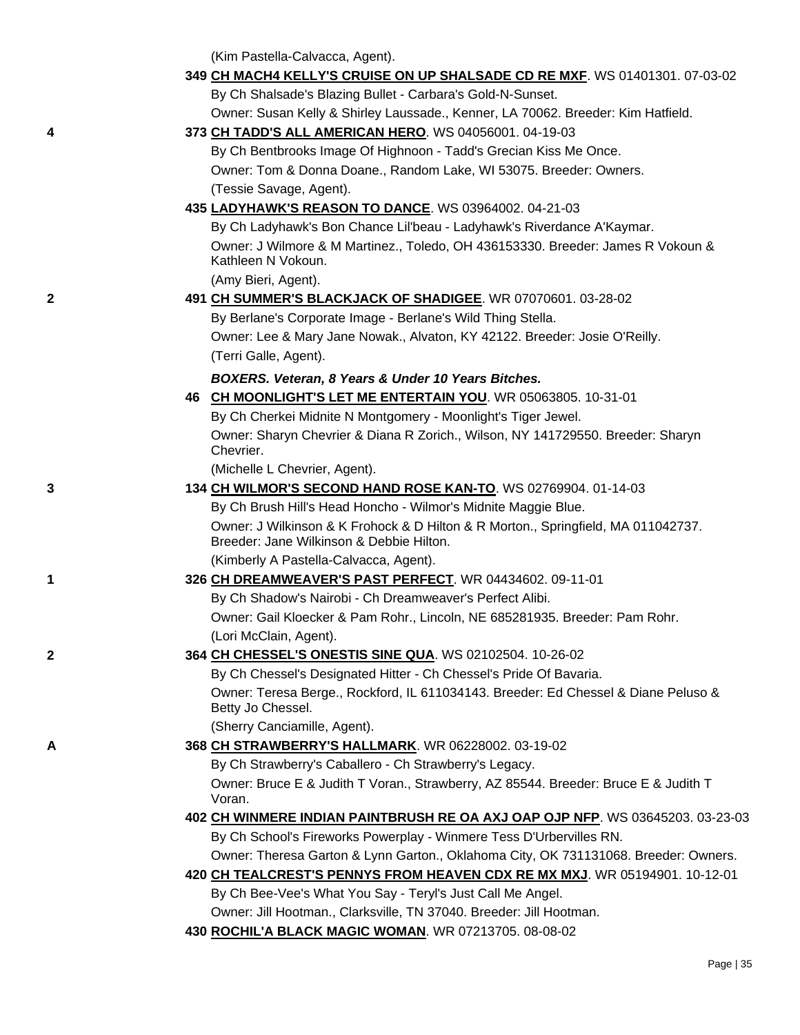(Kim Pastella-Calvacca, Agent).

|   | 349 CH MACH4 KELLY'S CRUISE ON UP SHALSADE CD RE MXF. WS 01401301. 07-03-02                                                   |
|---|-------------------------------------------------------------------------------------------------------------------------------|
|   | By Ch Shalsade's Blazing Bullet - Carbara's Gold-N-Sunset.                                                                    |
|   | Owner: Susan Kelly & Shirley Laussade., Kenner, LA 70062. Breeder: Kim Hatfield.                                              |
| 4 | 373 CH TADD'S ALL AMERICAN HERO. WS 04056001. 04-19-03                                                                        |
|   | By Ch Bentbrooks Image Of Highnoon - Tadd's Grecian Kiss Me Once.                                                             |
|   | Owner: Tom & Donna Doane., Random Lake, WI 53075. Breeder: Owners.                                                            |
|   | (Tessie Savage, Agent).                                                                                                       |
|   | 435 LADYHAWK'S REASON TO DANCE. WS 03964002. 04-21-03                                                                         |
|   | By Ch Ladyhawk's Bon Chance Lil'beau - Ladyhawk's Riverdance A'Kaymar.                                                        |
|   | Owner: J Wilmore & M Martinez., Toledo, OH 436153330. Breeder: James R Vokoun &<br>Kathleen N Vokoun.                         |
|   | (Amy Bieri, Agent).                                                                                                           |
| 2 | 491 CH SUMMER'S BLACKJACK OF SHADIGEE. WR 07070601. 03-28-02                                                                  |
|   | By Berlane's Corporate Image - Berlane's Wild Thing Stella.                                                                   |
|   | Owner: Lee & Mary Jane Nowak., Alvaton, KY 42122. Breeder: Josie O'Reilly.                                                    |
|   | (Terri Galle, Agent).                                                                                                         |
|   | BOXERS. Veteran, 8 Years & Under 10 Years Bitches.                                                                            |
|   | 46 CH MOONLIGHT'S LET ME ENTERTAIN YOU. WR 05063805. 10-31-01                                                                 |
|   | By Ch Cherkei Midnite N Montgomery - Moonlight's Tiger Jewel.                                                                 |
|   | Owner: Sharyn Chevrier & Diana R Zorich., Wilson, NY 141729550. Breeder: Sharyn<br>Chevrier.                                  |
|   | (Michelle L Chevrier, Agent).                                                                                                 |
| 3 | 134 CH WILMOR'S SECOND HAND ROSE KAN-TO. WS 02769904. 01-14-03                                                                |
|   | By Ch Brush Hill's Head Honcho - Wilmor's Midnite Maggie Blue.                                                                |
|   | Owner: J Wilkinson & K Frohock & D Hilton & R Morton., Springfield, MA 011042737.<br>Breeder: Jane Wilkinson & Debbie Hilton. |
|   | (Kimberly A Pastella-Calvacca, Agent).                                                                                        |
| 1 | 326 CH DREAMWEAVER'S PAST PERFECT. WR 04434602. 09-11-01                                                                      |
|   | By Ch Shadow's Nairobi - Ch Dreamweaver's Perfect Alibi.                                                                      |
|   | Owner: Gail Kloecker & Pam Rohr., Lincoln, NE 685281935. Breeder: Pam Rohr.                                                   |
|   | (Lori McClain, Agent).                                                                                                        |
| 2 | 364 CH CHESSEL'S ONESTIS SINE QUA. WS 02102504. 10-26-02                                                                      |
|   | By Ch Chessel's Designated Hitter - Ch Chessel's Pride Of Bavaria.                                                            |
|   | Owner: Teresa Berge., Rockford, IL 611034143. Breeder: Ed Chessel & Diane Peluso &<br>Betty Jo Chessel.                       |
|   | (Sherry Canciamille, Agent).                                                                                                  |
| Α | 368 CH STRAWBERRY'S HALLMARK. WR 06228002. 03-19-02                                                                           |
|   | By Ch Strawberry's Caballero - Ch Strawberry's Legacy.                                                                        |
|   | Owner: Bruce E & Judith T Voran., Strawberry, AZ 85544. Breeder: Bruce E & Judith T<br>Voran.                                 |
|   | 402 CH WINMERE INDIAN PAINTBRUSH RE OA AXJ OAP OJP NFP. WS 03645203. 03-23-03                                                 |
|   | By Ch School's Fireworks Powerplay - Winmere Tess D'Urbervilles RN.                                                           |
|   | Owner: Theresa Garton & Lynn Garton., Oklahoma City, OK 731131068. Breeder: Owners.                                           |
|   | 420 CH TEALCREST'S PENNYS FROM HEAVEN CDX RE MX MXJ. WR 05194901. 10-12-01                                                    |
|   | By Ch Bee-Vee's What You Say - Teryl's Just Call Me Angel.                                                                    |
|   | Owner: Jill Hootman., Clarksville, TN 37040. Breeder: Jill Hootman.                                                           |

**430 [ROCHIL'A BLACK MAGIC WOMAN](http://canis.infodog.com/files/bdogrsl1.prg;makc=WR_07213705;mdog=Rochil_a_Black_Magic_Woman;wins=all)**. WR 07213705. 08-08-02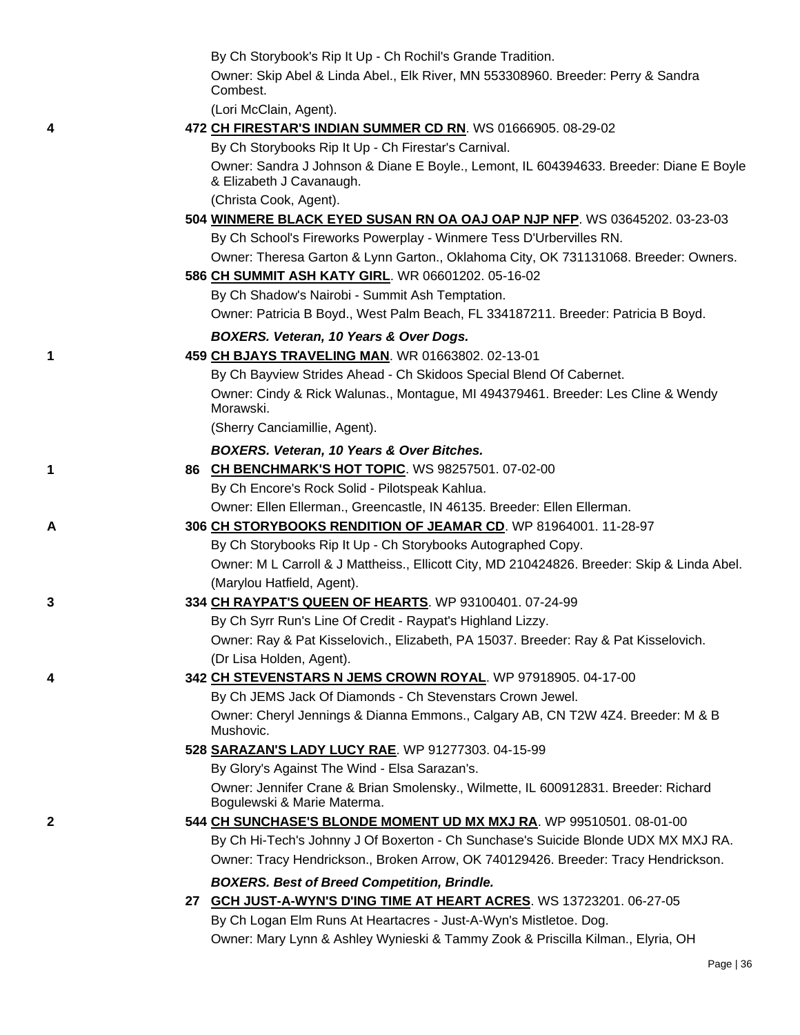|   | By Ch Storybook's Rip It Up - Ch Rochil's Grande Tradition.                                                                                |
|---|--------------------------------------------------------------------------------------------------------------------------------------------|
|   | Owner: Skip Abel & Linda Abel., Elk River, MN 553308960. Breeder: Perry & Sandra                                                           |
|   | Combest.                                                                                                                                   |
|   | (Lori McClain, Agent).                                                                                                                     |
| 4 | 472 CH FIRESTAR'S INDIAN SUMMER CD RN. WS 01666905. 08-29-02<br>By Ch Storybooks Rip It Up - Ch Firestar's Carnival.                       |
|   | Owner: Sandra J Johnson & Diane E Boyle., Lemont, IL 604394633. Breeder: Diane E Boyle                                                     |
|   | & Elizabeth J Cavanaugh.                                                                                                                   |
|   | (Christa Cook, Agent).                                                                                                                     |
|   | 504 WINMERE BLACK EYED SUSAN RN OA OAJ OAP NJP NFP. WS 03645202. 03-23-03                                                                  |
|   | By Ch School's Fireworks Powerplay - Winmere Tess D'Urbervilles RN.                                                                        |
|   | Owner: Theresa Garton & Lynn Garton., Oklahoma City, OK 731131068. Breeder: Owners.                                                        |
|   | 586 CH SUMMIT ASH KATY GIRL. WR 06601202. 05-16-02                                                                                         |
|   | By Ch Shadow's Nairobi - Summit Ash Temptation.                                                                                            |
|   | Owner: Patricia B Boyd., West Palm Beach, FL 334187211. Breeder: Patricia B Boyd.                                                          |
|   | BOXERS. Veteran, 10 Years & Over Dogs.                                                                                                     |
| 1 | 459 CH BJAYS TRAVELING MAN. WR 01663802. 02-13-01                                                                                          |
|   | By Ch Bayview Strides Ahead - Ch Skidoos Special Blend Of Cabernet.                                                                        |
|   | Owner: Cindy & Rick Walunas., Montague, MI 494379461. Breeder: Les Cline & Wendy                                                           |
|   | Morawski.                                                                                                                                  |
|   | (Sherry Canciamillie, Agent).                                                                                                              |
|   | <b>BOXERS. Veteran, 10 Years &amp; Over Bitches.</b>                                                                                       |
| 1 | 86 CH BENCHMARK'S HOT TOPIC. WS 98257501. 07-02-00                                                                                         |
|   | By Ch Encore's Rock Solid - Pilotspeak Kahlua.                                                                                             |
| А | Owner: Ellen Ellerman., Greencastle, IN 46135. Breeder: Ellen Ellerman.<br>306 CH STORYBOOKS RENDITION OF JEAMAR CD. WP 81964001. 11-28-97 |
|   | By Ch Storybooks Rip It Up - Ch Storybooks Autographed Copy.                                                                               |
|   | Owner: M L Carroll & J Mattheiss., Ellicott City, MD 210424826. Breeder: Skip & Linda Abel.                                                |
|   | (Marylou Hatfield, Agent).                                                                                                                 |
| 3 | 334 CH RAYPAT'S QUEEN OF HEARTS. WP 93100401. 07-24-99                                                                                     |
|   | By Ch Syrr Run's Line Of Credit - Raypat's Highland Lizzy.                                                                                 |
|   | Owner: Ray & Pat Kisselovich., Elizabeth, PA 15037. Breeder: Ray & Pat Kisselovich.                                                        |
|   | (Dr Lisa Holden, Agent).                                                                                                                   |
| 4 | 342 CH STEVENSTARS N JEMS CROWN ROYAL. WP 97918905. 04-17-00                                                                               |
|   | By Ch JEMS Jack Of Diamonds - Ch Stevenstars Crown Jewel.                                                                                  |
|   | Owner: Cheryl Jennings & Dianna Emmons., Calgary AB, CN T2W 4Z4. Breeder: M & B<br>Mushovic.                                               |
|   | 528 SARAZAN'S LADY LUCY RAE. WP 91277303. 04-15-99                                                                                         |
|   | By Glory's Against The Wind - Elsa Sarazan's.                                                                                              |
|   | Owner: Jennifer Crane & Brian Smolensky., Wilmette, IL 600912831. Breeder: Richard<br>Bogulewski & Marie Materma.                          |
| 2 | 544 CH SUNCHASE'S BLONDE MOMENT UD MX MXJ RA. WP 99510501. 08-01-00                                                                        |
|   | By Ch Hi-Tech's Johnny J Of Boxerton - Ch Sunchase's Suicide Blonde UDX MX MXJ RA.                                                         |
|   | Owner: Tracy Hendrickson., Broken Arrow, OK 740129426. Breeder: Tracy Hendrickson.                                                         |
|   | <b>BOXERS. Best of Breed Competition, Brindle.</b>                                                                                         |
|   | 27 GCH JUST-A-WYN'S D'ING TIME AT HEART ACRES. WS 13723201. 06-27-05                                                                       |
|   | By Ch Logan Elm Runs At Heartacres - Just-A-Wyn's Mistletoe. Dog.                                                                          |

Owner: Mary Lynn & Ashley Wynieski & Tammy Zook & Priscilla Kilman., Elyria, OH

Page | 36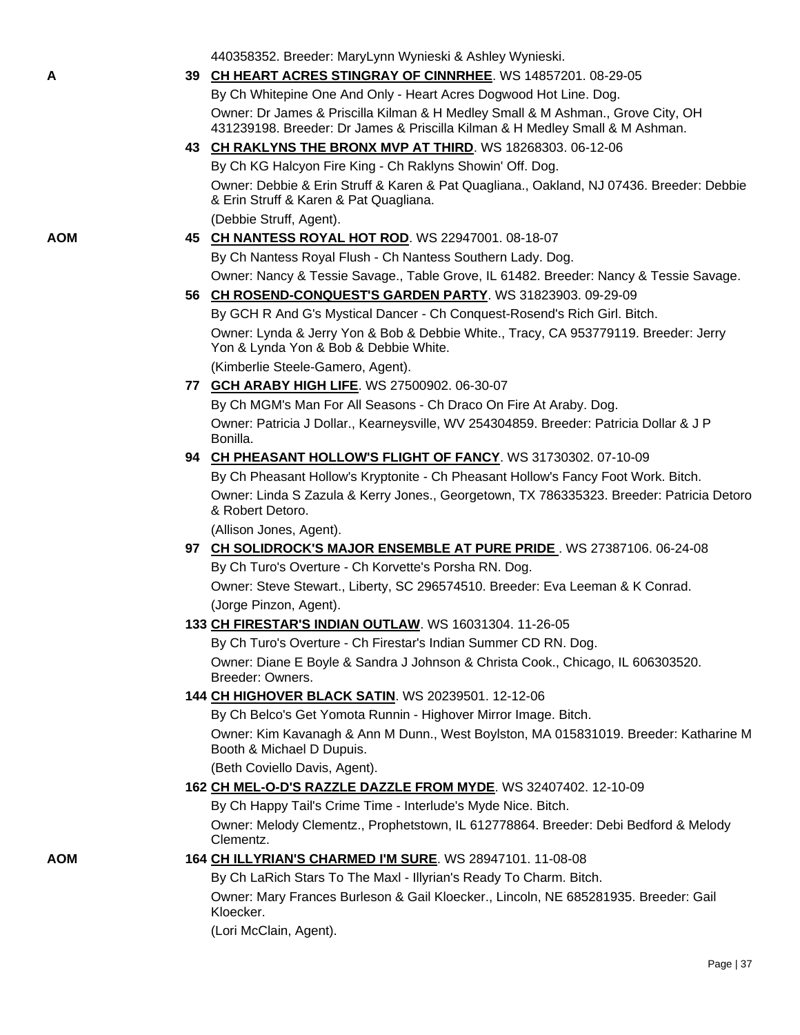|     | 440358352. Breeder: MaryLynn Wynieski & Ashley Wynieski.                                                                                                        |
|-----|-----------------------------------------------------------------------------------------------------------------------------------------------------------------|
| Α   | 39 CH HEART ACRES STINGRAY OF CINNRHEE. WS 14857201. 08-29-05                                                                                                   |
|     | By Ch Whitepine One And Only - Heart Acres Dogwood Hot Line. Dog.                                                                                               |
|     | Owner: Dr James & Priscilla Kilman & H Medley Small & M Ashman., Grove City, OH<br>431239198. Breeder: Dr James & Priscilla Kilman & H Medley Small & M Ashman. |
|     | 43 CH RAKLYNS THE BRONX MVP AT THIRD. WS 18268303. 06-12-06                                                                                                     |
|     | By Ch KG Halcyon Fire King - Ch Raklyns Showin' Off. Dog.                                                                                                       |
|     | Owner: Debbie & Erin Struff & Karen & Pat Quagliana., Oakland, NJ 07436. Breeder: Debbie<br>& Erin Struff & Karen & Pat Quagliana.                              |
|     | (Debbie Struff, Agent).                                                                                                                                         |
| AOM | 45 CH NANTESS ROYAL HOT ROD. WS 22947001. 08-18-07                                                                                                              |
|     | By Ch Nantess Royal Flush - Ch Nantess Southern Lady. Dog.                                                                                                      |
|     | Owner: Nancy & Tessie Savage., Table Grove, IL 61482. Breeder: Nancy & Tessie Savage.                                                                           |
|     | 56 CH ROSEND-CONQUEST'S GARDEN PARTY. WS 31823903. 09-29-09                                                                                                     |
|     | By GCH R And G's Mystical Dancer - Ch Conquest-Rosend's Rich Girl. Bitch.                                                                                       |
|     | Owner: Lynda & Jerry Yon & Bob & Debbie White., Tracy, CA 953779119. Breeder: Jerry<br>Yon & Lynda Yon & Bob & Debbie White.                                    |
|     | (Kimberlie Steele-Gamero, Agent).                                                                                                                               |
|     | 77 GCH ARABY HIGH LIFE. WS 27500902. 06-30-07                                                                                                                   |
|     | By Ch MGM's Man For All Seasons - Ch Draco On Fire At Araby. Dog.                                                                                               |
|     | Owner: Patricia J Dollar., Kearneysville, WV 254304859. Breeder: Patricia Dollar & J P<br>Bonilla.                                                              |
|     | 94 CH PHEASANT HOLLOW'S FLIGHT OF FANCY. WS 31730302. 07-10-09                                                                                                  |
|     | By Ch Pheasant Hollow's Kryptonite - Ch Pheasant Hollow's Fancy Foot Work. Bitch.                                                                               |
|     | Owner: Linda S Zazula & Kerry Jones., Georgetown, TX 786335323. Breeder: Patricia Detoro<br>& Robert Detoro.                                                    |
|     | (Allison Jones, Agent).                                                                                                                                         |
|     | 97 CH SOLIDROCK'S MAJOR ENSEMBLE AT PURE PRIDE. WS 27387106. 06-24-08                                                                                           |
|     | By Ch Turo's Overture - Ch Korvette's Porsha RN. Dog.                                                                                                           |
|     | Owner: Steve Stewart., Liberty, SC 296574510. Breeder: Eva Leeman & K Conrad.                                                                                   |
|     | (Jorge Pinzon, Agent).                                                                                                                                          |
|     | 133 CH FIRESTAR'S INDIAN OUTLAW. WS 16031304. 11-26-05                                                                                                          |
|     | By Ch Turo's Overture - Ch Firestar's Indian Summer CD RN. Dog.                                                                                                 |
|     | Owner: Diane E Boyle & Sandra J Johnson & Christa Cook., Chicago, IL 606303520.<br>Breeder: Owners.                                                             |
|     | 144 CH HIGHOVER BLACK SATIN. WS 20239501. 12-12-06                                                                                                              |
|     | By Ch Belco's Get Yomota Runnin - Highover Mirror Image. Bitch.                                                                                                 |
|     | Owner: Kim Kavanagh & Ann M Dunn., West Boylston, MA 015831019. Breeder: Katharine M<br>Booth & Michael D Dupuis.                                               |
|     | (Beth Coviello Davis, Agent).                                                                                                                                   |
|     | 162 CH MEL-O-D'S RAZZLE DAZZLE FROM MYDE. WS 32407402. 12-10-09                                                                                                 |
|     | By Ch Happy Tail's Crime Time - Interlude's Myde Nice. Bitch.                                                                                                   |
|     | Owner: Melody Clementz., Prophetstown, IL 612778864. Breeder: Debi Bedford & Melody<br>Clementz.                                                                |
| AOM | 164 CH ILLYRIAN'S CHARMED I'M SURE. WS 28947101. 11-08-08                                                                                                       |
|     | By Ch LaRich Stars To The Maxl - Illyrian's Ready To Charm. Bitch.                                                                                              |
|     | Owner: Mary Frances Burleson & Gail Kloecker., Lincoln, NE 685281935. Breeder: Gail<br>Kloecker.                                                                |

(Lori McClain, Agent).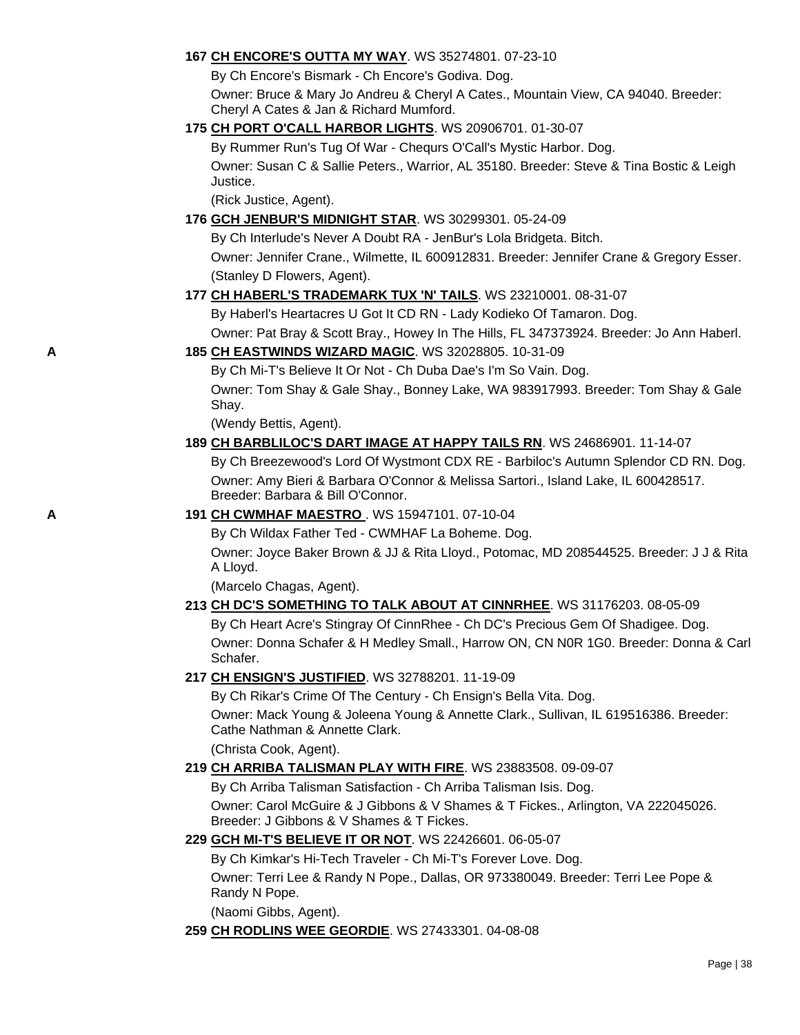## **167 [CH ENCORE'S OUTTA MY WAY](http://canis.infodog.com/files/bdogrsl1.prg;makc=WS_35274801;mdog=Ch_Encore_s_Outta_My_Way;wins=all)**. WS 35274801. 07-23-10

By Ch Encore's Bismark - Ch Encore's Godiva. Dog.

Owner: Bruce & Mary Jo Andreu & Cheryl A Cates., Mountain View, CA 94040. Breeder: Cheryl A Cates & Jan & Richard Mumford.

## **175 [CH PORT O'CALL HARBOR LIGHTS](http://canis.infodog.com/files/bdogrsl1.prg;makc=WS_20906701;mdog=Ch_Port_O_Call_Harbor_Lights;wins=all)**. WS 20906701. 01-30-07

By Rummer Run's Tug Of War - Chequrs O'Call's Mystic Harbor. Dog. Owner: Susan C & Sallie Peters., Warrior, AL 35180. Breeder: Steve & Tina Bostic & Leigh Justice.

(Rick Justice, Agent).

## **176 [GCH JENBUR'S MIDNIGHT STAR](http://canis.infodog.com/files/bdogrsl1.prg;makc=WS_30299301;mdog=GCH_JenBur_s_Midnight_Star;wins=all)**. WS 30299301. 05-24-09

By Ch Interlude's Never A Doubt RA - JenBur's Lola Bridgeta. Bitch. Owner: Jennifer Crane., Wilmette, IL 600912831. Breeder: Jennifer Crane & Gregory Esser. (Stanley D Flowers, Agent).

## **177 [CH HABERL'S TRADEMARK TUX 'N' TAILS](http://canis.infodog.com/files/bdogrsl1.prg;makc=WS_23210001;mdog=Ch_Haberl_s_Trademark_Tux__N__Tails;wins=all)**. WS 23210001. 08-31-07

By Haberl's Heartacres U Got It CD RN - Lady Kodieko Of Tamaron. Dog. Owner: Pat Bray & Scott Bray., Howey In The Hills, FL 347373924. Breeder: Jo Ann Haberl.

## **A 185 [CH EASTWINDS WIZARD MAGIC](http://canis.infodog.com/files/bdogrsl1.prg;makc=WS_32028805;mdog=Ch_Eastwinds_Wizard_Magic;wins=all)**. WS 32028805. 10-31-09

By Ch Mi-T's Believe It Or Not - Ch Duba Dae's I'm So Vain. Dog.

Owner: Tom Shay & Gale Shay., Bonney Lake, WA 983917993. Breeder: Tom Shay & Gale Shay.

(Wendy Bettis, Agent).

## **189 [CH BARBLILOC'S DART IMAGE AT HAPPY TAILS RN](http://canis.infodog.com/files/bdogrsl1.prg;makc=WS_24686901;mdog=Ch_Barbliloc_s_Dart_Image_At_Happy_Tails_RN;wins=all)**. WS 24686901. 11-14-07

By Ch Breezewood's Lord Of Wystmont CDX RE - Barbiloc's Autumn Splendor CD RN. Dog. Owner: Amy Bieri & Barbara O'Connor & Melissa Sartori., Island Lake, IL 600428517. Breeder: Barbara & Bill O'Connor.

## **A 191 [CH CWMHAF MAESTRO](http://canis.infodog.com/files/bdogrsl1.prg;makc=WS_15947101;mdog=Ch_CWMHAF_Maestro;wins=all)** [.](http://www.infodog.com/my/dogpage.htm?akc=WS%2015947101) WS 15947101. 07-10-04

By Ch Wildax Father Ted - CWMHAF La Boheme. Dog.

Owner: Joyce Baker Brown & JJ & Rita Lloyd., Potomac, MD 208544525. Breeder: J J & Rita A Lloyd.

(Marcelo Chagas, Agent).

## **213 [CH DC'S SOMETHING TO TALK ABOUT AT CINNRHEE](http://canis.infodog.com/files/bdogrsl1.prg;makc=WS_31176203;mdog=Ch_DC_s_Something_To_Talk_About_At_CinnRhee;wins=all)**. WS 31176203. 08-05-09 By Ch Heart Acre's Stingray Of CinnRhee - Ch DC's Precious Gem Of Shadigee. Dog.

Owner: Donna Schafer & H Medley Small., Harrow ON, CN N0R 1G0. Breeder: Donna & Carl Schafer.

## **217 [CH ENSIGN'S JUSTIFIED](http://canis.infodog.com/files/bdogrsl1.prg;makc=WS_32788201;mdog=Ch_Ensign_s_Justified;wins=all)**. WS 32788201. 11-19-09

By Ch Rikar's Crime Of The Century - Ch Ensign's Bella Vita. Dog. Owner: Mack Young & Joleena Young & Annette Clark., Sullivan, IL 619516386. Breeder: Cathe Nathman & Annette Clark.

(Christa Cook, Agent).

## **219 [CH ARRIBA TALISMAN PLAY WITH FIRE](http://canis.infodog.com/files/bdogrsl1.prg;makc=WS_23883508;mdog=Ch_Arriba_Talisman_Play_With_Fire;wins=all)**. WS 23883508. 09-09-07

By Ch Arriba Talisman Satisfaction - Ch Arriba Talisman Isis. Dog. Owner: Carol McGuire & J Gibbons & V Shames & T Fickes., Arlington, VA 222045026. Breeder: J Gibbons & V Shames & T Fickes.

## **229 [GCH MI-T'S BELIEVE IT OR NOT](http://canis.infodog.com/files/bdogrsl1.prg;makc=WS_22426601;mdog=GCH_Mi-T_s_Believe_It_Or_Not;wins=all)**. WS 22426601. 06-05-07

By Ch Kimkar's Hi-Tech Traveler - Ch Mi-T's Forever Love. Dog.

Owner: Terri Lee & Randy N Pope., Dallas, OR 973380049. Breeder: Terri Lee Pope & Randy N Pope.

(Naomi Gibbs, Agent).

**259 [CH RODLINS WEE GEORDIE](http://canis.infodog.com/files/bdogrsl1.prg;makc=WS_27433301;mdog=Ch_Rodlins_Wee_Geordie;wins=all)**. WS 27433301. 04-08-08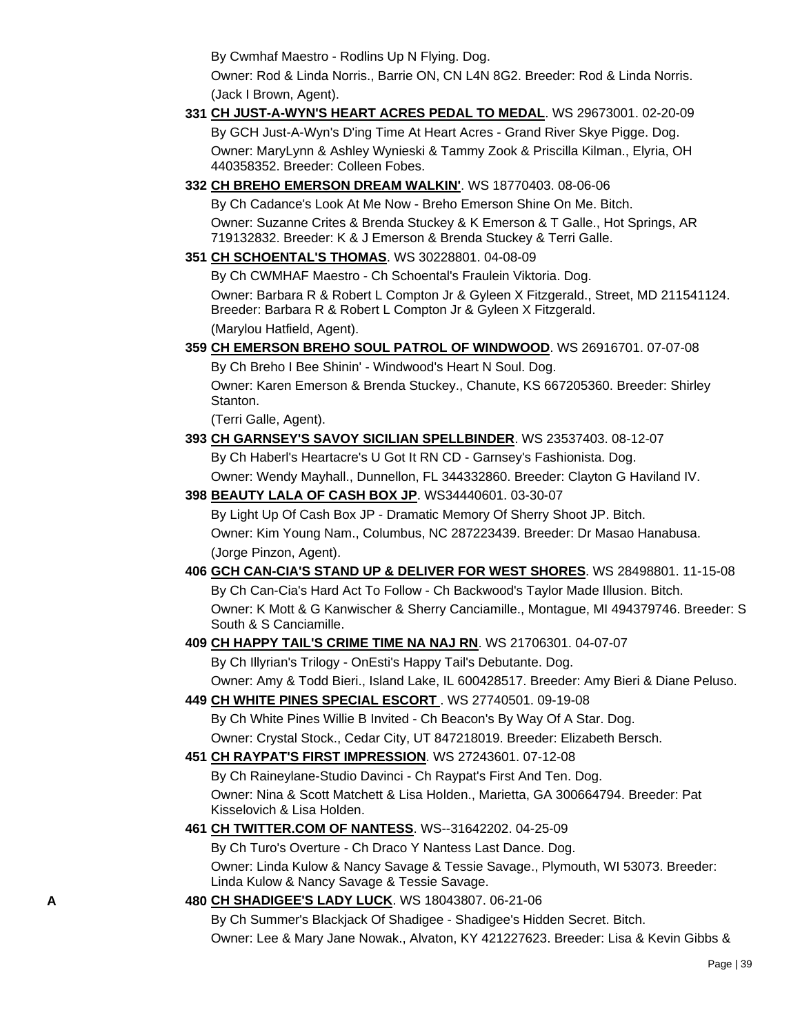By Cwmhaf Maestro - Rodlins Up N Flying. Dog.

Owner: Rod & Linda Norris., Barrie ON, CN L4N 8G2. Breeder: Rod & Linda Norris. (Jack I Brown, Agent).

- **331 [CH JUST-A-WYN'S HEART ACRES PEDAL TO MEDAL](http://canis.infodog.com/files/bdogrsl1.prg;makc=WS_29673001;mdog=Ch_Just-A-Wyn_s_Heart_Acres_Pedal_To_Medal;wins=all)**. WS 29673001. 02-20-09 By GCH Just-A-Wyn's D'ing Time At Heart Acres - Grand River Skye Pigge. Dog. Owner: MaryLynn & Ashley Wynieski & Tammy Zook & Priscilla Kilman., Elyria, OH 440358352. Breeder: Colleen Fobes.
- **332 [CH BREHO EMERSON DREAM WALKIN'](http://canis.infodog.com/files/bdogrsl1.prg;makc=WS_18770403;mdog=Ch_Breho_Emerson_Dream_Walkin_;wins=all)**. WS 18770403. 08-06-06

By Ch Cadance's Look At Me Now - Breho Emerson Shine On Me. Bitch. Owner: Suzanne Crites & Brenda Stuckey & K Emerson & T Galle., Hot Springs, AR 719132832. Breeder: K & J Emerson & Brenda Stuckey & Terri Galle.

**351 [CH SCHOENTAL'S THOMAS](http://canis.infodog.com/files/bdogrsl1.prg;makc=WS_30228801;mdog=Ch_Schoental_s_Thomas;wins=all)**. WS 30228801. 04-08-09

By Ch CWMHAF Maestro - Ch Schoental's Fraulein Viktoria. Dog. Owner: Barbara R & Robert L Compton Jr & Gyleen X Fitzgerald., Street, MD 211541124. Breeder: Barbara R & Robert L Compton Jr & Gyleen X Fitzgerald. (Marylou Hatfield, Agent).

**359 [CH EMERSON BREHO SOUL PATROL OF WINDWOOD](http://canis.infodog.com/files/bdogrsl1.prg;makc=WS_26916701;mdog=Ch_Emerson_Breho_Soul_Patrol_Of_Windwood;wins=all)**. WS 26916701. 07-07-08

By Ch Breho I Bee Shinin' - Windwood's Heart N Soul. Dog. Owner: Karen Emerson & Brenda Stuckey., Chanute, KS 667205360. Breeder: Shirley Stanton.

(Terri Galle, Agent).

- **393 [CH GARNSEY'S SAVOY SICILIAN SPELLBINDER](http://canis.infodog.com/files/bdogrsl1.prg;makc=WS_23537403;mdog=Ch_Garnsey_s_Savoy_Sicilian_Spellbinder;wins=all)**. WS 23537403. 08-12-07 By Ch Haberl's Heartacre's U Got It RN CD - Garnsey's Fashionista. Dog. Owner: Wendy Mayhall., Dunnellon, FL 344332860. Breeder: Clayton G Haviland IV.
- **398 [BEAUTY LALA OF CASH BOX JP](http://canis.infodog.com/files/bdogrsl1.prg;makc=WS34440601;mdog=Beauty_Lala_Of_Cash_Box_JP;wins=all)**. WS34440601. 03-30-07

By Light Up Of Cash Box JP - Dramatic Memory Of Sherry Shoot JP. Bitch. Owner: Kim Young Nam., Columbus, NC 287223439. Breeder: Dr Masao Hanabusa. (Jorge Pinzon, Agent).

**406 [GCH CAN-CIA'S STAND UP & DELIVER FOR WEST SHORES](http://canis.infodog.com/files/bdogrsl1.prg;makc=WS_28498801;mdog=GCH_Can-Cia_s_Stand_Up_&_Deliver_For_West_Shores;wins=all)**. WS 28498801. 11-15-08 By Ch Can-Cia's Hard Act To Follow - Ch Backwood's Taylor Made Illusion. Bitch. Owner: K Mott & G Kanwischer & Sherry Canciamille., Montague, MI 494379746. Breeder: S South & S Canciamille.

## **409 [CH HAPPY TAIL'S CRIME TIME NA NAJ RN](http://canis.infodog.com/files/bdogrsl1.prg;makc=WS_21706301;mdog=Ch_Happy_Tail_s_Crime_Time_NA_NAJ_RN;wins=all)**. WS 21706301. 04-07-07

By Ch Illyrian's Trilogy - OnEsti's Happy Tail's Debutante. Dog. Owner: Amy & Todd Bieri., Island Lake, IL 600428517. Breeder: Amy Bieri & Diane Peluso.

**449 [CH WHITE PINES SPECIAL ESCORT](http://canis.infodog.com/files/bdogrsl1.prg;makc=WS_27740501;mdog=Ch_White_Pines_Special_Escort;wins=all)** . WS 27740501. 09-19-08

By Ch White Pines Willie B Invited - Ch Beacon's By Way Of A Star. Dog.

Owner: Crystal Stock., Cedar City, UT 847218019. Breeder: Elizabeth Bersch.

**451 [CH RAYPAT'S FIRST IMPRESSION](http://canis.infodog.com/files/bdogrsl1.prg;makc=WS_27243601;mdog=Ch_Raypat_s_First_Impression;wins=all)**. WS 27243601. 07-12-08

By Ch Raineylane-Studio Davinci - Ch Raypat's First And Ten. Dog.

Owner: Nina & Scott Matchett & Lisa Holden., Marietta, GA 300664794. Breeder: Pat Kisselovich & Lisa Holden.

**461 [CH TWITTER.COM OF NANTESS](http://canis.infodog.com/files/bdogrsl1.prg;makc=WS--31642202;mdog=Ch_Twitter.Com_Of_Nantess;wins=all)**. WS--31642202. 04-25-09

By Ch Turo's Overture - Ch Draco Y Nantess Last Dance. Dog. Owner: Linda Kulow & Nancy Savage & Tessie Savage., Plymouth, WI 53073. Breeder: Linda Kulow & Nancy Savage & Tessie Savage.

**A 480 [CH SHADIGEE'S LADY LUCK](http://canis.infodog.com/files/bdogrsl1.prg;makc=WS_18043807;mdog=Ch_Shadigee_s_Lady_Luck;wins=all)**. WS 18043807. 06-21-06

By Ch Summer's Blackjack Of Shadigee - Shadigee's Hidden Secret. Bitch. Owner: Lee & Mary Jane Nowak., Alvaton, KY 421227623. Breeder: Lisa & Kevin Gibbs &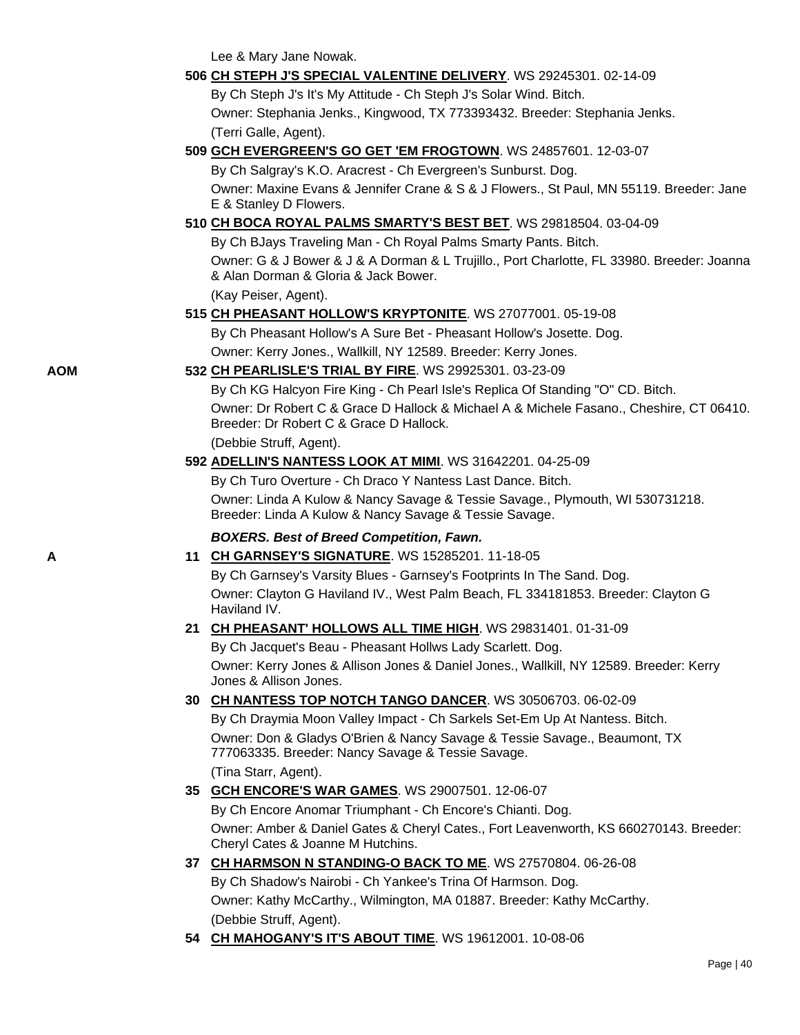Lee & Mary Jane Nowak.

### **506 [CH STEPH J'S SPECIAL VALENTINE DELIVERY](http://canis.infodog.com/files/bdogrsl1.prg;makc=WS_29245301;mdog=Ch_Steph_J_s_Special_Valentine_Delivery;wins=all)**. WS 29245301. 02-14-09

By Ch Steph J's It's My Attitude - Ch Steph J's Solar Wind. Bitch. Owner: Stephania Jenks., Kingwood, TX 773393432. Breeder: Stephania Jenks. (Terri Galle, Agent).

### **509 [GCH EVERGREEN'S GO GET 'EM FROGTOWN](http://canis.infodog.com/files/bdogrsl1.prg;makc=WS_24857601;mdog=GCH_Evergreen_s_Go_Get__Em_Frogtown;wins=all)**. WS 24857601. 12-03-07

By Ch Salgray's K.O. Aracrest - Ch Evergreen's Sunburst. Dog.

Owner: Maxine Evans & Jennifer Crane & S & J Flowers., St Paul, MN 55119. Breeder: Jane E & Stanley D Flowers.

## **510 [CH BOCA ROYAL PALMS SMARTY'S BEST BET](http://canis.infodog.com/files/bdogrsl1.prg;makc=WS_29818504;mdog=Ch_Boca_Royal_Palms_Smarty_s_Best_Bet;wins=all)**. WS 29818504. 03-04-09

By Ch BJays Traveling Man - Ch Royal Palms Smarty Pants. Bitch. Owner: G & J Bower & J & A Dorman & L Trujillo., Port Charlotte, FL 33980. Breeder: Joanna & Alan Dorman & Gloria & Jack Bower.

(Kay Peiser, Agent).

## **515 [CH PHEASANT HOLLOW'S KRYPTONITE](http://canis.infodog.com/files/bdogrsl1.prg;makc=WS_27077001;mdog=Ch_Pheasant_Hollow_s_Kryptonite;wins=all)**. WS 27077001. 05-19-08

By Ch Pheasant Hollow's A Sure Bet - Pheasant Hollow's Josette. Dog.

Owner: Kerry Jones., Wallkill, NY 12589. Breeder: Kerry Jones.

### **AOM 532 [CH PEARLISLE'S TRIAL BY FIRE](http://canis.infodog.com/files/bdogrsl1.prg;makc=WS_29925301;mdog=Ch_Pearlisle_s_Trial_By_Fire;wins=all)**. WS 29925301. 03-23-09

By Ch KG Halcyon Fire King - Ch Pearl Isle's Replica Of Standing "O" CD. Bitch.

Owner: Dr Robert C & Grace D Hallock & Michael A & Michele Fasano., Cheshire, CT 06410. Breeder: Dr Robert C & Grace D Hallock.

(Debbie Struff, Agent).

### **592 [ADELLIN'S NANTESS LOOK AT MIMI](http://canis.infodog.com/files/bdogrsl1.prg;makc=WS_31642201;mdog=Adellin_s_Nantess_Look_At_Mimi;wins=all)**. WS 31642201. 04-25-09

By Ch Turo Overture - Ch Draco Y Nantess Last Dance. Bitch. Owner: Linda A Kulow & Nancy Savage & Tessie Savage., Plymouth, WI 530731218. Breeder: Linda A Kulow & Nancy Savage & Tessie Savage.

## *BOXERS. Best of Breed Competition, Fawn.*

## **A 11 [CH GARNSEY'S SIGNATURE](http://canis.infodog.com/files/bdogrsl1.prg;makc=WS_15285201;mdog=Ch_Garnsey_s_Signature;wins=all)**. WS 15285201. 11-18-05

By Ch Garnsey's Varsity Blues - Garnsey's Footprints In The Sand. Dog. Owner: Clayton G Haviland IV., West Palm Beach, FL 334181853. Breeder: Clayton G Haviland IV.

## **21 [CH PHEASANT' HOLLOWS ALL TIME HIGH](http://canis.infodog.com/files/bdogrsl1.prg;makc=WS_29831401;mdog=Ch_Pheasant__Hollows_All_Time_High;wins=all)**. WS 29831401. 01-31-09

By Ch Jacquet's Beau - Pheasant Hollws Lady Scarlett. Dog. Owner: Kerry Jones & Allison Jones & Daniel Jones., Wallkill, NY 12589. Breeder: Kerry Jones & Allison Jones.

## **30 [CH NANTESS TOP NOTCH TANGO DANCER](http://canis.infodog.com/files/bdogrsl1.prg;makc=WS_30506703;mdog=Ch_Nantess_Top_Notch_Tango_Dancer;wins=all)**. WS 30506703. 06-02-09

By Ch Draymia Moon Valley Impact - Ch Sarkels Set-Em Up At Nantess. Bitch. Owner: Don & Gladys O'Brien & Nancy Savage & Tessie Savage., Beaumont, TX 777063335. Breeder: Nancy Savage & Tessie Savage. (Tina Starr, Agent).

## **35 [GCH ENCORE'S WAR GAMES](http://canis.infodog.com/files/bdogrsl1.prg;makc=WS_29007501;mdog=GCH_Encore_s_War_Games;wins=all)**. WS 29007501. 12-06-07 By Ch Encore Anomar Triumphant - Ch Encore's Chianti. Dog. Owner: Amber & Daniel Gates & Cheryl Cates., Fort Leavenworth, KS 660270143. Breeder: Cheryl Cates & Joanne M Hutchins.

## **37 [CH HARMSON N STANDING-O BACK TO ME](http://canis.infodog.com/files/bdogrsl1.prg;makc=WS_27570804;mdog=Ch_Harmson_N_Standing-O_Back_To_Me;wins=all)**. WS 27570804. 06-26-08 By Ch Shadow's Nairobi - Ch Yankee's Trina Of Harmson. Dog. Owner: Kathy McCarthy., Wilmington, MA 01887. Breeder: Kathy McCarthy. (Debbie Struff, Agent).

**54 [CH MAHOGANY'S IT'S ABOUT TIME](http://canis.infodog.com/files/bdogrsl1.prg;makc=WS_19612001;mdog=Ch_Mahogany_s_It_s_About_Time;wins=all)**. WS 19612001. 10-08-06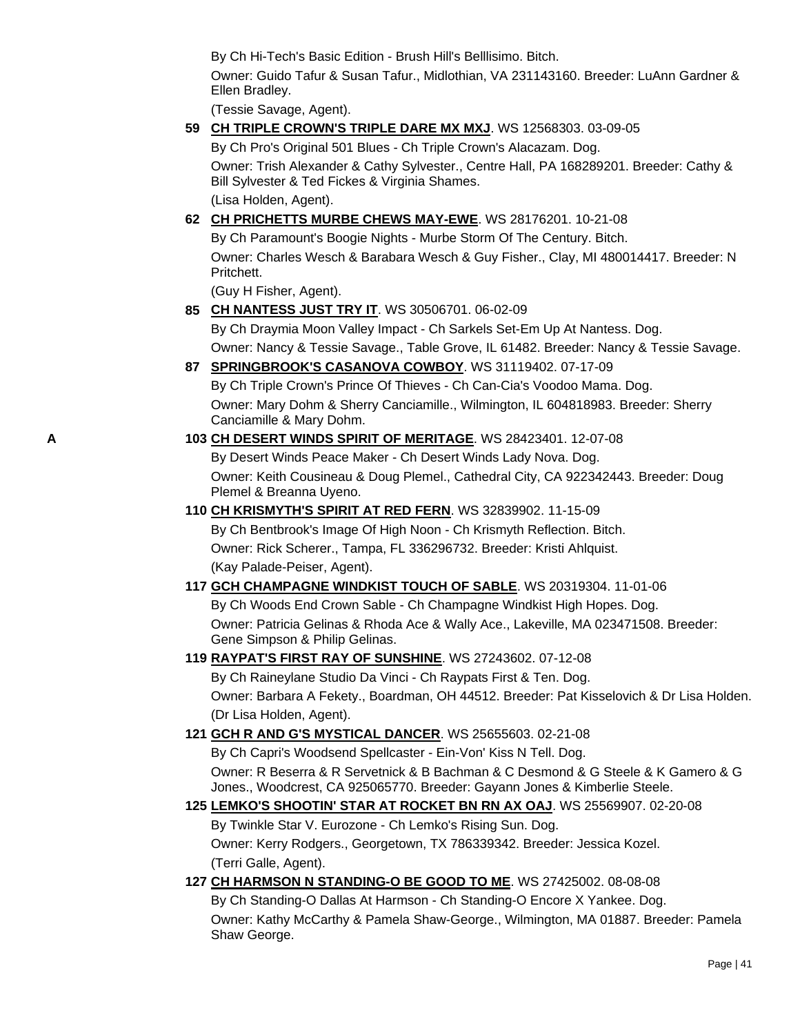By Ch Hi-Tech's Basic Edition - Brush Hill's Belllisimo. Bitch.

Owner: Guido Tafur & Susan Tafur., Midlothian, VA 231143160. Breeder: LuAnn Gardner & Ellen Bradley.

(Tessie Savage, Agent).

## **59 [CH TRIPLE CROWN'S TRIPLE DARE MX MXJ](http://canis.infodog.com/files/bdogrsl1.prg;makc=WS_12568303;mdog=Ch_Triple_Crown_s_Triple_Dare_MX_MXJ;wins=all)**. WS 12568303. 03-09-05

By Ch Pro's Original 501 Blues - Ch Triple Crown's Alacazam. Dog. Owner: Trish Alexander & Cathy Sylvester., Centre Hall, PA 168289201. Breeder: Cathy & Bill Sylvester & Ted Fickes & Virginia Shames. (Lisa Holden, Agent).

## **62 [CH PRICHETTS MURBE CHEWS MAY-EWE](http://canis.infodog.com/files/bdogrsl1.prg;makc=WS_28176201;mdog=Ch_Prichetts_Murbe_Chews_May-Ewe;wins=all)**. WS 28176201. 10-21-08

By Ch Paramount's Boogie Nights - Murbe Storm Of The Century. Bitch. Owner: Charles Wesch & Barabara Wesch & Guy Fisher., Clay, MI 480014417. Breeder: N Pritchett.

(Guy H Fisher, Agent).

- **85 [CH NANTESS JUST TRY IT](http://canis.infodog.com/files/bdogrsl1.prg;makc=WS_30506701;mdog=Ch_Nantess_Just_Try_It;wins=all)**. WS 30506701. 06-02-09 By Ch Draymia Moon Valley Impact - Ch Sarkels Set-Em Up At Nantess. Dog. Owner: Nancy & Tessie Savage., Table Grove, IL 61482. Breeder: Nancy & Tessie Savage.
- **87 [SPRINGBROOK'S CASANOVA COWBOY](http://canis.infodog.com/files/bdogrsl1.prg;makc=WS_31119402;mdog=Springbrook_s_Casanova_Cowboy;wins=all)**. WS 31119402. 07-17-09

By Ch Triple Crown's Prince Of Thieves - Ch Can-Cia's Voodoo Mama. Dog. Owner: Mary Dohm & Sherry Canciamille., Wilmington, IL 604818983. Breeder: Sherry Canciamille & Mary Dohm.

# **A 103 [CH DESERT WINDS SPIRIT OF MERITAGE](http://canis.infodog.com/files/bdogrsl1.prg;makc=WS_28423401;mdog=Ch_Desert_Winds_Spirit_Of_Meritage;wins=all)**. WS 28423401. 12-07-08 By Desert Winds Peace Maker - Ch Desert Winds Lady Nova. Dog.

Owner: Keith Cousineau & Doug Plemel., Cathedral City, CA 922342443. Breeder: Doug Plemel & Breanna Uyeno.

## **110 [CH KRISMYTH'S SPIRIT AT RED FERN](http://canis.infodog.com/files/bdogrsl1.prg;makc=WS_32839902;mdog=Ch_Krismyth_s_Spirit_At_Red_Fern;wins=all)**. WS 32839902. 11-15-09 By Ch Bentbrook's Image Of High Noon - Ch Krismyth Reflection. Bitch. Owner: Rick Scherer., Tampa, FL 336296732. Breeder: Kristi Ahlquist.

(Kay Palade-Peiser, Agent).

## **117 [GCH CHAMPAGNE WINDKIST TOUCH OF SABLE](http://canis.infodog.com/files/bdogrsl1.prg;makc=WS_20319304;mdog=GCH_Champagne_Windkist_Touch_Of_Sable;wins=all)**. WS 20319304. 11-01-06 By Ch Woods End Crown Sable - Ch Champagne Windkist High Hopes. Dog. Owner: Patricia Gelinas & Rhoda Ace & Wally Ace., Lakeville, MA 023471508. Breeder: Gene Simpson & Philip Gelinas.

## **119 [RAYPAT'S FIRST RAY OF SUNSHINE](http://canis.infodog.com/files/bdogrsl1.prg;makc=WS_27243602;mdog=Raypat_s_First_Ray_Of_Sunshine;wins=all)**. WS 27243602. 07-12-08

By Ch Raineylane Studio Da Vinci - Ch Raypats First & Ten. Dog. Owner: Barbara A Fekety., Boardman, OH 44512. Breeder: Pat Kisselovich & Dr Lisa Holden. (Dr Lisa Holden, Agent).

## **121 [GCH R AND G'S MYSTICAL DANCER](http://canis.infodog.com/files/bdogrsl1.prg;makc=WS_25655603;mdog=GCH_R_And_G_s_Mystical_Dancer;wins=all)**. WS 25655603. 02-21-08

By Ch Capri's Woodsend Spellcaster - Ein-Von' Kiss N Tell. Dog. Owner: R Beserra & R Servetnick & B Bachman & C Desmond & G Steele & K Gamero & G Jones., Woodcrest, CA 925065770. Breeder: Gayann Jones & Kimberlie Steele.

## **125 [LEMKO'S SHOOTIN' STAR AT ROCKET BN RN AX OAJ](http://canis.infodog.com/files/bdogrsl1.prg;makc=WS_25569907;mdog=Lemko_s_Shootin__Star_At_Rocket_BN_RN_AX_OAJ;wins=all)**. WS 25569907. 02-20-08

By Twinkle Star V. Eurozone - Ch Lemko's Rising Sun. Dog. Owner: Kerry Rodgers., Georgetown, TX 786339342. Breeder: Jessica Kozel. (Terri Galle, Agent).

## **127 [CH HARMSON N STANDING-O BE GOOD TO ME](http://canis.infodog.com/files/bdogrsl1.prg;makc=WS_27425002;mdog=Ch_Harmson_N_Standing-O_Be_Good_To_Me;wins=all)**. WS 27425002. 08-08-08

By Ch Standing-O Dallas At Harmson - Ch Standing-O Encore X Yankee. Dog. Owner: Kathy McCarthy & Pamela Shaw-George., Wilmington, MA 01887. Breeder: Pamela Shaw George.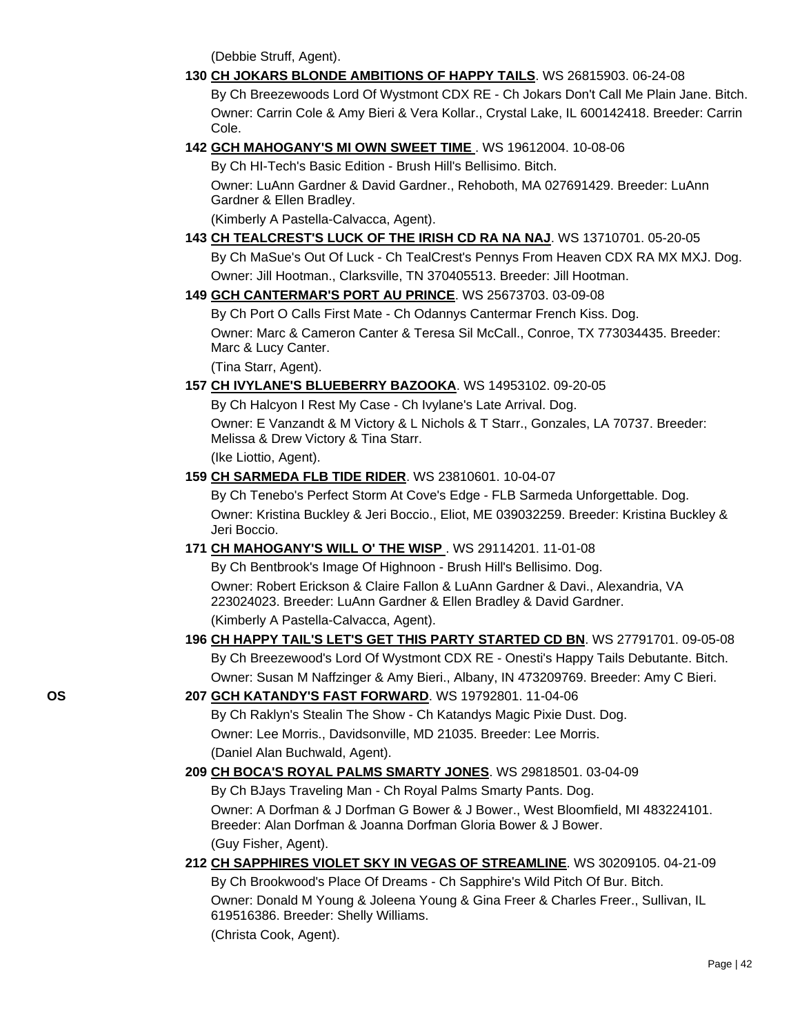(Debbie Struff, Agent).

- **130 [CH JOKARS BLONDE AMBITIONS OF HAPPY TAILS](http://canis.infodog.com/files/bdogrsl1.prg;makc=WS_26815903;mdog=Ch_Jokars_Blonde_Ambitions_Of_Happy_Tails;wins=all)**. WS 26815903. 06-24-08 By Ch Breezewoods Lord Of Wystmont CDX RE - Ch Jokars Don't Call Me Plain Jane. Bitch. Owner: Carrin Cole & Amy Bieri & Vera Kollar., Crystal Lake, IL 600142418. Breeder: Carrin Cole.
- **142 [GCH MAHOGANY'S MI OWN SWEET TIME](http://canis.infodog.com/files/bdogrsl1.prg;makc=WS_19612004;mdog=GCH_Mahogany_s_MI_Own_Sweet_Time;wins=all)** [.](http://www.infodog.com/my/dogpage.htm?akc=WS%2019612004) WS 19612004. 10-08-06 By Ch HI-Tech's Basic Edition - Brush Hill's Bellisimo. Bitch. Owner: LuAnn Gardner & David Gardner., Rehoboth, MA 027691429. Breeder: LuAnn Gardner & Ellen Bradley. (Kimberly A Pastella-Calvacca, Agent).
- **143 [CH TEALCREST'S LUCK OF THE IRISH CD RA NA NAJ](http://canis.infodog.com/files/bdogrsl1.prg;makc=WS_13710701;mdog=Ch_TealCrest_s_Luck_Of_The_Irish_CD_RA_NA_NAJ;wins=all)**. WS 13710701. 05-20-05 By Ch MaSue's Out Of Luck - Ch TealCrest's Pennys From Heaven CDX RA MX MXJ. Dog. Owner: Jill Hootman., Clarksville, TN 370405513. Breeder: Jill Hootman.
- **149 [GCH CANTERMAR'S PORT AU PRINCE](http://canis.infodog.com/files/bdogrsl1.prg;makc=WS_25673703;mdog=GCH_Cantermar_s_Port_Au_Prince;wins=all)**. WS 25673703. 03-09-08 By Ch Port O Calls First Mate - Ch Odannys Cantermar French Kiss. Dog. Owner: Marc & Cameron Canter & Teresa Sil McCall., Conroe, TX 773034435. Breeder: Marc & Lucy Canter. (Tina Starr, Agent).
- **157 [CH IVYLANE'S BLUEBERRY BAZOOKA](http://canis.infodog.com/files/bdogrsl1.prg;makc=WS_14953102;mdog=Ch_Ivylane_s_Blueberry_Bazooka;wins=all)**. WS 14953102. 09-20-05

By Ch Halcyon I Rest My Case - Ch Ivylane's Late Arrival. Dog. Owner: E Vanzandt & M Victory & L Nichols & T Starr., Gonzales, LA 70737. Breeder: Melissa & Drew Victory & Tina Starr.

(Ike Liottio, Agent).

**159 [CH SARMEDA FLB TIDE RIDER](http://canis.infodog.com/files/bdogrsl1.prg;makc=WS_23810601;mdog=Ch_Sarmeda_FLB_Tide_Rider;wins=all)**. WS 23810601. 10-04-07

By Ch Tenebo's Perfect Storm At Cove's Edge - FLB Sarmeda Unforgettable. Dog. Owner: Kristina Buckley & Jeri Boccio., Eliot, ME 039032259. Breeder: Kristina Buckley & Jeri Boccio.

**171 [CH MAHOGANY'S WILL O' THE WISP](http://canis.infodog.com/files/bdogrsl1.prg;makc=WS_29114201;mdog=Ch_Mahogany_s_Will_O__The_Wisp;wins=all)** . WS 29114201. 11-01-08

By Ch Bentbrook's Image Of Highnoon - Brush Hill's Bellisimo. Dog. Owner: Robert Erickson & Claire Fallon & LuAnn Gardner & Davi., Alexandria, VA 223024023. Breeder: LuAnn Gardner & Ellen Bradley & David Gardner. (Kimberly A Pastella-Calvacca, Agent).

- **196 [CH HAPPY TAIL'S LET'S GET THIS PARTY STARTED CD BN](http://canis.infodog.com/files/bdogrsl1.prg;makc=WS_27791701;mdog=Ch_Happy_Tail_s_Let_s_Get_This_Party_Started_CD_BN;wins=all)**. WS 27791701. 09-05-08 By Ch Breezewood's Lord Of Wystmont CDX RE - Onesti's Happy Tails Debutante. Bitch. Owner: Susan M Naffzinger & Amy Bieri., Albany, IN 473209769. Breeder: Amy C Bieri.
- **OS 207 [GCH KATANDY'S FAST FORWARD](http://canis.infodog.com/files/bdogrsl1.prg;makc=WS_19792801;mdog=GCH_Katandy_s_Fast_Forward;wins=all)**. WS 19792801. 11-04-06 By Ch Raklyn's Stealin The Show - Ch Katandys Magic Pixie Dust. Dog. Owner: Lee Morris., Davidsonville, MD 21035. Breeder: Lee Morris. (Daniel Alan Buchwald, Agent).
	- **209 [CH BOCA'S ROYAL PALMS SMARTY JONES](http://canis.infodog.com/files/bdogrsl1.prg;makc=WS_29818501;mdog=Ch_Boca_s_Royal_Palms_Smarty_Jones;wins=all)**. WS 29818501. 03-04-09 By Ch BJays Traveling Man - Ch Royal Palms Smarty Pants. Dog. Owner: A Dorfman & J Dorfman G Bower & J Bower., West Bloomfield, MI 483224101. Breeder: Alan Dorfman & Joanna Dorfman Gloria Bower & J Bower. (Guy Fisher, Agent).
	- **212 [CH SAPPHIRES VIOLET SKY IN VEGAS OF STREAMLINE](http://canis.infodog.com/files/bdogrsl1.prg;makc=WS_30209105;mdog=Ch_Sapphires_Violet_Sky_In_Vegas_Of_Streamline;wins=all)**. WS 30209105. 04-21-09 By Ch Brookwood's Place Of Dreams - Ch Sapphire's Wild Pitch Of Bur. Bitch. Owner: Donald M Young & Joleena Young & Gina Freer & Charles Freer., Sullivan, IL 619516386. Breeder: Shelly Williams. (Christa Cook, Agent).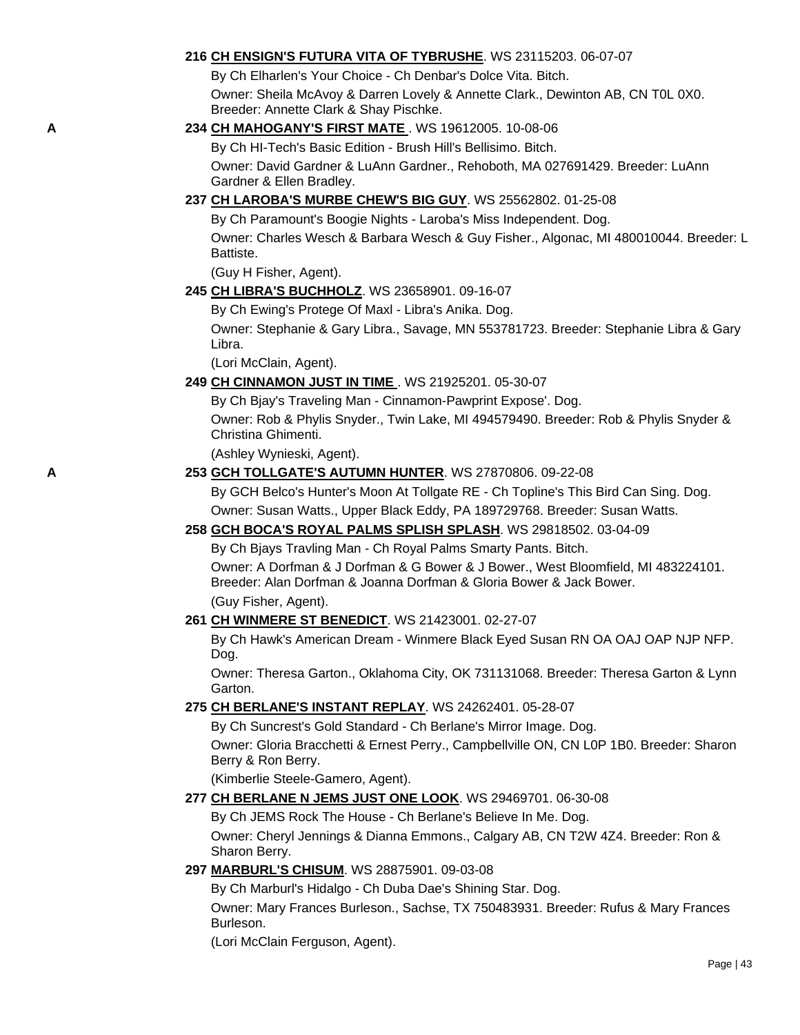### **216 [CH ENSIGN'S FUTURA VITA OF TYBRUSHE](http://canis.infodog.com/files/bdogrsl1.prg;makc=WS_23115203;mdog=Ch_Ensign_s_Futura_Vita_Of_Tybrushe;wins=all)**. WS 23115203. 06-07-07

By Ch Elharlen's Your Choice - Ch Denbar's Dolce Vita. Bitch.

Owner: Sheila McAvoy & Darren Lovely & Annette Clark., Dewinton AB, CN T0L 0X0. Breeder: Annette Clark & Shay Pischke.

## **A 234 [CH MAHOGANY'S FIRST MATE](http://canis.infodog.com/files/bdogrsl1.prg;makc=WS_19612005;mdog=Ch_Mahogany_s_First_Mate;wins=all)** [.](http://www.infodog.com/my/dogpage.htm?akc=WS%2019612005) WS 19612005. 10-08-06

By Ch HI-Tech's Basic Edition - Brush Hill's Bellisimo. Bitch. Owner: David Gardner & LuAnn Gardner., Rehoboth, MA 027691429. Breeder: LuAnn Gardner & Ellen Bradley.

## **237 [CH LAROBA'S MURBE CHEW'S BIG GUY](http://canis.infodog.com/files/bdogrsl1.prg;makc=WS_25562802;mdog=Ch_Laroba_s_Murbe_Chew_s_Big_Guy;wins=all)**. WS 25562802. 01-25-08

By Ch Paramount's Boogie Nights - Laroba's Miss Independent. Dog. Owner: Charles Wesch & Barbara Wesch & Guy Fisher., Algonac, MI 480010044. Breeder: L Battiste.

(Guy H Fisher, Agent).

### **245 [CH LIBRA'S BUCHHOLZ](http://canis.infodog.com/files/bdogrsl1.prg;makc=WS_23658901;mdog=Ch_Libra_s_Buchholz;wins=all)**. WS 23658901. 09-16-07

By Ch Ewing's Protege Of Maxl - Libra's Anika. Dog.

Owner: Stephanie & Gary Libra., Savage, MN 553781723. Breeder: Stephanie Libra & Gary Libra.

(Lori McClain, Agent).

### **249 [CH CINNAMON JUST IN TIME](http://canis.infodog.com/files/bdogrsl1.prg;makc=WS_21925201;mdog=Ch_Cinnamon_Just_In_Time;wins=all)** . WS 21925201. 05-30-07

By Ch Bjay's Traveling Man - Cinnamon-Pawprint Expose'. Dog. Owner: Rob & Phylis Snyder., Twin Lake, MI 494579490. Breeder: Rob & Phylis Snyder & Christina Ghimenti.

(Ashley Wynieski, Agent).

### **A 253 [GCH TOLLGATE'S AUTUMN HUNTER](http://canis.infodog.com/files/bdogrsl1.prg;makc=WS_27870806;mdog=GCH_Tollgate_s_Autumn_Hunter;wins=all)**. WS 27870806. 09-22-08

By GCH Belco's Hunter's Moon At Tollgate RE - Ch Topline's This Bird Can Sing. Dog. Owner: Susan Watts., Upper Black Eddy, PA 189729768. Breeder: Susan Watts.

## **258 [GCH BOCA'S ROYAL PALMS SPLISH SPLASH](http://canis.infodog.com/files/bdogrsl1.prg;makc=WS_29818502;mdog=GCH_Boca_s_Royal_Palms_Splish_Splash;wins=all)**. WS 29818502. 03-04-09

By Ch Bjays Travling Man - Ch Royal Palms Smarty Pants. Bitch.

Owner: A Dorfman & J Dorfman & G Bower & J Bower., West Bloomfield, MI 483224101. Breeder: Alan Dorfman & Joanna Dorfman & Gloria Bower & Jack Bower. (Guy Fisher, Agent).

#### **261 [CH WINMERE ST BENEDICT](http://canis.infodog.com/files/bdogrsl1.prg;makc=WS_21423001;mdog=Ch_Winmere_St_Benedict;wins=all)**. WS 21423001. 02-27-07

By Ch Hawk's American Dream - Winmere Black Eyed Susan RN OA OAJ OAP NJP NFP. Dog.

Owner: Theresa Garton., Oklahoma City, OK 731131068. Breeder: Theresa Garton & Lynn Garton.

#### **275 [CH BERLANE'S INSTANT REPLAY](http://canis.infodog.com/files/bdogrsl1.prg;makc=WS_24262401;mdog=Ch_Berlane_s_Instant_Replay;wins=all)**. WS 24262401. 05-28-07

By Ch Suncrest's Gold Standard - Ch Berlane's Mirror Image. Dog. Owner: Gloria Bracchetti & Ernest Perry., Campbellville ON, CN L0P 1B0. Breeder: Sharon Berry & Ron Berry.

(Kimberlie Steele-Gamero, Agent).

## **277 [CH BERLANE N JEMS JUST ONE LOOK](http://canis.infodog.com/files/bdogrsl1.prg;makc=WS_29469701;mdog=Ch_Berlane_N_JEMS_Just_One_Look;wins=all)**. WS 29469701. 06-30-08

By Ch JEMS Rock The House - Ch Berlane's Believe In Me. Dog.

Owner: Cheryl Jennings & Dianna Emmons., Calgary AB, CN T2W 4Z4. Breeder: Ron & Sharon Berry.

## **297 [MARBURL'S CHISUM](http://canis.infodog.com/files/bdogrsl1.prg;makc=WS_28875901;mdog=Marburl_s_Chisum;wins=all)**. WS 28875901. 09-03-08

By Ch Marburl's Hidalgo - Ch Duba Dae's Shining Star. Dog.

Owner: Mary Frances Burleson., Sachse, TX 750483931. Breeder: Rufus & Mary Frances Burleson.

(Lori McClain Ferguson, Agent).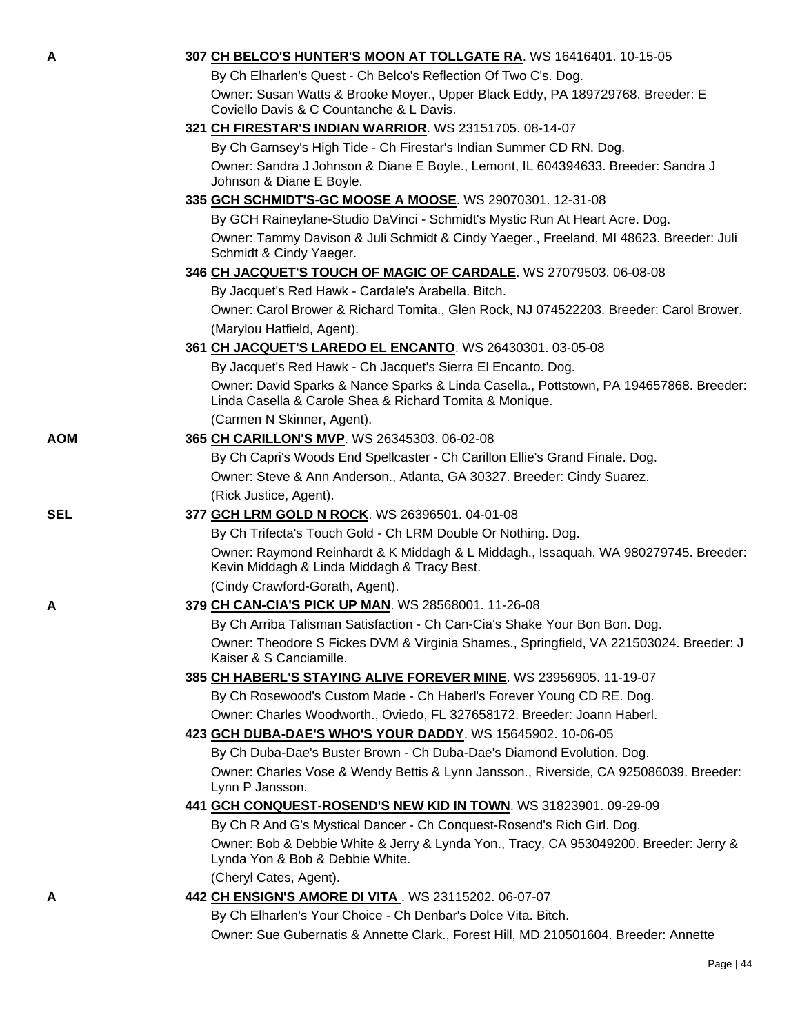| A          | 307 CH BELCO'S HUNTER'S MOON AT TOLLGATE RA. WS 16416401. 10-15-05                                                                                |
|------------|---------------------------------------------------------------------------------------------------------------------------------------------------|
|            | By Ch Elharlen's Quest - Ch Belco's Reflection Of Two C's. Dog.                                                                                   |
|            | Owner: Susan Watts & Brooke Moyer., Upper Black Eddy, PA 189729768. Breeder: E<br>Coviello Davis & C Countanche & L Davis.                        |
|            | 321 CH FIRESTAR'S INDIAN WARRIOR. WS 23151705. 08-14-07                                                                                           |
|            | By Ch Garnsey's High Tide - Ch Firestar's Indian Summer CD RN. Dog.                                                                               |
|            | Owner: Sandra J Johnson & Diane E Boyle., Lemont, IL 604394633. Breeder: Sandra J<br>Johnson & Diane E Boyle.                                     |
|            | 335 GCH SCHMIDT'S-GC MOOSE A MOOSE. WS 29070301. 12-31-08                                                                                         |
|            | By GCH Raineylane-Studio DaVinci - Schmidt's Mystic Run At Heart Acre. Dog.                                                                       |
|            | Owner: Tammy Davison & Juli Schmidt & Cindy Yaeger., Freeland, MI 48623. Breeder: Juli<br>Schmidt & Cindy Yaeger.                                 |
|            | 346 CH JACQUET'S TOUCH OF MAGIC OF CARDALE. WS 27079503. 06-08-08                                                                                 |
|            | By Jacquet's Red Hawk - Cardale's Arabella. Bitch.                                                                                                |
|            | Owner: Carol Brower & Richard Tomita., Glen Rock, NJ 074522203. Breeder: Carol Brower.                                                            |
|            | (Marylou Hatfield, Agent).                                                                                                                        |
|            | 361 CH JACQUET'S LAREDO EL ENCANTO. WS 26430301. 03-05-08                                                                                         |
|            | By Jacquet's Red Hawk - Ch Jacquet's Sierra El Encanto. Dog.                                                                                      |
|            | Owner: David Sparks & Nance Sparks & Linda Casella., Pottstown, PA 194657868. Breeder:<br>Linda Casella & Carole Shea & Richard Tomita & Monique. |
|            | (Carmen N Skinner, Agent).                                                                                                                        |
| <b>AOM</b> | 365 CH CARILLON'S MVP. WS 26345303. 06-02-08                                                                                                      |
|            | By Ch Capri's Woods End Spellcaster - Ch Carillon Ellie's Grand Finale. Dog.                                                                      |
|            | Owner: Steve & Ann Anderson., Atlanta, GA 30327. Breeder: Cindy Suarez.                                                                           |
|            | (Rick Justice, Agent).                                                                                                                            |
| <b>SEL</b> | 377 GCH LRM GOLD N ROCK. WS 26396501. 04-01-08                                                                                                    |
|            | By Ch Trifecta's Touch Gold - Ch LRM Double Or Nothing. Dog.                                                                                      |
|            | Owner: Raymond Reinhardt & K Middagh & L Middagh., Issaquah, WA 980279745. Breeder:<br>Kevin Middagh & Linda Middagh & Tracy Best.                |
|            | (Cindy Crawford-Gorath, Agent).                                                                                                                   |
| A          | 379 CH CAN-CIA'S PICK UP MAN. WS 28568001. 11-26-08                                                                                               |
|            | By Ch Arriba Talisman Satisfaction - Ch Can-Cia's Shake Your Bon Bon. Dog.                                                                        |
|            | Owner: Theodore S Fickes DVM & Virginia Shames., Springfield, VA 221503024. Breeder: J<br>Kaiser & S Canciamille.                                 |
|            | 385 CH HABERL'S STAYING ALIVE FOREVER MINE. WS 23956905. 11-19-07                                                                                 |
|            | By Ch Rosewood's Custom Made - Ch Haberl's Forever Young CD RE. Dog.                                                                              |
|            | Owner: Charles Woodworth., Oviedo, FL 327658172. Breeder: Joann Haberl.                                                                           |
|            | 423 GCH DUBA-DAE'S WHO'S YOUR DADDY. WS 15645902. 10-06-05                                                                                        |
|            | By Ch Duba-Dae's Buster Brown - Ch Duba-Dae's Diamond Evolution. Dog.                                                                             |
|            | Owner: Charles Vose & Wendy Bettis & Lynn Jansson., Riverside, CA 925086039. Breeder:<br>Lynn P Jansson.                                          |
|            | 441 GCH CONQUEST-ROSEND'S NEW KID IN TOWN. WS 31823901. 09-29-09                                                                                  |
|            | By Ch R And G's Mystical Dancer - Ch Conquest-Rosend's Rich Girl. Dog.                                                                            |
|            | Owner: Bob & Debbie White & Jerry & Lynda Yon., Tracy, CA 953049200. Breeder: Jerry &<br>Lynda Yon & Bob & Debbie White.                          |
|            | (Cheryl Cates, Agent).                                                                                                                            |
| A          | 442 CH ENSIGN'S AMORE DI VITA. WS 23115202. 06-07-07                                                                                              |
|            | By Ch Elharlen's Your Choice - Ch Denbar's Dolce Vita. Bitch.                                                                                     |
|            | Owner: Sue Gubernatis & Annette Clark., Forest Hill, MD 210501604. Breeder: Annette                                                               |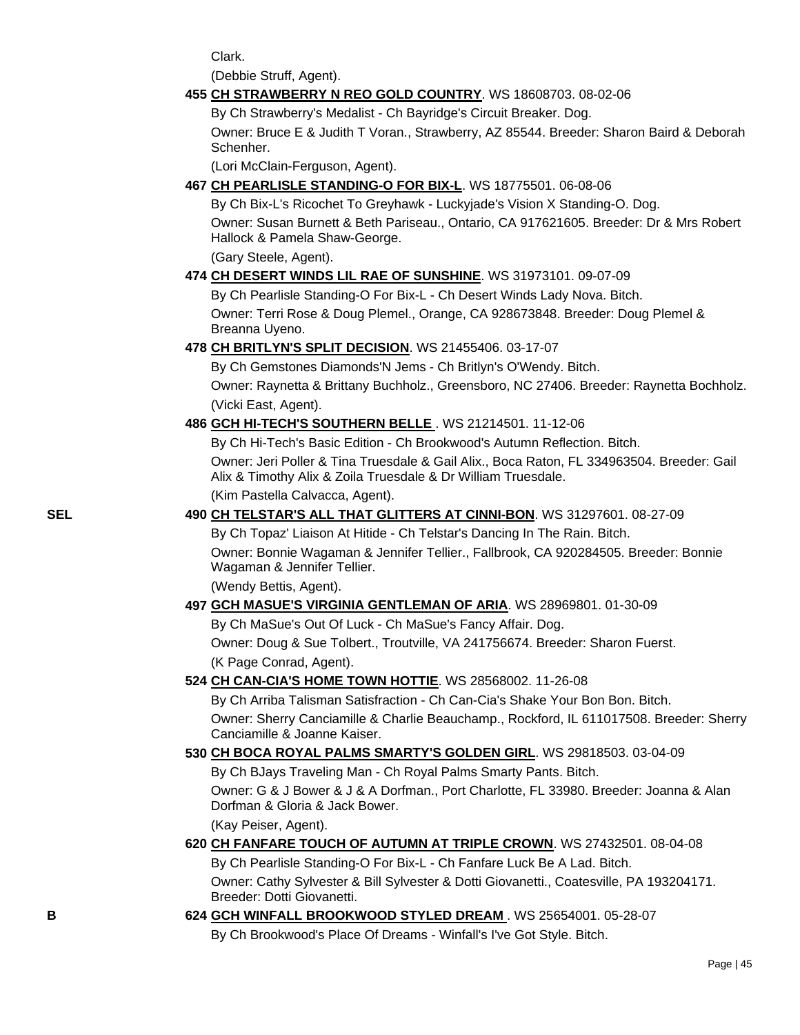Clark.

(Debbie Struff, Agent).

### **455 [CH STRAWBERRY N REO GOLD COUNTRY](http://canis.infodog.com/files/bdogrsl1.prg;makc=WS_18608703;mdog=Ch_Strawberry_N_Reo_Gold_Country;wins=all)**. WS 18608703. 08-02-06

By Ch Strawberry's Medalist - Ch Bayridge's Circuit Breaker. Dog.

Owner: Bruce E & Judith T Voran., Strawberry, AZ 85544. Breeder: Sharon Baird & Deborah Schenher.

(Lori McClain-Ferguson, Agent).

**467 [CH PEARLISLE STANDING-O FOR BIX-L](http://canis.infodog.com/files/bdogrsl1.prg;makc=WS_18775501;mdog=Ch_Pearlisle_Standing-O_For_Bix-L;wins=all)**. WS 18775501. 06-08-06

By Ch Bix-L's Ricochet To Greyhawk - Luckyjade's Vision X Standing-O. Dog. Owner: Susan Burnett & Beth Pariseau., Ontario, CA 917621605. Breeder: Dr & Mrs Robert Hallock & Pamela Shaw-George.

(Gary Steele, Agent).

## **474 [CH DESERT WINDS LIL RAE OF SUNSHINE](http://canis.infodog.com/files/bdogrsl1.prg;makc=WS_31973101;mdog=Ch_Desert_Winds_Lil_Rae_Of_Sunshine;wins=all)**. WS 31973101. 09-07-09

By Ch Pearlisle Standing-O For Bix-L - Ch Desert Winds Lady Nova. Bitch. Owner: Terri Rose & Doug Plemel., Orange, CA 928673848. Breeder: Doug Plemel & Breanna Uyeno.

**478 [CH BRITLYN'S SPLIT DECISION](http://canis.infodog.com/files/bdogrsl1.prg;makc=WS_21455406;mdog=Ch_Britlyn_s_Split_Decision;wins=all)**. WS 21455406. 03-17-07

By Ch Gemstones Diamonds'N Jems - Ch Britlyn's O'Wendy. Bitch. Owner: Raynetta & Brittany Buchholz., Greensboro, NC 27406. Breeder: Raynetta Bochholz. (Vicki East, Agent).

**486 [GCH HI-TECH'S SOUTHERN BELLE](http://canis.infodog.com/files/bdogrsl1.prg;makc=WS_21214501;mdog=GCH_Hi-Tech_s_Southern_Belle;wins=all)** . WS 21214501. 11-12-06

By Ch Hi-Tech's Basic Edition - Ch Brookwood's Autumn Reflection. Bitch. Owner: Jeri Poller & Tina Truesdale & Gail Alix., Boca Raton, FL 334963504. Breeder: Gail Alix & Timothy Alix & Zoila Truesdale & Dr William Truesdale.

(Kim Pastella Calvacca, Agent).

## **SEL 490 [CH TELSTAR'S ALL THAT GLITTERS AT CINNI-BON](http://canis.infodog.com/files/bdogrsl1.prg;makc=WS_31297601;mdog=Ch_Telstar_s_All_That_Glitters_At_Cinni-Bon;wins=all)**. WS 31297601. 08-27-09

By Ch Topaz' Liaison At Hitide - Ch Telstar's Dancing In The Rain. Bitch. Owner: Bonnie Wagaman & Jennifer Tellier., Fallbrook, CA 920284505. Breeder: Bonnie Wagaman & Jennifer Tellier.

(Wendy Bettis, Agent).

## **497 [GCH MASUE'S VIRGINIA GENTLEMAN OF ARIA](http://canis.infodog.com/files/bdogrsl1.prg;makc=WS_28969801;mdog=GCH_MaSue_s_Virginia_Gentleman_Of_Aria;wins=all)**. WS 28969801. 01-30-09 By Ch MaSue's Out Of Luck - Ch MaSue's Fancy Affair. Dog. Owner: Doug & Sue Tolbert., Troutville, VA 241756674. Breeder: Sharon Fuerst. (K Page Conrad, Agent).

## **524 [CH CAN-CIA'S HOME TOWN HOTTIE](http://canis.infodog.com/files/bdogrsl1.prg;makc=WS_28568002;mdog=Ch_Can-Cia_s_Home_Town_Hottie;wins=all)**. WS 28568002. 11-26-08

By Ch Arriba Talisman Satisfraction - Ch Can-Cia's Shake Your Bon Bon. Bitch. Owner: Sherry Canciamille & Charlie Beauchamp., Rockford, IL 611017508. Breeder: Sherry Canciamille & Joanne Kaiser.

# **530 [CH BOCA ROYAL PALMS SMARTY'S GOLDEN GIRL](http://canis.infodog.com/files/bdogrsl1.prg;makc=WS_29818503;mdog=Ch_Boca_Royal_Palms_Smarty_s_Golden_Girl;wins=all)**. WS 29818503. 03-04-09

By Ch BJays Traveling Man - Ch Royal Palms Smarty Pants. Bitch. Owner: G & J Bower & J & A Dorfman., Port Charlotte, FL 33980. Breeder: Joanna & Alan Dorfman & Gloria & Jack Bower.

# (Kay Peiser, Agent).

## **620 [CH FANFARE TOUCH OF AUTUMN AT TRIPLE CROWN](http://canis.infodog.com/files/bdogrsl1.prg;makc=WS_27432501;mdog=Ch_Fanfare_Touch_Of_Autumn_At_Triple_Crown;wins=all)**. WS 27432501. 08-04-08 By Ch Pearlisle Standing-O For Bix-L - Ch Fanfare Luck Be A Lad. Bitch. Owner: Cathy Sylvester & Bill Sylvester & Dotti Giovanetti., Coatesville, PA 193204171. Breeder: Dotti Giovanetti.

**B 624 [GCH WINFALL BROOKWOOD STYLED DREAM](http://canis.infodog.com/files/bdogrsl1.prg;makc=WS_25654001;mdog=GCH_Winfall_Brookwood_Styled_Dream;wins=all)** . WS 25654001. 05-28-07 By Ch Brookwood's Place Of Dreams - Winfall's I've Got Style. Bitch.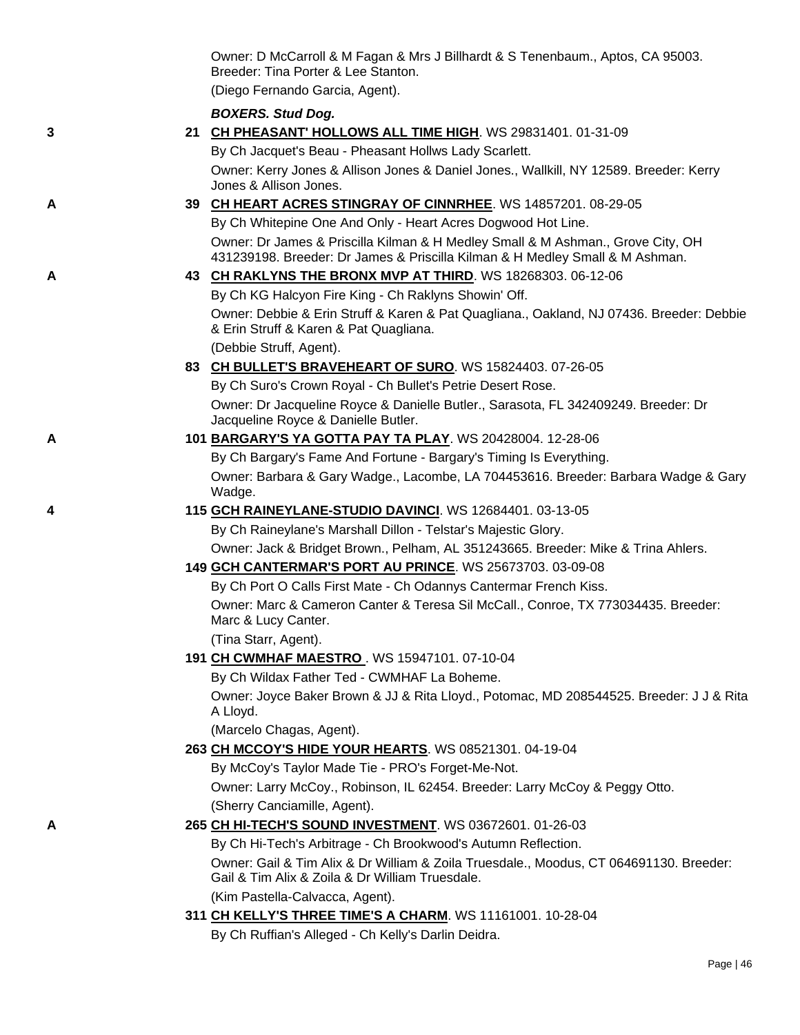|   | Owner: D McCarroll & M Fagan & Mrs J Billhardt & S Tenenbaum., Aptos, CA 95003.<br>Breeder: Tina Porter & Lee Stanton.                                          |
|---|-----------------------------------------------------------------------------------------------------------------------------------------------------------------|
|   | (Diego Fernando Garcia, Agent).                                                                                                                                 |
|   | <b>BOXERS. Stud Dog.</b>                                                                                                                                        |
| 3 | 21 CH PHEASANT' HOLLOWS ALL TIME HIGH. WS 29831401. 01-31-09                                                                                                    |
|   | By Ch Jacquet's Beau - Pheasant Hollws Lady Scarlett.                                                                                                           |
|   | Owner: Kerry Jones & Allison Jones & Daniel Jones., Wallkill, NY 12589. Breeder: Kerry                                                                          |
|   | Jones & Allison Jones.                                                                                                                                          |
| Α | 39 CH HEART ACRES STINGRAY OF CINNRHEE. WS 14857201. 08-29-05                                                                                                   |
|   | By Ch Whitepine One And Only - Heart Acres Dogwood Hot Line.                                                                                                    |
|   | Owner: Dr James & Priscilla Kilman & H Medley Small & M Ashman., Grove City, OH<br>431239198. Breeder: Dr James & Priscilla Kilman & H Medley Small & M Ashman. |
| Α | 43 CH RAKLYNS THE BRONX MVP AT THIRD. WS 18268303. 06-12-06                                                                                                     |
|   | By Ch KG Halcyon Fire King - Ch Raklyns Showin' Off.                                                                                                            |
|   | Owner: Debbie & Erin Struff & Karen & Pat Quagliana., Oakland, NJ 07436. Breeder: Debbie<br>& Erin Struff & Karen & Pat Quagliana.                              |
|   | (Debbie Struff, Agent).                                                                                                                                         |
|   | 83 CH BULLET'S BRAVEHEART OF SURO. WS 15824403. 07-26-05                                                                                                        |
|   | By Ch Suro's Crown Royal - Ch Bullet's Petrie Desert Rose.                                                                                                      |
|   | Owner: Dr Jacqueline Royce & Danielle Butler., Sarasota, FL 342409249. Breeder: Dr<br>Jacqueline Royce & Danielle Butler.                                       |
| Α | 101 BARGARY'S YA GOTTA PAY TA PLAY. WS 20428004. 12-28-06                                                                                                       |
|   | By Ch Bargary's Fame And Fortune - Bargary's Timing Is Everything.                                                                                              |
|   | Owner: Barbara & Gary Wadge., Lacombe, LA 704453616. Breeder: Barbara Wadge & Gary<br>Wadge.                                                                    |
| 4 | 115 GCH RAINEYLANE-STUDIO DAVINCI. WS 12684401. 03-13-05                                                                                                        |
|   | By Ch Raineylane's Marshall Dillon - Telstar's Majestic Glory.                                                                                                  |
|   | Owner: Jack & Bridget Brown., Pelham, AL 351243665. Breeder: Mike & Trina Ahlers.                                                                               |
|   | 149 GCH CANTERMAR'S PORT AU PRINCE. WS 25673703. 03-09-08                                                                                                       |
|   | By Ch Port O Calls First Mate - Ch Odannys Cantermar French Kiss.                                                                                               |
|   | Owner: Marc & Cameron Canter & Teresa Sil McCall., Conroe, TX 773034435. Breeder:<br>Marc & Lucy Canter.                                                        |
|   | (Tina Starr, Agent).                                                                                                                                            |
|   | 191 CH CWMHAF MAESTRO. WS 15947101. 07-10-04                                                                                                                    |
|   | By Ch Wildax Father Ted - CWMHAF La Boheme.                                                                                                                     |
|   | Owner: Joyce Baker Brown & JJ & Rita Lloyd., Potomac, MD 208544525. Breeder: J J & Rita<br>A Lloyd.                                                             |
|   | (Marcelo Chagas, Agent).                                                                                                                                        |
|   | 263 CH MCCOY'S HIDE YOUR HEARTS. WS 08521301. 04-19-04                                                                                                          |
|   | By McCoy's Taylor Made Tie - PRO's Forget-Me-Not.                                                                                                               |
|   | Owner: Larry McCoy., Robinson, IL 62454. Breeder: Larry McCoy & Peggy Otto.                                                                                     |
|   | (Sherry Canciamille, Agent).                                                                                                                                    |
| А | 265 CH HI-TECH'S SOUND INVESTMENT. WS 03672601. 01-26-03                                                                                                        |
|   | By Ch Hi-Tech's Arbitrage - Ch Brookwood's Autumn Reflection.                                                                                                   |
|   | Owner: Gail & Tim Alix & Dr William & Zoila Truesdale., Moodus, CT 064691130. Breeder:<br>Gail & Tim Alix & Zoila & Dr William Truesdale.                       |
|   | (Kim Pastella-Calvacca, Agent).                                                                                                                                 |
|   | 311 CH KELLY'S THREE TIME'S A CHARM. WS 11161001. 10-28-04<br>Du Ch Duffigule Alleged Ch Kellule Derlin Deidr                                                   |
|   |                                                                                                                                                                 |

By Ch Ruffian's Alleged - Ch Kelly's Darlin Deidra.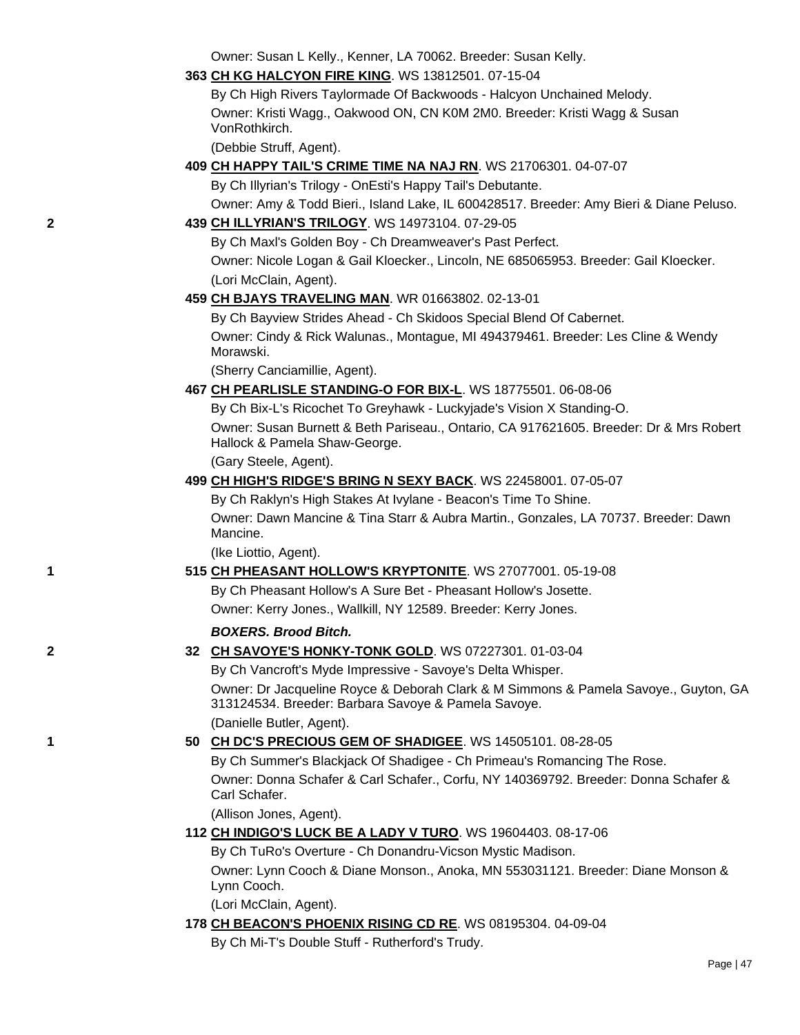Owner: Susan L Kelly., Kenner, LA 70062. Breeder: Susan Kelly.

**363 [CH KG HALCYON FIRE KING](http://canis.infodog.com/files/bdogrsl1.prg;makc=WS_13812501;mdog=Ch_KG_Halcyon_Fire_King;wins=all)**. WS 13812501. 07-15-04

By Ch High Rivers Taylormade Of Backwoods - Halcyon Unchained Melody. Owner: Kristi Wagg., Oakwood ON, CN K0M 2M0. Breeder: Kristi Wagg & Susan VonRothkirch.

(Debbie Struff, Agent).

**409 [CH HAPPY TAIL'S CRIME TIME NA NAJ RN](http://canis.infodog.com/files/bdogrsl1.prg;makc=WS_21706301;mdog=Ch_Happy_Tail_s_Crime_Time_NA_NAJ_RN;wins=all)**. WS 21706301. 04-07-07

By Ch Illyrian's Trilogy - OnEsti's Happy Tail's Debutante.

Owner: Amy & Todd Bieri., Island Lake, IL 600428517. Breeder: Amy Bieri & Diane Peluso.

## **2 439 [CH ILLYRIAN'S TRILOGY](http://canis.infodog.com/files/bdogrsl1.prg;makc=WS_14973104;mdog=Ch_Illyrian_s_Trilogy;wins=all)**. WS 14973104. 07-29-05

By Ch Maxl's Golden Boy - Ch Dreamweaver's Past Perfect. Owner: Nicole Logan & Gail Kloecker., Lincoln, NE 685065953. Breeder: Gail Kloecker. (Lori McClain, Agent).

## **459 [CH BJAYS TRAVELING MAN](http://canis.infodog.com/files/bdogrsl1.prg;makc=WR_01663802;mdog=Ch_Bjays_Traveling_Man;wins=all)**. WR 01663802. 02-13-01

By Ch Bayview Strides Ahead - Ch Skidoos Special Blend Of Cabernet. Owner: Cindy & Rick Walunas., Montague, MI 494379461. Breeder: Les Cline & Wendy Morawski.

(Sherry Canciamillie, Agent).

## **467 [CH PEARLISLE STANDING-O FOR BIX-L](http://canis.infodog.com/files/bdogrsl1.prg;makc=WS_18775501;mdog=Ch_Pearlisle_Standing-O_For_Bix-L;wins=all)**. WS 18775501. 06-08-06

By Ch Bix-L's Ricochet To Greyhawk - Luckyjade's Vision X Standing-O. Owner: Susan Burnett & Beth Pariseau., Ontario, CA 917621605. Breeder: Dr & Mrs Robert Hallock & Pamela Shaw-George.

(Gary Steele, Agent).

## **499 [CH HIGH'S RIDGE'S BRING N SEXY BACK](http://canis.infodog.com/files/bdogrsl1.prg;makc=WS_22458001;mdog=Ch_High_s_Ridge_s_Bring_N_Sexy_Back;wins=all)**. WS 22458001. 07-05-07

By Ch Raklyn's High Stakes At Ivylane - Beacon's Time To Shine.

Owner: Dawn Mancine & Tina Starr & Aubra Martin., Gonzales, LA 70737. Breeder: Dawn Mancine.

(Ike Liottio, Agent).

## **1 515 [CH PHEASANT HOLLOW'S KRYPTONITE](http://canis.infodog.com/files/bdogrsl1.prg;makc=WS_27077001;mdog=Ch_Pheasant_Hollow_s_Kryptonite;wins=all)**. WS 27077001. 05-19-08

By Ch Pheasant Hollow's A Sure Bet - Pheasant Hollow's Josette. Owner: Kerry Jones., Wallkill, NY 12589. Breeder: Kerry Jones.

## *BOXERS. Brood Bitch.*

## **2 32 [CH SAVOYE'S HONKY-TONK GOLD](http://canis.infodog.com/files/bdogrsl1.prg;makc=WS_07227301;mdog=Ch_Savoye_s_Honky-Tonk_Gold;wins=all)**. WS 07227301. 01-03-04

By Ch Vancroft's Myde Impressive - Savoye's Delta Whisper.

Owner: Dr Jacqueline Royce & Deborah Clark & M Simmons & Pamela Savoye., Guyton, GA 313124534. Breeder: Barbara Savoye & Pamela Savoye.

(Danielle Butler, Agent).

## **1 50 [CH DC'S PRECIOUS GEM OF SHADIGEE](http://canis.infodog.com/files/bdogrsl1.prg;makc=WS_14505101;mdog=Ch_DC_s_Precious_Gem_Of_Shadigee;wins=all)**. WS 14505101. 08-28-05

By Ch Summer's Blackjack Of Shadigee - Ch Primeau's Romancing The Rose. Owner: Donna Schafer & Carl Schafer., Corfu, NY 140369792. Breeder: Donna Schafer & Carl Schafer.

(Allison Jones, Agent).

## **112 [CH INDIGO'S LUCK BE A LADY V TURO](http://canis.infodog.com/files/bdogrsl1.prg;makc=WS_19604403;mdog=Ch_Indigo_s_Luck_Be_A_Lady_V_TuRo;wins=all)**. WS 19604403. 08-17-06

By Ch TuRo's Overture - Ch Donandru-Vicson Mystic Madison. Owner: Lynn Cooch & Diane Monson., Anoka, MN 553031121. Breeder: Diane Monson & Lynn Cooch.

(Lori McClain, Agent).

## **178 [CH BEACON'S PHOENIX RISING CD RE](http://canis.infodog.com/files/bdogrsl1.prg;makc=WS_08195304;mdog=Ch_Beacon_s_Phoenix_Rising_CD_RE;wins=all)**. WS 08195304. 04-09-04

By Ch Mi-T's Double Stuff - Rutherford's Trudy.